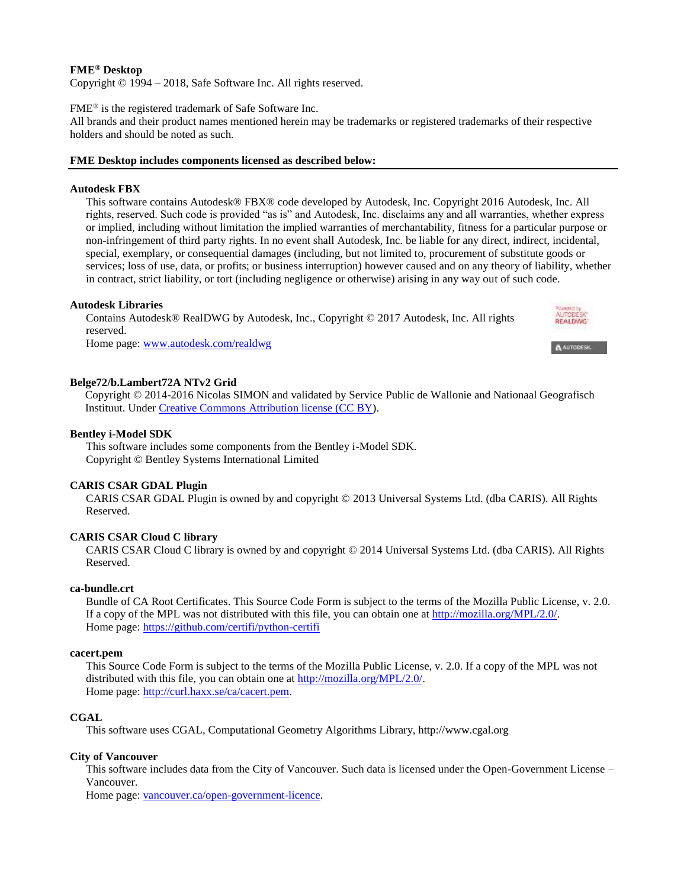## **FME® Desktop**

Copyright © 1994 – 2018, Safe Software Inc. All rights reserved.

### FME® is the registered trademark of Safe Software Inc.

All brands and their product names mentioned herein may be trademarks or registered trademarks of their respective holders and should be noted as such.

## **FME Desktop includes components licensed as described below:**

### **Autodesk FBX**

This software contains Autodesk® FBX® code developed by Autodesk, Inc. Copyright 2016 Autodesk, Inc. All rights, reserved. Such code is provided "as is" and Autodesk, Inc. disclaims any and all warranties, whether express or implied, including without limitation the implied warranties of merchantability, fitness for a particular purpose or non-infringement of third party rights. In no event shall Autodesk, Inc. be liable for any direct, indirect, incidental, special, exemplary, or consequential damages (including, but not limited to, procurement of substitute goods or services; loss of use, data, or profits; or business interruption) however caused and on any theory of liability, whether in contract, strict liability, or tort (including negligence or otherwise) arising in any way out of such code.

**REALDWG** 

A AUTODESK

## **Autodesk Libraries**

Contains Autodesk® RealDWG by Autodesk, Inc., Copyright © 2017 Autodesk, Inc. All rights reserved.

Home page[: www.autodesk.com/realdwg](http://www.autodesk.com/realdwg)

## **Belge72/b.Lambert72A NTv2 Grid**

Copyright © 2014-2016 Nicolas SIMON and validated by Service Public de Wallonie and Nationaal Geografisch Instituut. Unde[r Creative Commons Attribution license \(CC BY\)](https://creativecommons.org/licenses/by/2.0/).

## **Bentley i-Model SDK**

This software includes some components from the Bentley i-Model SDK. Copyright © Bentley Systems International Limited

### **CARIS CSAR GDAL Plugin**

CARIS CSAR GDAL Plugin is owned by and copyright © 2013 Universal Systems Ltd. (dba CARIS). All Rights Reserved.

## **CARIS CSAR Cloud C library**

CARIS CSAR Cloud C library is owned by and copyright © 2014 Universal Systems Ltd. (dba CARIS). All Rights Reserved.

### **ca-bundle.crt**

Bundle of CA Root Certificates. This Source Code Form is subject to the terms of the Mozilla Public License, v. 2.0. If a copy of the MPL was not distributed with this file, you can obtain one at [http://mozilla.org/MPL/2.0/.](http://mozilla.org/MPL/2.0/) Home page[: https://github.com/certifi/python-certifi](https://github.com/certifi/python-certifi)

### **cacert.pem**

This Source Code Form is subject to the terms of the Mozilla Public License, v. 2.0. If a copy of the MPL was not distributed with this file, you can obtain one at [http://mozilla.org/MPL/2.0/.](http://mozilla.org/MPL/2.0/) Home page[: http://curl.haxx.se/ca/cacert.pem.](http://curl.haxx.se/ca/cacert.pem)

### **CGAL**

This software uses CGAL, Computational Geometry Algorithms Library, http://www.cgal.org

### **City of Vancouver**

This software includes data from the City of Vancouver. Such data is licensed under the Open-Government License – Vancouver.

Home page[: vancouver.ca/open-government-licence.](http://vancouver.ca/open-government-licence)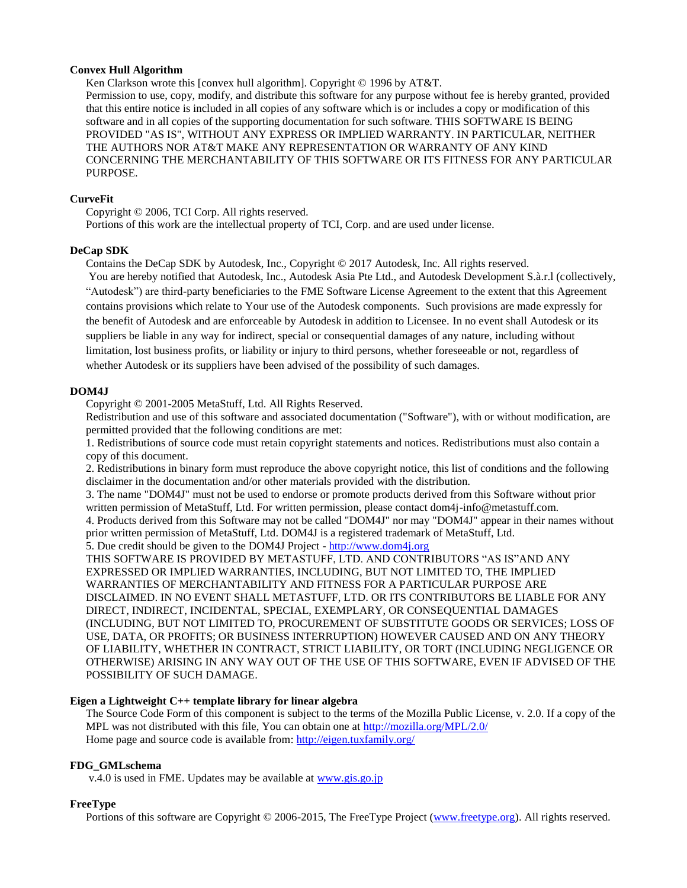### **Convex Hull Algorithm**

Ken Clarkson wrote this [convex hull algorithm]. Copyright © 1996 by AT&T.

Permission to use, copy, modify, and distribute this software for any purpose without fee is hereby granted, provided that this entire notice is included in all copies of any software which is or includes a copy or modification of this software and in all copies of the supporting documentation for such software. THIS SOFTWARE IS BEING PROVIDED "AS IS", WITHOUT ANY EXPRESS OR IMPLIED WARRANTY. IN PARTICULAR, NEITHER THE AUTHORS NOR AT&T MAKE ANY REPRESENTATION OR WARRANTY OF ANY KIND CONCERNING THE MERCHANTABILITY OF THIS SOFTWARE OR ITS FITNESS FOR ANY PARTICULAR PURPOSE.

## **CurveFit**

Copyright © 2006, TCI Corp. All rights reserved.

Portions of this work are the intellectual property of TCI, Corp. and are used under license.

## **DeCap SDK**

Contains the DeCap SDK by Autodesk, Inc., Copyright © 2017 Autodesk, Inc. All rights reserved.

You are hereby notified that Autodesk, Inc., Autodesk Asia Pte Ltd., and Autodesk Development S.à.r.l (collectively, "Autodesk") are third-party beneficiaries to the FME Software License Agreement to the extent that this Agreement contains provisions which relate to Your use of the Autodesk components. Such provisions are made expressly for the benefit of Autodesk and are enforceable by Autodesk in addition to Licensee. In no event shall Autodesk or its suppliers be liable in any way for indirect, special or consequential damages of any nature, including without limitation, lost business profits, or liability or injury to third persons, whether foreseeable or not, regardless of whether Autodesk or its suppliers have been advised of the possibility of such damages.

## **DOM4J**

Copyright © 2001-2005 MetaStuff, Ltd. All Rights Reserved.

Redistribution and use of this software and associated documentation ("Software"), with or without modification, are permitted provided that the following conditions are met:

1. Redistributions of source code must retain copyright statements and notices. Redistributions must also contain a copy of this document.

2. Redistributions in binary form must reproduce the above copyright notice, this list of conditions and the following disclaimer in the documentation and/or other materials provided with the distribution.

3. The name "DOM4J" must not be used to endorse or promote products derived from this Software without prior written permission of MetaStuff, Ltd. For written permission, please contact dom4j-info@metastuff.com.

4. Products derived from this Software may not be called "DOM4J" nor may "DOM4J" appear in their names without prior written permission of MetaStuff, Ltd. DOM4J is a registered trademark of MetaStuff, Ltd.

5. Due credit should be given to the DOM4J Project - [http://www.dom4j.org](http://www.dom4j.org/)

THIS SOFTWARE IS PROVIDED BY METASTUFF, LTD. AND CONTRIBUTORS "AS IS"AND ANY EXPRESSED OR IMPLIED WARRANTIES, INCLUDING, BUT NOT LIMITED TO, THE IMPLIED WARRANTIES OF MERCHANTABILITY AND FITNESS FOR A PARTICULAR PURPOSE ARE DISCLAIMED. IN NO EVENT SHALL METASTUFF, LTD. OR ITS CONTRIBUTORS BE LIABLE FOR ANY DIRECT, INDIRECT, INCIDENTAL, SPECIAL, EXEMPLARY, OR CONSEQUENTIAL DAMAGES (INCLUDING, BUT NOT LIMITED TO, PROCUREMENT OF SUBSTITUTE GOODS OR SERVICES; LOSS OF USE, DATA, OR PROFITS; OR BUSINESS INTERRUPTION) HOWEVER CAUSED AND ON ANY THEORY OF LIABILITY, WHETHER IN CONTRACT, STRICT LIABILITY, OR TORT (INCLUDING NEGLIGENCE OR OTHERWISE) ARISING IN ANY WAY OUT OF THE USE OF THIS SOFTWARE, EVEN IF ADVISED OF THE POSSIBILITY OF SUCH DAMAGE.

### **Eigen a Lightweight C++ template library for linear algebra**

The Source Code Form of this component is subject to the terms of the Mozilla Public License, v. 2.0. If a copy of the MPL was not distributed with this file, You can obtain one at<http://mozilla.org/MPL/2.0/> Home page and source code is available from:<http://eigen.tuxfamily.org/>

### **FDG\_GMLschema**

v.4.0 is used in FME. Updates may be available at [www.gis.go.jp](http://www.gis.go.jp/)

### **FreeType**

Portions of this software are Copyright © 2006-2015, The FreeType Project [\(www.freetype.org\)](http://www.freetype.org/). All rights reserved.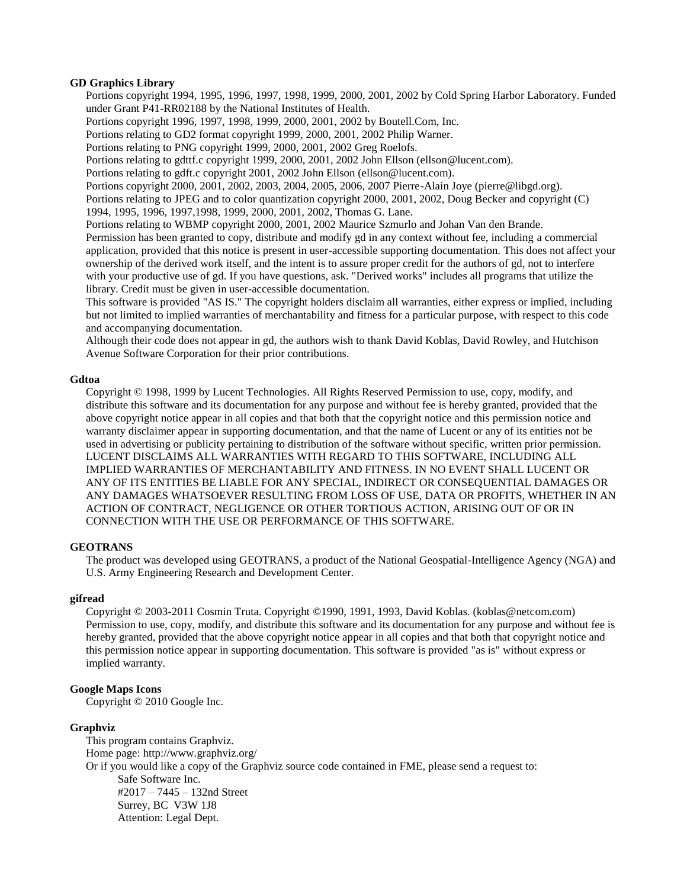### **GD Graphics Library**

Portions copyright 1994, 1995, 1996, 1997, 1998, 1999, 2000, 2001, 2002 by Cold Spring Harbor Laboratory. Funded under Grant P41-RR02188 by the National Institutes of Health.

Portions copyright 1996, 1997, 1998, 1999, 2000, 2001, 2002 by Boutell.Com, Inc.

Portions relating to GD2 format copyright 1999, 2000, 2001, 2002 Philip Warner.

Portions relating to PNG copyright 1999, 2000, 2001, 2002 Greg Roelofs.

Portions relating to gdttf.c copyright 1999, 2000, 2001, 2002 John Ellson (ellson@lucent.com).

Portions relating to gdft.c copyright 2001, 2002 John Ellson (ellson@lucent.com).

Portions copyright 2000, 2001, 2002, 2003, 2004, 2005, 2006, 2007 Pierre-Alain Joye (pierre@libgd.org). Portions relating to JPEG and to color quantization copyright 2000, 2001, 2002, Doug Becker and copyright (C) 1994, 1995, 1996, 1997,1998, 1999, 2000, 2001, 2002, Thomas G. Lane.

Portions relating to WBMP copyright 2000, 2001, 2002 Maurice Szmurlo and Johan Van den Brande.

Permission has been granted to copy, distribute and modify gd in any context without fee, including a commercial application, provided that this notice is present in user-accessible supporting documentation. This does not affect your ownership of the derived work itself, and the intent is to assure proper credit for the authors of gd, not to interfere with your productive use of gd. If you have questions, ask. "Derived works" includes all programs that utilize the library. Credit must be given in user-accessible documentation.

This software is provided "AS IS." The copyright holders disclaim all warranties, either express or implied, including but not limited to implied warranties of merchantability and fitness for a particular purpose, with respect to this code and accompanying documentation.

Although their code does not appear in gd, the authors wish to thank David Koblas, David Rowley, and Hutchison Avenue Software Corporation for their prior contributions.

## **Gdtoa**

Copyright © 1998, 1999 by Lucent Technologies. All Rights Reserved Permission to use, copy, modify, and distribute this software and its documentation for any purpose and without fee is hereby granted, provided that the above copyright notice appear in all copies and that both that the copyright notice and this permission notice and warranty disclaimer appear in supporting documentation, and that the name of Lucent or any of its entities not be used in advertising or publicity pertaining to distribution of the software without specific, written prior permission. LUCENT DISCLAIMS ALL WARRANTIES WITH REGARD TO THIS SOFTWARE, INCLUDING ALL IMPLIED WARRANTIES OF MERCHANTABILITY AND FITNESS. IN NO EVENT SHALL LUCENT OR ANY OF ITS ENTITIES BE LIABLE FOR ANY SPECIAL, INDIRECT OR CONSEQUENTIAL DAMAGES OR ANY DAMAGES WHATSOEVER RESULTING FROM LOSS OF USE, DATA OR PROFITS, WHETHER IN AN ACTION OF CONTRACT, NEGLIGENCE OR OTHER TORTIOUS ACTION, ARISING OUT OF OR IN CONNECTION WITH THE USE OR PERFORMANCE OF THIS SOFTWARE.

## **GEOTRANS**

The product was developed using GEOTRANS, a product of the National Geospatial-Intelligence Agency (NGA) and U.S. Army Engineering Research and Development Center.

## **gifread**

Copyright © 2003-2011 Cosmin Truta. Copyright ©1990, 1991, 1993, David Koblas. (koblas@netcom.com) Permission to use, copy, modify, and distribute this software and its documentation for any purpose and without fee is hereby granted, provided that the above copyright notice appear in all copies and that both that copyright notice and this permission notice appear in supporting documentation. This software is provided "as is" without express or implied warranty.

### **Google Maps Icons**

Copyright © 2010 Google Inc.

### **Graphviz**

This program contains Graphviz. Home page: http://www.graphviz.org/ Or if you would like a copy of the Graphviz source code contained in FME, please send a request to: Safe Software Inc. #2017 – 7445 – 132nd Street Surrey, BC V3W 1J8 Attention: Legal Dept.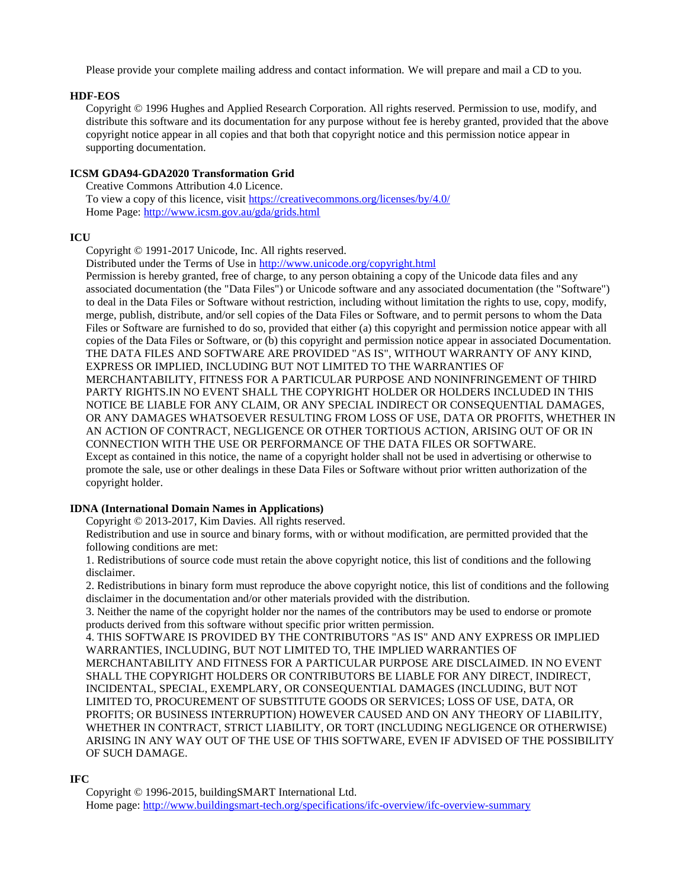Please provide your complete mailing address and contact information. We will prepare and mail a CD to you.

## **HDF-EOS**

Copyright © 1996 Hughes and Applied Research Corporation. All rights reserved. Permission to use, modify, and distribute this software and its documentation for any purpose without fee is hereby granted, provided that the above copyright notice appear in all copies and that both that copyright notice and this permission notice appear in supporting documentation.

## **ICSM GDA94-GDA2020 Transformation Grid**

Creative Commons Attribution 4.0 Licence. To view a copy of this licence, visit<https://creativecommons.org/licenses/by/4.0/> Home Page:<http://www.icsm.gov.au/gda/grids.html>

## **ICU**

Copyright © 1991-2017 Unicode, Inc. All rights reserved.

Distributed under the Terms of Use in<http://www.unicode.org/copyright.html>

Permission is hereby granted, free of charge, to any person obtaining a copy of the Unicode data files and any associated documentation (the "Data Files") or Unicode software and any associated documentation (the "Software") to deal in the Data Files or Software without restriction, including without limitation the rights to use, copy, modify, merge, publish, distribute, and/or sell copies of the Data Files or Software, and to permit persons to whom the Data Files or Software are furnished to do so, provided that either (a) this copyright and permission notice appear with all copies of the Data Files or Software, or (b) this copyright and permission notice appear in associated Documentation. THE DATA FILES AND SOFTWARE ARE PROVIDED "AS IS", WITHOUT WARRANTY OF ANY KIND, EXPRESS OR IMPLIED, INCLUDING BUT NOT LIMITED TO THE WARRANTIES OF MERCHANTABILITY, FITNESS FOR A PARTICULAR PURPOSE AND NONINFRINGEMENT OF THIRD PARTY RIGHTS.IN NO EVENT SHALL THE COPYRIGHT HOLDER OR HOLDERS INCLUDED IN THIS NOTICE BE LIABLE FOR ANY CLAIM, OR ANY SPECIAL INDIRECT OR CONSEQUENTIAL DAMAGES, OR ANY DAMAGES WHATSOEVER RESULTING FROM LOSS OF USE, DATA OR PROFITS, WHETHER IN AN ACTION OF CONTRACT, NEGLIGENCE OR OTHER TORTIOUS ACTION, ARISING OUT OF OR IN CONNECTION WITH THE USE OR PERFORMANCE OF THE DATA FILES OR SOFTWARE.

Except as contained in this notice, the name of a copyright holder shall not be used in advertising or otherwise to promote the sale, use or other dealings in these Data Files or Software without prior written authorization of the copyright holder.

## **IDNA (International Domain Names in Applications)**

Copyright © 2013-2017, Kim Davies. All rights reserved.

Redistribution and use in source and binary forms, with or without modification, are permitted provided that the following conditions are met:

1. Redistributions of source code must retain the above copyright notice, this list of conditions and the following disclaimer.

2. Redistributions in binary form must reproduce the above copyright notice, this list of conditions and the following disclaimer in the documentation and/or other materials provided with the distribution.

3. Neither the name of the copyright holder nor the names of the contributors may be used to endorse or promote products derived from this software without specific prior written permission.

4. THIS SOFTWARE IS PROVIDED BY THE CONTRIBUTORS "AS IS" AND ANY EXPRESS OR IMPLIED WARRANTIES, INCLUDING, BUT NOT LIMITED TO, THE IMPLIED WARRANTIES OF

MERCHANTABILITY AND FITNESS FOR A PARTICULAR PURPOSE ARE DISCLAIMED. IN NO EVENT SHALL THE COPYRIGHT HOLDERS OR CONTRIBUTORS BE LIABLE FOR ANY DIRECT, INDIRECT, INCIDENTAL, SPECIAL, EXEMPLARY, OR CONSEQUENTIAL DAMAGES (INCLUDING, BUT NOT LIMITED TO, PROCUREMENT OF SUBSTITUTE GOODS OR SERVICES; LOSS OF USE, DATA, OR PROFITS; OR BUSINESS INTERRUPTION) HOWEVER CAUSED AND ON ANY THEORY OF LIABILITY, WHETHER IN CONTRACT, STRICT LIABILITY, OR TORT (INCLUDING NEGLIGENCE OR OTHERWISE) ARISING IN ANY WAY OUT OF THE USE OF THIS SOFTWARE, EVEN IF ADVISED OF THE POSSIBILITY OF SUCH DAMAGE.

## **IFC**

Copyright © 1996-2015, buildingSMART International Ltd. Home page: <http://www.buildingsmart-tech.org/specifications/ifc-overview/ifc-overview-summary>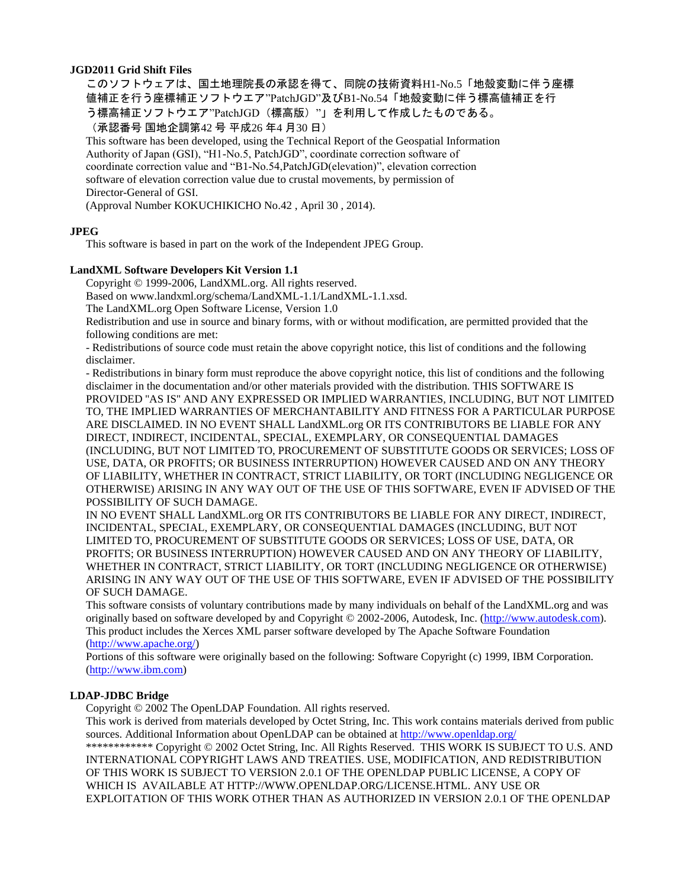## **JGD2011 Grid Shift Files**

このソフトウェアは、国土地理院長の承認を得て、同院の技術資料H1-No.5「地殻変動に伴う座標 値補正を行う座標補正ソフトウエア"PatchJGD"及びB1-No.54「地殻変動に伴う標高値補正を行 う標高補正ソフトウエア"PatchJGD (標高版) "」を利用して作成したものである。 (承認番号 国地企調第42 号 平成26 年4 月30 日)

This software has been developed, using the Technical Report of the Geospatial Information Authority of Japan (GSI), "H1-No.5, PatchJGD", coordinate correction software of coordinate correction value and "B1-No.54,PatchJGD(elevation)", elevation correction software of elevation correction value due to crustal movements, by permission of Director-General of GSI.

(Approval Number KOKUCHIKICHO No.42 , April 30 , 2014).

## **JPEG**

This software is based in part on the work of the Independent JPEG Group.

## **LandXML Software Developers Kit Version 1.1**

Copyright © 1999-2006, LandXML.org. All rights reserved.

Based on www.landxml.org/schema/LandXML-1.1/LandXML-1.1.xsd.

The LandXML.org Open Software License, Version 1.0

Redistribution and use in source and binary forms, with or without modification, are permitted provided that the following conditions are met:

- Redistributions of source code must retain the above copyright notice, this list of conditions and the following disclaimer.

- Redistributions in binary form must reproduce the above copyright notice, this list of conditions and the following disclaimer in the documentation and/or other materials provided with the distribution. THIS SOFTWARE IS PROVIDED ''AS IS'' AND ANY EXPRESSED OR IMPLIED WARRANTIES, INCLUDING, BUT NOT LIMITED TO, THE IMPLIED WARRANTIES OF MERCHANTABILITY AND FITNESS FOR A PARTICULAR PURPOSE ARE DISCLAIMED. IN NO EVENT SHALL LandXML.org OR ITS CONTRIBUTORS BE LIABLE FOR ANY DIRECT, INDIRECT, INCIDENTAL, SPECIAL, EXEMPLARY, OR CONSEQUENTIAL DAMAGES (INCLUDING, BUT NOT LIMITED TO, PROCUREMENT OF SUBSTITUTE GOODS OR SERVICES; LOSS OF USE, DATA, OR PROFITS; OR BUSINESS INTERRUPTION) HOWEVER CAUSED AND ON ANY THEORY OF LIABILITY, WHETHER IN CONTRACT, STRICT LIABILITY, OR TORT (INCLUDING NEGLIGENCE OR OTHERWISE) ARISING IN ANY WAY OUT OF THE USE OF THIS SOFTWARE, EVEN IF ADVISED OF THE POSSIBILITY OF SUCH DAMAGE.

IN NO EVENT SHALL LandXML.org OR ITS CONTRIBUTORS BE LIABLE FOR ANY DIRECT, INDIRECT, INCIDENTAL, SPECIAL, EXEMPLARY, OR CONSEQUENTIAL DAMAGES (INCLUDING, BUT NOT LIMITED TO, PROCUREMENT OF SUBSTITUTE GOODS OR SERVICES; LOSS OF USE, DATA, OR PROFITS; OR BUSINESS INTERRUPTION) HOWEVER CAUSED AND ON ANY THEORY OF LIABILITY, WHETHER IN CONTRACT, STRICT LIABILITY, OR TORT (INCLUDING NEGLIGENCE OR OTHERWISE) ARISING IN ANY WAY OUT OF THE USE OF THIS SOFTWARE, EVEN IF ADVISED OF THE POSSIBILITY OF SUCH DAMAGE.

This software consists of voluntary contributions made by many individuals on behalf of the LandXML.org and was originally based on software developed by and Copyright © 2002-2006, Autodesk, Inc. [\(http://www.autodesk.com\)](http://www.autodesk.com/). This product includes the Xerces XML parser software developed by The Apache Software Foundation [\(http://www.apache.org/\)](http://www.apache.org/)

Portions of this software were originally based on the following: Software Copyright (c) 1999, IBM Corporation. [\(http://www.ibm.com\)](http://www.ibm.com/)

## **LDAP-JDBC Bridge**

Copyright © 2002 The OpenLDAP Foundation. All rights reserved.

This work is derived from materials developed by Octet String, Inc. This work contains materials derived from public sources. Additional Information about OpenLDAP can be obtained at<http://www.openldap.org/>

\*\*\*\*\*\*\*\*\*\*\*\* Copyright © 2002 Octet String, Inc. All Rights Reserved. THIS WORK IS SUBJECT TO U.S. AND INTERNATIONAL COPYRIGHT LAWS AND TREATIES. USE, MODIFICATION, AND REDISTRIBUTION OF THIS WORK IS SUBJECT TO VERSION 2.0.1 OF THE OPENLDAP PUBLIC LICENSE, A COPY OF WHICH IS AVAILABLE AT HTTP://WWW.OPENLDAP.ORG/LICENSE.HTML. ANY USE OR EXPLOITATION OF THIS WORK OTHER THAN AS AUTHORIZED IN VERSION 2.0.1 OF THE OPENLDAP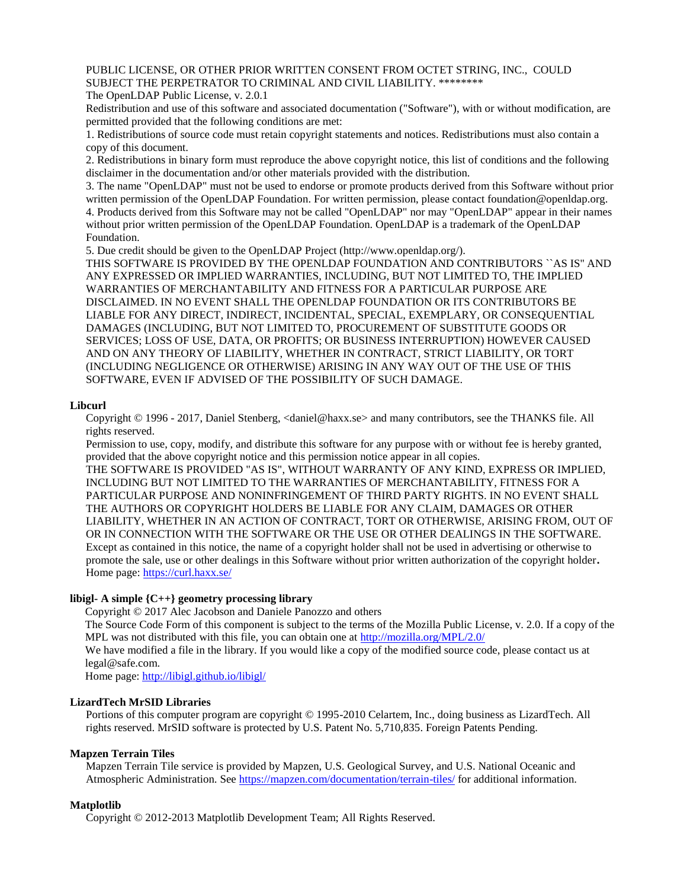## PUBLIC LICENSE, OR OTHER PRIOR WRITTEN CONSENT FROM OCTET STRING, INC., COULD SUBJECT THE PERPETRATOR TO CRIMINAL AND CIVIL LIABILITY. \*\*\*\*\*\*\*\*

The OpenLDAP Public License, v. 2.0.1

Redistribution and use of this software and associated documentation ("Software"), with or without modification, are permitted provided that the following conditions are met:

1. Redistributions of source code must retain copyright statements and notices. Redistributions must also contain a copy of this document.

2. Redistributions in binary form must reproduce the above copyright notice, this list of conditions and the following disclaimer in the documentation and/or other materials provided with the distribution.

3. The name "OpenLDAP" must not be used to endorse or promote products derived from this Software without prior written permission of the OpenLDAP Foundation. For written permission, please contact foundation@openldap.org. 4. Products derived from this Software may not be called "OpenLDAP" nor may "OpenLDAP" appear in their names without prior written permission of the OpenLDAP Foundation. OpenLDAP is a trademark of the OpenLDAP Foundation.

5. Due credit should be given to the OpenLDAP Project (http://www.openldap.org/).

THIS SOFTWARE IS PROVIDED BY THE OPENLDAP FOUNDATION AND CONTRIBUTORS ``AS IS'' AND ANY EXPRESSED OR IMPLIED WARRANTIES, INCLUDING, BUT NOT LIMITED TO, THE IMPLIED WARRANTIES OF MERCHANTABILITY AND FITNESS FOR A PARTICULAR PURPOSE ARE DISCLAIMED. IN NO EVENT SHALL THE OPENLDAP FOUNDATION OR ITS CONTRIBUTORS BE LIABLE FOR ANY DIRECT, INDIRECT, INCIDENTAL, SPECIAL, EXEMPLARY, OR CONSEQUENTIAL DAMAGES (INCLUDING, BUT NOT LIMITED TO, PROCUREMENT OF SUBSTITUTE GOODS OR SERVICES; LOSS OF USE, DATA, OR PROFITS; OR BUSINESS INTERRUPTION) HOWEVER CAUSED AND ON ANY THEORY OF LIABILITY, WHETHER IN CONTRACT, STRICT LIABILITY, OR TORT (INCLUDING NEGLIGENCE OR OTHERWISE) ARISING IN ANY WAY OUT OF THE USE OF THIS SOFTWARE, EVEN IF ADVISED OF THE POSSIBILITY OF SUCH DAMAGE.

### **Libcurl**

Copyright © 1996 - 2017, Daniel Stenberg, <daniel@haxx.se> and many contributors, see the THANKS file. All rights reserved.

Permission to use, copy, modify, and distribute this software for any purpose with or without fee is hereby granted, provided that the above copyright notice and this permission notice appear in all copies.

THE SOFTWARE IS PROVIDED "AS IS", WITHOUT WARRANTY OF ANY KIND, EXPRESS OR IMPLIED, INCLUDING BUT NOT LIMITED TO THE WARRANTIES OF MERCHANTABILITY, FITNESS FOR A PARTICULAR PURPOSE AND NONINFRINGEMENT OF THIRD PARTY RIGHTS. IN NO EVENT SHALL THE AUTHORS OR COPYRIGHT HOLDERS BE LIABLE FOR ANY CLAIM, DAMAGES OR OTHER LIABILITY, WHETHER IN AN ACTION OF CONTRACT, TORT OR OTHERWISE, ARISING FROM, OUT OF OR IN CONNECTION WITH THE SOFTWARE OR THE USE OR OTHER DEALINGS IN THE SOFTWARE. Except as contained in this notice, the name of a copyright holder shall not be used in advertising or otherwise to promote the sale, use or other dealings in this Software without prior written authorization of the copyright holder**.** Home page[: https://curl.haxx.se/](https://curl.haxx.se/)

## **libigl- A simple {C++} geometry processing library**

Copyright © 2017 Alec Jacobson and Daniele Panozzo and others

The Source Code Form of this component is subject to the terms of the Mozilla Public License, v. 2.0. If a copy of the MPL was not distributed with this file, you can obtain one at<http://mozilla.org/MPL/2.0/>

We have modified a file in the library. If you would like a copy of the modified source code, please contact us at legal@safe.com.

Home page:<http://libigl.github.io/libigl/>

### **LizardTech MrSID Libraries**

Portions of this computer program are copyright © 1995-2010 Celartem, Inc., doing business as LizardTech. All rights reserved. MrSID software is protected by U.S. Patent No. 5,710,835. Foreign Patents Pending.

### **Mapzen Terrain Tiles**

Mapzen Terrain Tile service is provided by Mapzen, U.S. Geological Survey, and U.S. National Oceanic and Atmospheric Administration. See<https://mapzen.com/documentation/terrain-tiles/> for additional information.

## **Matplotlib**

Copyright © 2012-2013 Matplotlib Development Team; All Rights Reserved.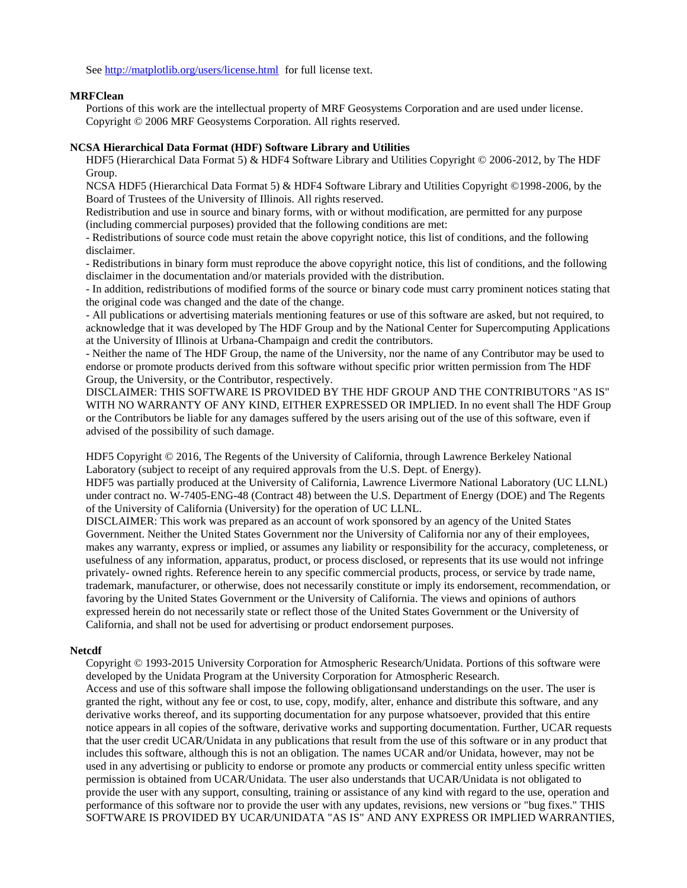See<http://matplotlib.org/users/license.html> for full license text.

### **MRFClean**

Portions of this work are the intellectual property of MRF Geosystems Corporation and are used under license. Copyright © 2006 MRF Geosystems Corporation. All rights reserved.

### **NCSA Hierarchical Data Format (HDF) Software Library and Utilities**

HDF5 (Hierarchical Data Format 5) & HDF4 Software Library and Utilities Copyright © 2006-2012, by The HDF Group.

NCSA HDF5 (Hierarchical Data Format 5) & HDF4 Software Library and Utilities Copyright ©1998-2006, by the Board of Trustees of the University of Illinois. All rights reserved.

Redistribution and use in source and binary forms, with or without modification, are permitted for any purpose (including commercial purposes) provided that the following conditions are met:

- Redistributions of source code must retain the above copyright notice, this list of conditions, and the following disclaimer.

- Redistributions in binary form must reproduce the above copyright notice, this list of conditions, and the following disclaimer in the documentation and/or materials provided with the distribution.

- In addition, redistributions of modified forms of the source or binary code must carry prominent notices stating that the original code was changed and the date of the change.

- All publications or advertising materials mentioning features or use of this software are asked, but not required, to acknowledge that it was developed by The HDF Group and by the National Center for Supercomputing Applications at the University of Illinois at Urbana-Champaign and credit the contributors.

- Neither the name of The HDF Group, the name of the University, nor the name of any Contributor may be used to endorse or promote products derived from this software without specific prior written permission from The HDF Group, the University, or the Contributor, respectively.

DISCLAIMER: THIS SOFTWARE IS PROVIDED BY THE HDF GROUP AND THE CONTRIBUTORS "AS IS" WITH NO WARRANTY OF ANY KIND, EITHER EXPRESSED OR IMPLIED. In no event shall The HDF Group or the Contributors be liable for any damages suffered by the users arising out of the use of this software, even if advised of the possibility of such damage.

HDF5 Copyright © 2016, The Regents of the University of California, through Lawrence Berkeley National Laboratory (subject to receipt of any required approvals from the U.S. Dept. of Energy).

HDF5 was partially produced at the University of California, Lawrence Livermore National Laboratory (UC LLNL) under contract no. W-7405-ENG-48 (Contract 48) between the U.S. Department of Energy (DOE) and The Regents of the University of California (University) for the operation of UC LLNL.

DISCLAIMER: This work was prepared as an account of work sponsored by an agency of the United States Government. Neither the United States Government nor the University of California nor any of their employees, makes any warranty, express or implied, or assumes any liability or responsibility for the accuracy, completeness, or usefulness of any information, apparatus, product, or process disclosed, or represents that its use would not infringe privately- owned rights. Reference herein to any specific commercial products, process, or service by trade name, trademark, manufacturer, or otherwise, does not necessarily constitute or imply its endorsement, recommendation, or favoring by the United States Government or the University of California. The views and opinions of authors expressed herein do not necessarily state or reflect those of the United States Government or the University of California, and shall not be used for advertising or product endorsement purposes.

### **Netcdf**

Copyright © 1993-2015 University Corporation for Atmospheric Research/Unidata. Portions of this software were developed by the Unidata Program at the University Corporation for Atmospheric Research.

Access and use of this software shall impose the following obligationsand understandings on the user. The user is granted the right, without any fee or cost, to use, copy, modify, alter, enhance and distribute this software, and any derivative works thereof, and its supporting documentation for any purpose whatsoever, provided that this entire notice appears in all copies of the software, derivative works and supporting documentation. Further, UCAR requests that the user credit UCAR/Unidata in any publications that result from the use of this software or in any product that includes this software, although this is not an obligation. The names UCAR and/or Unidata, however, may not be used in any advertising or publicity to endorse or promote any products or commercial entity unless specific written permission is obtained from UCAR/Unidata. The user also understands that UCAR/Unidata is not obligated to provide the user with any support, consulting, training or assistance of any kind with regard to the use, operation and performance of this software nor to provide the user with any updates, revisions, new versions or "bug fixes." THIS SOFTWARE IS PROVIDED BY UCAR/UNIDATA "AS IS" AND ANY EXPRESS OR IMPLIED WARRANTIES,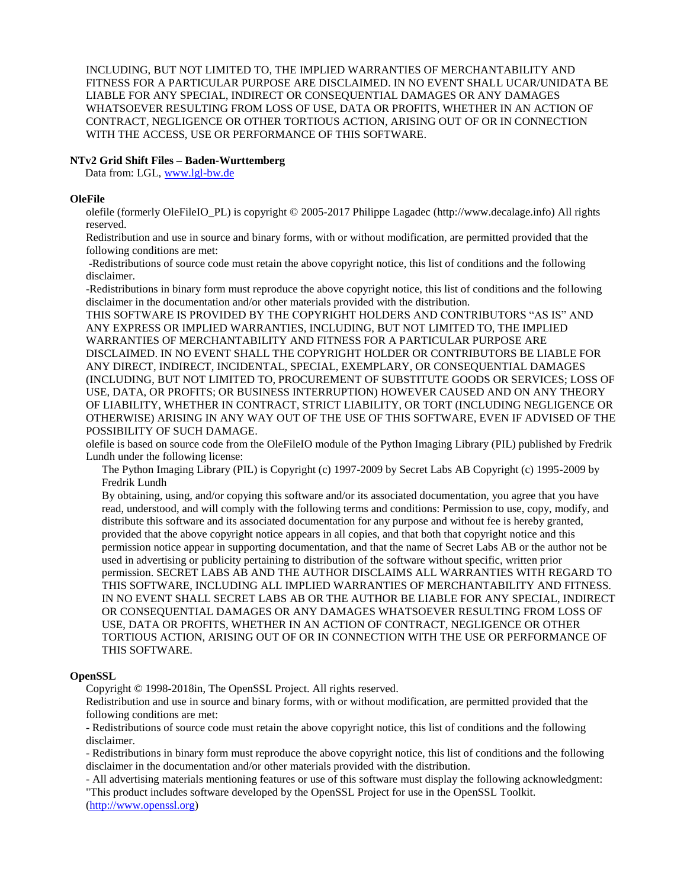INCLUDING, BUT NOT LIMITED TO, THE IMPLIED WARRANTIES OF MERCHANTABILITY AND FITNESS FOR A PARTICULAR PURPOSE ARE DISCLAIMED. IN NO EVENT SHALL UCAR/UNIDATA BE LIABLE FOR ANY SPECIAL, INDIRECT OR CONSEQUENTIAL DAMAGES OR ANY DAMAGES WHATSOEVER RESULTING FROM LOSS OF USE, DATA OR PROFITS, WHETHER IN AN ACTION OF CONTRACT, NEGLIGENCE OR OTHER TORTIOUS ACTION, ARISING OUT OF OR IN CONNECTION WITH THE ACCESS, USE OR PERFORMANCE OF THIS SOFTWARE.

## **NTv2 Grid Shift Files – Baden-Wurttemberg**

Data from: LGL, [www.lgl-bw.de](http://www.lgl-bw.de/)

### **OleFile**

olefile (formerly OleFileIO\_PL) is copyright © 2005-2017 Philippe Lagadec (http://www.decalage.info) All rights reserved.

Redistribution and use in source and binary forms, with or without modification, are permitted provided that the following conditions are met:

-Redistributions of source code must retain the above copyright notice, this list of conditions and the following disclaimer.

-Redistributions in binary form must reproduce the above copyright notice, this list of conditions and the following disclaimer in the documentation and/or other materials provided with the distribution.

THIS SOFTWARE IS PROVIDED BY THE COPYRIGHT HOLDERS AND CONTRIBUTORS "AS IS" AND ANY EXPRESS OR IMPLIED WARRANTIES, INCLUDING, BUT NOT LIMITED TO, THE IMPLIED WARRANTIES OF MERCHANTABILITY AND FITNESS FOR A PARTICULAR PURPOSE ARE DISCLAIMED. IN NO EVENT SHALL THE COPYRIGHT HOLDER OR CONTRIBUTORS BE LIABLE FOR ANY DIRECT, INDIRECT, INCIDENTAL, SPECIAL, EXEMPLARY, OR CONSEQUENTIAL DAMAGES (INCLUDING, BUT NOT LIMITED TO, PROCUREMENT OF SUBSTITUTE GOODS OR SERVICES; LOSS OF USE, DATA, OR PROFITS; OR BUSINESS INTERRUPTION) HOWEVER CAUSED AND ON ANY THEORY OF LIABILITY, WHETHER IN CONTRACT, STRICT LIABILITY, OR TORT (INCLUDING NEGLIGENCE OR OTHERWISE) ARISING IN ANY WAY OUT OF THE USE OF THIS SOFTWARE, EVEN IF ADVISED OF THE POSSIBILITY OF SUCH DAMAGE.

olefile is based on source code from the OleFileIO module of the Python Imaging Library (PIL) published by Fredrik Lundh under the following license:

The Python Imaging Library (PIL) is Copyright (c) 1997-2009 by Secret Labs AB Copyright (c) 1995-2009 by Fredrik Lundh

By obtaining, using, and/or copying this software and/or its associated documentation, you agree that you have read, understood, and will comply with the following terms and conditions: Permission to use, copy, modify, and distribute this software and its associated documentation for any purpose and without fee is hereby granted, provided that the above copyright notice appears in all copies, and that both that copyright notice and this permission notice appear in supporting documentation, and that the name of Secret Labs AB or the author not be used in advertising or publicity pertaining to distribution of the software without specific, written prior permission. SECRET LABS AB AND THE AUTHOR DISCLAIMS ALL WARRANTIES WITH REGARD TO THIS SOFTWARE, INCLUDING ALL IMPLIED WARRANTIES OF MERCHANTABILITY AND FITNESS. IN NO EVENT SHALL SECRET LABS AB OR THE AUTHOR BE LIABLE FOR ANY SPECIAL, INDIRECT OR CONSEQUENTIAL DAMAGES OR ANY DAMAGES WHATSOEVER RESULTING FROM LOSS OF USE, DATA OR PROFITS, WHETHER IN AN ACTION OF CONTRACT, NEGLIGENCE OR OTHER TORTIOUS ACTION, ARISING OUT OF OR IN CONNECTION WITH THE USE OR PERFORMANCE OF THIS SOFTWARE.

### **OpenSSL**

Copyright © 1998-2018in, The OpenSSL Project. All rights reserved.

Redistribution and use in source and binary forms, with or without modification, are permitted provided that the following conditions are met:

- Redistributions of source code must retain the above copyright notice, this list of conditions and the following disclaimer.

- Redistributions in binary form must reproduce the above copyright notice, this list of conditions and the following disclaimer in the documentation and/or other materials provided with the distribution.

- All advertising materials mentioning features or use of this software must display the following acknowledgment: "This product includes software developed by the OpenSSL Project for use in the OpenSSL Toolkit.

[\(http://www.openssl.org\)](http://www.openssl.org/)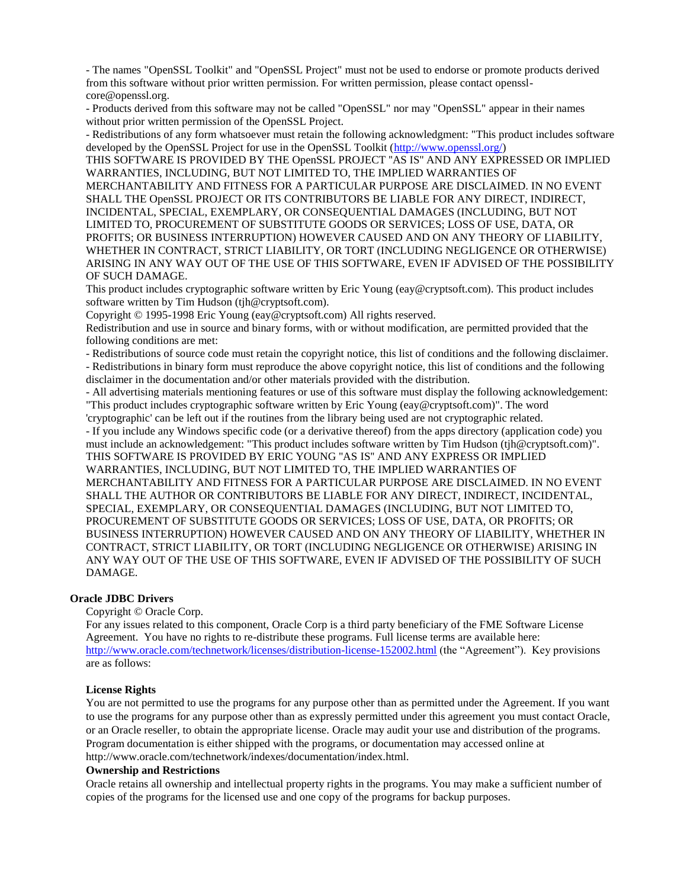- The names "OpenSSL Toolkit" and "OpenSSL Project" must not be used to endorse or promote products derived from this software without prior written permission. For written permission, please contact opensslcore@openssl.org.

- Products derived from this software may not be called "OpenSSL" nor may "OpenSSL" appear in their names without prior written permission of the OpenSSL Project.

- Redistributions of any form whatsoever must retain the following acknowledgment: "This product includes software developed by the OpenSSL Project for use in the OpenSSL Toolkit [\(http://www.openssl.org/\)](http://www.openssl.org/)

THIS SOFTWARE IS PROVIDED BY THE OpenSSL PROJECT ''AS IS'' AND ANY EXPRESSED OR IMPLIED WARRANTIES, INCLUDING, BUT NOT LIMITED TO, THE IMPLIED WARRANTIES OF

MERCHANTABILITY AND FITNESS FOR A PARTICULAR PURPOSE ARE DISCLAIMED. IN NO EVENT SHALL THE OpenSSL PROJECT OR ITS CONTRIBUTORS BE LIABLE FOR ANY DIRECT, INDIRECT, INCIDENTAL, SPECIAL, EXEMPLARY, OR CONSEQUENTIAL DAMAGES (INCLUDING, BUT NOT LIMITED TO, PROCUREMENT OF SUBSTITUTE GOODS OR SERVICES; LOSS OF USE, DATA, OR PROFITS; OR BUSINESS INTERRUPTION) HOWEVER CAUSED AND ON ANY THEORY OF LIABILITY, WHETHER IN CONTRACT, STRICT LIABILITY, OR TORT (INCLUDING NEGLIGENCE OR OTHERWISE) ARISING IN ANY WAY OUT OF THE USE OF THIS SOFTWARE, EVEN IF ADVISED OF THE POSSIBILITY OF SUCH DAMAGE.

This product includes cryptographic software written by Eric Young (eay@cryptsoft.com). This product includes software written by Tim Hudson (tjh@cryptsoft.com).

Copyright © 1995-1998 Eric Young (eay@cryptsoft.com) All rights reserved.

Redistribution and use in source and binary forms, with or without modification, are permitted provided that the following conditions are met:

- Redistributions of source code must retain the copyright notice, this list of conditions and the following disclaimer. - Redistributions in binary form must reproduce the above copyright notice, this list of conditions and the following disclaimer in the documentation and/or other materials provided with the distribution.

- All advertising materials mentioning features or use of this software must display the following acknowledgement: "This product includes cryptographic software written by Eric Young (eay@cryptsoft.com)". The word

'cryptographic' can be left out if the routines from the library being used are not cryptographic related.

- If you include any Windows specific code (or a derivative thereof) from the apps directory (application code) you must include an acknowledgement: "This product includes software written by Tim Hudson (tjh@cryptsoft.com)". THIS SOFTWARE IS PROVIDED BY ERIC YOUNG ''AS IS'' AND ANY EXPRESS OR IMPLIED WARRANTIES, INCLUDING, BUT NOT LIMITED TO, THE IMPLIED WARRANTIES OF MERCHANTABILITY AND FITNESS FOR A PARTICULAR PURPOSE ARE DISCLAIMED. IN NO EVENT SHALL THE AUTHOR OR CONTRIBUTORS BE LIABLE FOR ANY DIRECT, INDIRECT, INCIDENTAL, SPECIAL, EXEMPLARY, OR CONSEQUENTIAL DAMAGES (INCLUDING, BUT NOT LIMITED TO, PROCUREMENT OF SUBSTITUTE GOODS OR SERVICES; LOSS OF USE, DATA, OR PROFITS; OR BUSINESS INTERRUPTION) HOWEVER CAUSED AND ON ANY THEORY OF LIABILITY, WHETHER IN CONTRACT, STRICT LIABILITY, OR TORT (INCLUDING NEGLIGENCE OR OTHERWISE) ARISING IN ANY WAY OUT OF THE USE OF THIS SOFTWARE, EVEN IF ADVISED OF THE POSSIBILITY OF SUCH DAMAGE.

## **Oracle JDBC Drivers**

Copyright © Oracle Corp.

For any issues related to this component, Oracle Corp is a third party beneficiary of the FME Software License Agreement. You have no rights to re-distribute these programs. Full license terms are available here: <http://www.oracle.com/technetwork/licenses/distribution-license-152002.html> (the "Agreement"). Key provisions are as follows:

### **License Rights**

You are not permitted to use the programs for any purpose other than as permitted under the Agreement. If you want to use the programs for any purpose other than as expressly permitted under this agreement you must contact Oracle, or an Oracle reseller, to obtain the appropriate license. Oracle may audit your use and distribution of the programs. Program documentation is either shipped with the programs, or documentation may accessed online at http://www.oracle.com/technetwork/indexes/documentation/index.html.

#### **Ownership and Restrictions**

Oracle retains all ownership and intellectual property rights in the programs. You may make a sufficient number of copies of the programs for the licensed use and one copy of the programs for backup purposes.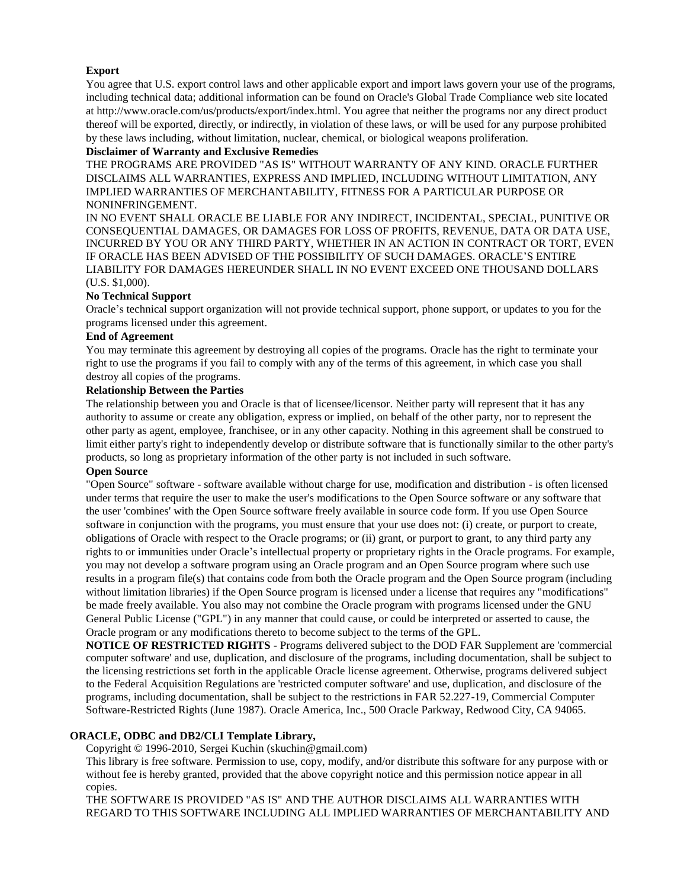## **Export**

You agree that U.S. export control laws and other applicable export and import laws govern your use of the programs, including technical data; additional information can be found on Oracle's Global Trade Compliance web site located at http://www.oracle.com/us/products/export/index.html. You agree that neither the programs nor any direct product thereof will be exported, directly, or indirectly, in violation of these laws, or will be used for any purpose prohibited by these laws including, without limitation, nuclear, chemical, or biological weapons proliferation.

## **Disclaimer of Warranty and Exclusive Remedies**

THE PROGRAMS ARE PROVIDED "AS IS" WITHOUT WARRANTY OF ANY KIND. ORACLE FURTHER DISCLAIMS ALL WARRANTIES, EXPRESS AND IMPLIED, INCLUDING WITHOUT LIMITATION, ANY IMPLIED WARRANTIES OF MERCHANTABILITY, FITNESS FOR A PARTICULAR PURPOSE OR NONINFRINGEMENT.

IN NO EVENT SHALL ORACLE BE LIABLE FOR ANY INDIRECT, INCIDENTAL, SPECIAL, PUNITIVE OR CONSEQUENTIAL DAMAGES, OR DAMAGES FOR LOSS OF PROFITS, REVENUE, DATA OR DATA USE, INCURRED BY YOU OR ANY THIRD PARTY, WHETHER IN AN ACTION IN CONTRACT OR TORT, EVEN IF ORACLE HAS BEEN ADVISED OF THE POSSIBILITY OF SUCH DAMAGES. ORACLE'S ENTIRE LIABILITY FOR DAMAGES HEREUNDER SHALL IN NO EVENT EXCEED ONE THOUSAND DOLLARS (U.S. \$1,000).

## **No Technical Support**

Oracle's technical support organization will not provide technical support, phone support, or updates to you for the programs licensed under this agreement.

### **End of Agreement**

You may terminate this agreement by destroying all copies of the programs. Oracle has the right to terminate your right to use the programs if you fail to comply with any of the terms of this agreement, in which case you shall destroy all copies of the programs.

## **Relationship Between the Parties**

The relationship between you and Oracle is that of licensee/licensor. Neither party will represent that it has any authority to assume or create any obligation, express or implied, on behalf of the other party, nor to represent the other party as agent, employee, franchisee, or in any other capacity. Nothing in this agreement shall be construed to limit either party's right to independently develop or distribute software that is functionally similar to the other party's products, so long as proprietary information of the other party is not included in such software.

## **Open Source**

"Open Source" software - software available without charge for use, modification and distribution - is often licensed under terms that require the user to make the user's modifications to the Open Source software or any software that the user 'combines' with the Open Source software freely available in source code form. If you use Open Source software in conjunction with the programs, you must ensure that your use does not: (i) create, or purport to create, obligations of Oracle with respect to the Oracle programs; or (ii) grant, or purport to grant, to any third party any rights to or immunities under Oracle's intellectual property or proprietary rights in the Oracle programs. For example, you may not develop a software program using an Oracle program and an Open Source program where such use results in a program file(s) that contains code from both the Oracle program and the Open Source program (including without limitation libraries) if the Open Source program is licensed under a license that requires any "modifications" be made freely available. You also may not combine the Oracle program with programs licensed under the GNU General Public License ("GPL") in any manner that could cause, or could be interpreted or asserted to cause, the Oracle program or any modifications thereto to become subject to the terms of the GPL.

**NOTICE OF RESTRICTED RIGHTS** - Programs delivered subject to the DOD FAR Supplement are 'commercial computer software' and use, duplication, and disclosure of the programs, including documentation, shall be subject to the licensing restrictions set forth in the applicable Oracle license agreement. Otherwise, programs delivered subject to the Federal Acquisition Regulations are 'restricted computer software' and use, duplication, and disclosure of the programs, including documentation, shall be subject to the restrictions in FAR 52.227-19, Commercial Computer Software-Restricted Rights (June 1987). Oracle America, Inc., 500 Oracle Parkway, Redwood City, CA 94065.

## **ORACLE, ODBC and DB2/CLI Template Library,**

Copyright © 1996-2010, Sergei Kuchin (skuchin@gmail.com)

This library is free software. Permission to use, copy, modify, and/or distribute this software for any purpose with or without fee is hereby granted, provided that the above copyright notice and this permission notice appear in all copies.

THE SOFTWARE IS PROVIDED "AS IS" AND THE AUTHOR DISCLAIMS ALL WARRANTIES WITH REGARD TO THIS SOFTWARE INCLUDING ALL IMPLIED WARRANTIES OF MERCHANTABILITY AND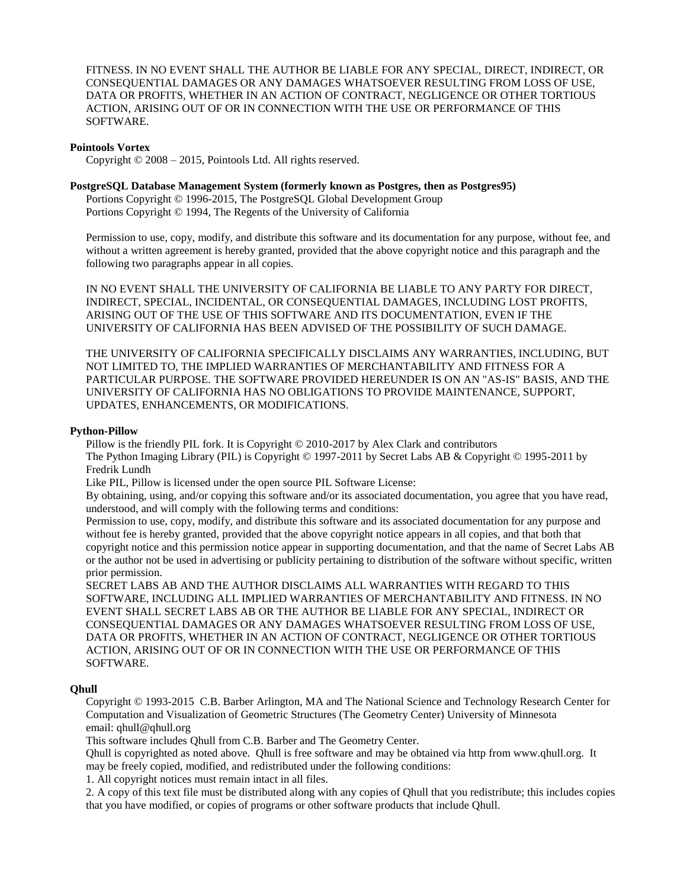FITNESS. IN NO EVENT SHALL THE AUTHOR BE LIABLE FOR ANY SPECIAL, DIRECT, INDIRECT, OR CONSEQUENTIAL DAMAGES OR ANY DAMAGES WHATSOEVER RESULTING FROM LOSS OF USE, DATA OR PROFITS, WHETHER IN AN ACTION OF CONTRACT, NEGLIGENCE OR OTHER TORTIOUS ACTION, ARISING OUT OF OR IN CONNECTION WITH THE USE OR PERFORMANCE OF THIS SOFTWARE.

### **Pointools Vortex**

Copyright © 2008 – 2015, Pointools Ltd. All rights reserved.

## **PostgreSQL Database Management System (formerly known as Postgres, then as Postgres95)**

Portions Copyright © 1996-2015, The PostgreSQL Global Development Group Portions Copyright © 1994, The Regents of the University of California

Permission to use, copy, modify, and distribute this software and its documentation for any purpose, without fee, and without a written agreement is hereby granted, provided that the above copyright notice and this paragraph and the following two paragraphs appear in all copies.

IN NO EVENT SHALL THE UNIVERSITY OF CALIFORNIA BE LIABLE TO ANY PARTY FOR DIRECT, INDIRECT, SPECIAL, INCIDENTAL, OR CONSEQUENTIAL DAMAGES, INCLUDING LOST PROFITS, ARISING OUT OF THE USE OF THIS SOFTWARE AND ITS DOCUMENTATION, EVEN IF THE UNIVERSITY OF CALIFORNIA HAS BEEN ADVISED OF THE POSSIBILITY OF SUCH DAMAGE.

THE UNIVERSITY OF CALIFORNIA SPECIFICALLY DISCLAIMS ANY WARRANTIES, INCLUDING, BUT NOT LIMITED TO, THE IMPLIED WARRANTIES OF MERCHANTABILITY AND FITNESS FOR A PARTICULAR PURPOSE. THE SOFTWARE PROVIDED HEREUNDER IS ON AN "AS-IS" BASIS, AND THE UNIVERSITY OF CALIFORNIA HAS NO OBLIGATIONS TO PROVIDE MAINTENANCE, SUPPORT, UPDATES, ENHANCEMENTS, OR MODIFICATIONS.

### **Python-Pillow**

Pillow is the friendly PIL fork. It is Copyright © 2010-2017 by Alex Clark and contributors The Python Imaging Library (PIL) is Copyright © 1997-2011 by Secret Labs AB & Copyright © 1995-2011 by Fredrik Lundh

Like PIL, Pillow is licensed under the open source PIL Software License:

By obtaining, using, and/or copying this software and/or its associated documentation, you agree that you have read, understood, and will comply with the following terms and conditions:

Permission to use, copy, modify, and distribute this software and its associated documentation for any purpose and without fee is hereby granted, provided that the above copyright notice appears in all copies, and that both that copyright notice and this permission notice appear in supporting documentation, and that the name of Secret Labs AB or the author not be used in advertising or publicity pertaining to distribution of the software without specific, written prior permission.

SECRET LABS AB AND THE AUTHOR DISCLAIMS ALL WARRANTIES WITH REGARD TO THIS SOFTWARE, INCLUDING ALL IMPLIED WARRANTIES OF MERCHANTABILITY AND FITNESS. IN NO EVENT SHALL SECRET LABS AB OR THE AUTHOR BE LIABLE FOR ANY SPECIAL, INDIRECT OR CONSEQUENTIAL DAMAGES OR ANY DAMAGES WHATSOEVER RESULTING FROM LOSS OF USE, DATA OR PROFITS, WHETHER IN AN ACTION OF CONTRACT, NEGLIGENCE OR OTHER TORTIOUS ACTION, ARISING OUT OF OR IN CONNECTION WITH THE USE OR PERFORMANCE OF THIS SOFTWARE.

### **Qhull**

Copyright © 1993-2015 C.B. Barber Arlington, MA and The National Science and Technology Research Center for Computation and Visualization of Geometric Structures (The Geometry Center) University of Minnesota email: qhull@qhull.org

This software includes Qhull from C.B. Barber and The Geometry Center.

Qhull is copyrighted as noted above. Qhull is free software and may be obtained via http from www.qhull.org. It may be freely copied, modified, and redistributed under the following conditions:

1. All copyright notices must remain intact in all files.

2. A copy of this text file must be distributed along with any copies of Qhull that you redistribute; this includes copies that you have modified, or copies of programs or other software products that include Qhull.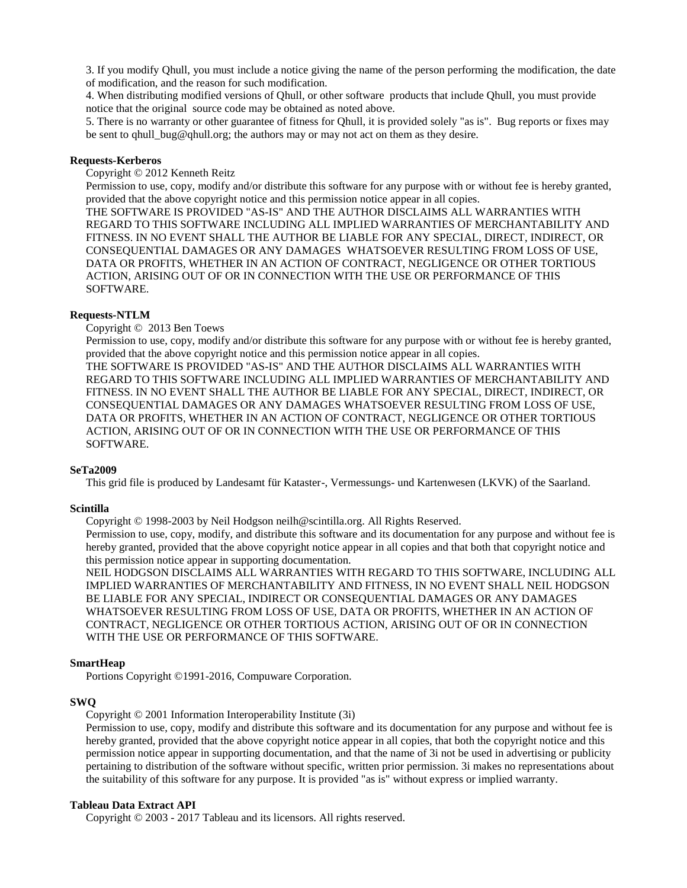3. If you modify Qhull, you must include a notice giving the name of the person performing the modification, the date of modification, and the reason for such modification.

4. When distributing modified versions of Qhull, or other software products that include Qhull, you must provide notice that the original source code may be obtained as noted above.

5. There is no warranty or other guarantee of fitness for Qhull, it is provided solely "as is". Bug reports or fixes may be sent to qhull\_bug@qhull.org; the authors may or may not act on them as they desire.

## **Requests-Kerberos**

Copyright © 2012 Kenneth Reitz

Permission to use, copy, modify and/or distribute this software for any purpose with or without fee is hereby granted, provided that the above copyright notice and this permission notice appear in all copies.

THE SOFTWARE IS PROVIDED "AS-IS" AND THE AUTHOR DISCLAIMS ALL WARRANTIES WITH REGARD TO THIS SOFTWARE INCLUDING ALL IMPLIED WARRANTIES OF MERCHANTABILITY AND FITNESS. IN NO EVENT SHALL THE AUTHOR BE LIABLE FOR ANY SPECIAL, DIRECT, INDIRECT, OR CONSEQUENTIAL DAMAGES OR ANY DAMAGES WHATSOEVER RESULTING FROM LOSS OF USE, DATA OR PROFITS, WHETHER IN AN ACTION OF CONTRACT, NEGLIGENCE OR OTHER TORTIOUS ACTION, ARISING OUT OF OR IN CONNECTION WITH THE USE OR PERFORMANCE OF THIS SOFTWARE.

## **Requests-NTLM**

Copyright © 2013 Ben Toews

Permission to use, copy, modify and/or distribute this software for any purpose with or without fee is hereby granted, provided that the above copyright notice and this permission notice appear in all copies.

THE SOFTWARE IS PROVIDED "AS-IS" AND THE AUTHOR DISCLAIMS ALL WARRANTIES WITH REGARD TO THIS SOFTWARE INCLUDING ALL IMPLIED WARRANTIES OF MERCHANTABILITY AND FITNESS. IN NO EVENT SHALL THE AUTHOR BE LIABLE FOR ANY SPECIAL, DIRECT, INDIRECT, OR CONSEQUENTIAL DAMAGES OR ANY DAMAGES WHATSOEVER RESULTING FROM LOSS OF USE, DATA OR PROFITS, WHETHER IN AN ACTION OF CONTRACT, NEGLIGENCE OR OTHER TORTIOUS ACTION, ARISING OUT OF OR IN CONNECTION WITH THE USE OR PERFORMANCE OF THIS SOFTWARE.

### **SeTa2009**

This grid file is produced by Landesamt für Kataster-, Vermessungs- und Kartenwesen (LKVK) of the Saarland.

### **Scintilla**

Copyright © 1998-2003 by Neil Hodgson neilh@scintilla.org. All Rights Reserved.

Permission to use, copy, modify, and distribute this software and its documentation for any purpose and without fee is hereby granted, provided that the above copyright notice appear in all copies and that both that copyright notice and this permission notice appear in supporting documentation.

NEIL HODGSON DISCLAIMS ALL WARRANTIES WITH REGARD TO THIS SOFTWARE, INCLUDING ALL IMPLIED WARRANTIES OF MERCHANTABILITY AND FITNESS, IN NO EVENT SHALL NEIL HODGSON BE LIABLE FOR ANY SPECIAL, INDIRECT OR CONSEQUENTIAL DAMAGES OR ANY DAMAGES WHATSOEVER RESULTING FROM LOSS OF USE, DATA OR PROFITS, WHETHER IN AN ACTION OF CONTRACT, NEGLIGENCE OR OTHER TORTIOUS ACTION, ARISING OUT OF OR IN CONNECTION WITH THE USE OR PERFORMANCE OF THIS SOFTWARE.

### **SmartHeap**

Portions Copyright ©1991-2016, Compuware Corporation.

## **SWQ**

Copyright © 2001 Information Interoperability Institute (3i)

Permission to use, copy, modify and distribute this software and its documentation for any purpose and without fee is hereby granted, provided that the above copyright notice appear in all copies, that both the copyright notice and this permission notice appear in supporting documentation, and that the name of 3i not be used in advertising or publicity pertaining to distribution of the software without specific, written prior permission. 3i makes no representations about the suitability of this software for any purpose. It is provided "as is" without express or implied warranty.

### **Tableau Data Extract API**

Copyright © 2003 - 2017 Tableau and its licensors. All rights reserved.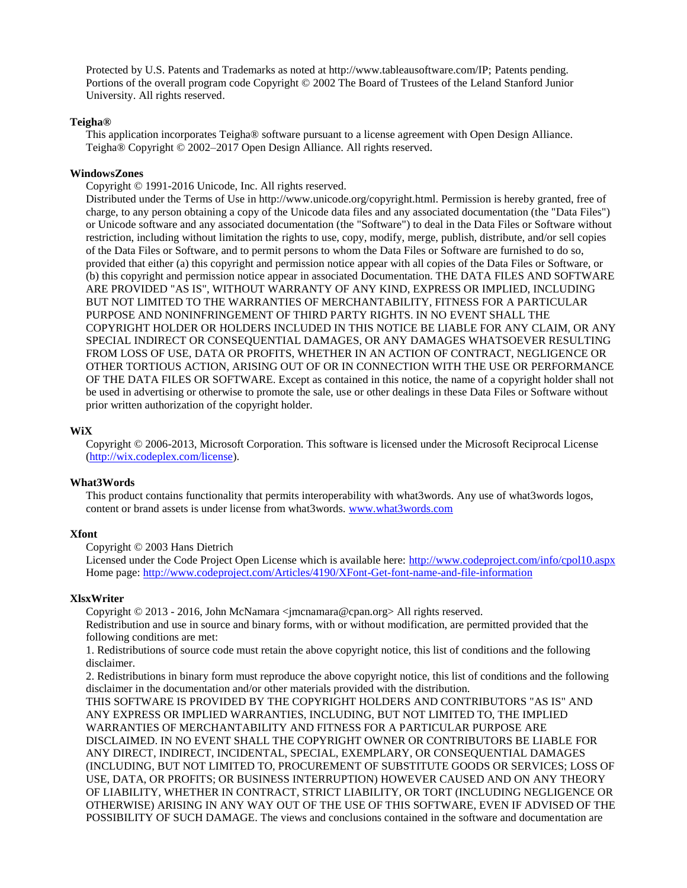Protected by U.S. Patents and Trademarks as noted at http://www.tableausoftware.com/IP; Patents pending. Portions of the overall program code Copyright © 2002 The Board of Trustees of the Leland Stanford Junior University. All rights reserved.

### **Teigha®**

This application incorporates Teigha® software pursuant to a license agreement with Open Design Alliance. Teigha® Copyright © 2002–2017 Open Design Alliance. All rights reserved.

### **WindowsZones**

Copyright © 1991-2016 Unicode, Inc. All rights reserved.

Distributed under the Terms of Use in http://www.unicode.org/copyright.html. Permission is hereby granted, free of charge, to any person obtaining a copy of the Unicode data files and any associated documentation (the "Data Files") or Unicode software and any associated documentation (the "Software") to deal in the Data Files or Software without restriction, including without limitation the rights to use, copy, modify, merge, publish, distribute, and/or sell copies of the Data Files or Software, and to permit persons to whom the Data Files or Software are furnished to do so, provided that either (a) this copyright and permission notice appear with all copies of the Data Files or Software, or (b) this copyright and permission notice appear in associated Documentation. THE DATA FILES AND SOFTWARE ARE PROVIDED "AS IS", WITHOUT WARRANTY OF ANY KIND, EXPRESS OR IMPLIED, INCLUDING BUT NOT LIMITED TO THE WARRANTIES OF MERCHANTABILITY, FITNESS FOR A PARTICULAR PURPOSE AND NONINFRINGEMENT OF THIRD PARTY RIGHTS. IN NO EVENT SHALL THE COPYRIGHT HOLDER OR HOLDERS INCLUDED IN THIS NOTICE BE LIABLE FOR ANY CLAIM, OR ANY SPECIAL INDIRECT OR CONSEQUENTIAL DAMAGES, OR ANY DAMAGES WHATSOEVER RESULTING FROM LOSS OF USE, DATA OR PROFITS, WHETHER IN AN ACTION OF CONTRACT, NEGLIGENCE OR OTHER TORTIOUS ACTION, ARISING OUT OF OR IN CONNECTION WITH THE USE OR PERFORMANCE OF THE DATA FILES OR SOFTWARE. Except as contained in this notice, the name of a copyright holder shall not be used in advertising or otherwise to promote the sale, use or other dealings in these Data Files or Software without prior written authorization of the copyright holder.

### **WiX**

Copyright © 2006-2013, Microsoft Corporation. This software is licensed under the Microsoft Reciprocal License [\(http://wix.codeplex.com/license\)](http://wix.codeplex.com/license).

### **What3Words**

This product contains functionality that permits interoperability with what3words. Any use of what3words logos, content or brand assets is under license from what3words. [www.what3words.com](http://www.what3words.com/)

### **Xfont**

Copyright © 2003 Hans Dietrich

Licensed under the Code Project Open License which is available here:<http://www.codeproject.com/info/cpol10.aspx> Home page[: http://www.codeproject.com/Articles/4190/XFont-Get-font-name-and-file-information](http://www.codeproject.com/Articles/4190/XFont-Get-font-name-and-file-information)

### **XlsxWriter**

Copyright © 2013 - 2016, John McNamara <jmcnamara@cpan.org> All rights reserved. Redistribution and use in source and binary forms, with or without modification, are permitted provided that the following conditions are met:

1. Redistributions of source code must retain the above copyright notice, this list of conditions and the following disclaimer.

2. Redistributions in binary form must reproduce the above copyright notice, this list of conditions and the following disclaimer in the documentation and/or other materials provided with the distribution.

THIS SOFTWARE IS PROVIDED BY THE COPYRIGHT HOLDERS AND CONTRIBUTORS "AS IS" AND ANY EXPRESS OR IMPLIED WARRANTIES, INCLUDING, BUT NOT LIMITED TO, THE IMPLIED WARRANTIES OF MERCHANTABILITY AND FITNESS FOR A PARTICULAR PURPOSE ARE DISCLAIMED. IN NO EVENT SHALL THE COPYRIGHT OWNER OR CONTRIBUTORS BE LIABLE FOR ANY DIRECT, INDIRECT, INCIDENTAL, SPECIAL, EXEMPLARY, OR CONSEQUENTIAL DAMAGES (INCLUDING, BUT NOT LIMITED TO, PROCUREMENT OF SUBSTITUTE GOODS OR SERVICES; LOSS OF USE, DATA, OR PROFITS; OR BUSINESS INTERRUPTION) HOWEVER CAUSED AND ON ANY THEORY OF LIABILITY, WHETHER IN CONTRACT, STRICT LIABILITY, OR TORT (INCLUDING NEGLIGENCE OR OTHERWISE) ARISING IN ANY WAY OUT OF THE USE OF THIS SOFTWARE, EVEN IF ADVISED OF THE POSSIBILITY OF SUCH DAMAGE. The views and conclusions contained in the software and documentation are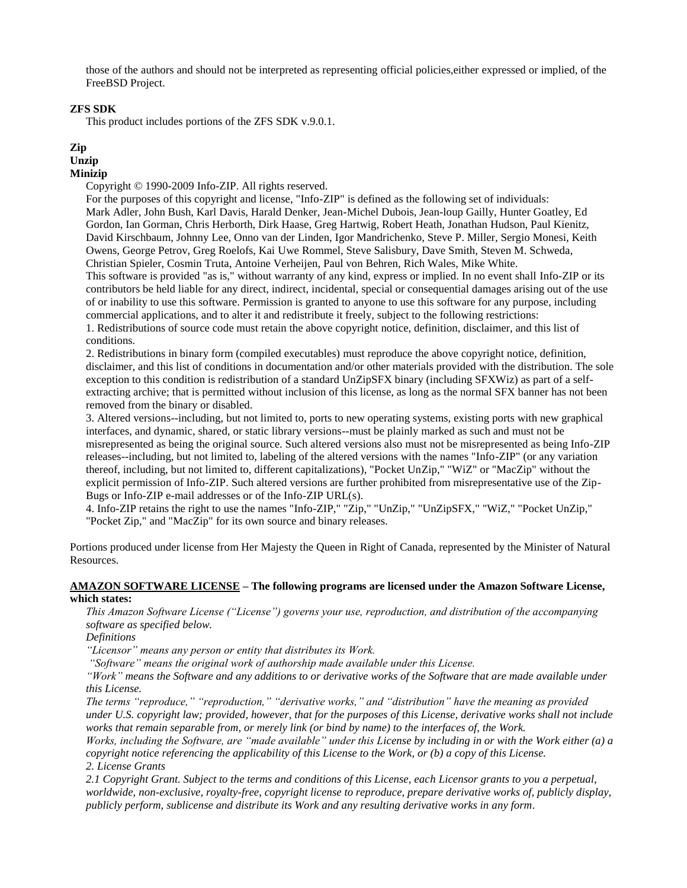those of the authors and should not be interpreted as representing official policies,either expressed or implied, of the FreeBSD Project.

## **ZFS SDK**

This product includes portions of the ZFS SDK v.9.0.1.

# **Zip**

# **Unzip**

## **Minizip**

Copyright © 1990-2009 Info-ZIP. All rights reserved.

For the purposes of this copyright and license, "Info-ZIP" is defined as the following set of individuals: Mark Adler, John Bush, Karl Davis, Harald Denker, Jean-Michel Dubois, Jean-loup Gailly, Hunter Goatley, Ed Gordon, Ian Gorman, Chris Herborth, Dirk Haase, Greg Hartwig, Robert Heath, Jonathan Hudson, Paul Kienitz, David Kirschbaum, Johnny Lee, Onno van der Linden, Igor Mandrichenko, Steve P. Miller, Sergio Monesi, Keith Owens, George Petrov, Greg Roelofs, Kai Uwe Rommel, Steve Salisbury, Dave Smith, Steven M. Schweda, Christian Spieler, Cosmin Truta, Antoine Verheijen, Paul von Behren, Rich Wales, Mike White. This software is provided "as is," without warranty of any kind, express or implied. In no event shall Info-ZIP or its contributors be held liable for any direct, indirect, incidental, special or consequential damages arising out of the use of or inability to use this software. Permission is granted to anyone to use this software for any purpose, including commercial applications, and to alter it and redistribute it freely, subject to the following restrictions:

1. Redistributions of source code must retain the above copyright notice, definition, disclaimer, and this list of conditions.

2. Redistributions in binary form (compiled executables) must reproduce the above copyright notice, definition, disclaimer, and this list of conditions in documentation and/or other materials provided with the distribution. The sole exception to this condition is redistribution of a standard UnZipSFX binary (including SFXWiz) as part of a selfextracting archive; that is permitted without inclusion of this license, as long as the normal SFX banner has not been removed from the binary or disabled.

3. Altered versions--including, but not limited to, ports to new operating systems, existing ports with new graphical interfaces, and dynamic, shared, or static library versions--must be plainly marked as such and must not be misrepresented as being the original source. Such altered versions also must not be misrepresented as being Info-ZIP releases--including, but not limited to, labeling of the altered versions with the names "Info-ZIP" (or any variation thereof, including, but not limited to, different capitalizations), "Pocket UnZip," "WiZ" or "MacZip" without the explicit permission of Info-ZIP. Such altered versions are further prohibited from misrepresentative use of the Zip-Bugs or Info-ZIP e-mail addresses or of the Info-ZIP URL(s).

4. Info-ZIP retains the right to use the names "Info-ZIP," "Zip," "UnZip," "UnZipSFX," "WiZ," "Pocket UnZip," "Pocket Zip," and "MacZip" for its own source and binary releases.

Portions produced under license from Her Majesty the Queen in Right of Canada, represented by the Minister of Natural Resources.

### **AMAZON SOFTWARE LICENSE – The following programs are licensed under the Amazon Software License, which states:**

*This Amazon Software License ("License") governs your use, reproduction, and distribution of the accompanying software as specified below.*

*Definitions* 

*"Licensor" means any person or entity that distributes its Work.*

*"Software" means the original work of authorship made available under this License.* 

*"Work" means the Software and any additions to or derivative works of the Software that are made available under this License.* 

*The terms "reproduce," "reproduction," "derivative works," and "distribution" have the meaning as provided under U.S. copyright law; provided, however, that for the purposes of this License, derivative works shall not include works that remain separable from, or merely link (or bind by name) to the interfaces of, the Work.* 

*Works, including the Software, are "made available" under this License by including in or with the Work either (a) a copyright notice referencing the applicability of this License to the Work, or (b) a copy of this License. 2. License Grants* 

*2.1 Copyright Grant. Subject to the terms and conditions of this License, each Licensor grants to you a perpetual, worldwide, non-exclusive, royalty-free, copyright license to reproduce, prepare derivative works of, publicly display, publicly perform, sublicense and distribute its Work and any resulting derivative works in any form.*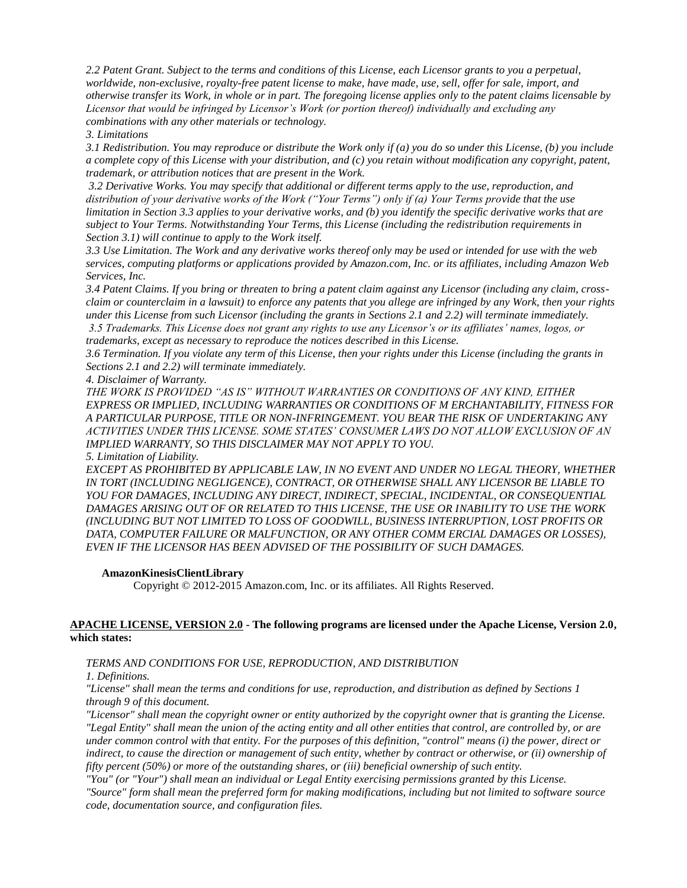*2.2 Patent Grant. Subject to the terms and conditions of this License, each Licensor grants to you a perpetual, worldwide, non-exclusive, royalty-free patent license to make, have made, use, sell, offer for sale, import, and otherwise transfer its Work, in whole or in part. The foregoing license applies only to the patent claims licensable by Licensor that would be infringed by Licensor's Work (or portion thereof) individually and excluding any combinations with any other materials or technology.*

*3. Limitations* 

*3.1 Redistribution. You may reproduce or distribute the Work only if (a) you do so under this License, (b) you include a complete copy of this License with your distribution, and (c) you retain without modification any copyright, patent, trademark, or attribution notices that are present in the Work.*

*3.2 Derivative Works. You may specify that additional or different terms apply to the use, reproduction, and distribution of your derivative works of the Work ("Your Terms") only if (a) Your Terms provide that the use limitation in Section 3.3 applies to your derivative works, and (b) you identify the specific derivative works that are subject to Your Terms. Notwithstanding Your Terms, this License (including the redistribution requirements in Section 3.1) will continue to apply to the Work itself.* 

*3.3 Use Limitation. The Work and any derivative works thereof only may be used or intended for use with the web services, computing platforms or applications provided by Amazon.com, Inc. or its affiliates, including Amazon Web Services, Inc.* 

*3.4 Patent Claims. If you bring or threaten to bring a patent claim against any Licensor (including any claim, crossclaim or counterclaim in a lawsuit) to enforce any patents that you allege are infringed by any Work, then your rights under this License from such Licensor (including the grants in Sections 2.1 and 2.2) will terminate immediately. 3.5 Trademarks. This License does not grant any rights to use any Licensor's or its affiliates' names, logos, or trademarks, except as necessary to reproduce the notices described in this License.* 

*3.6 Termination. If you violate any term of this License, then your rights under this License (including the grants in Sections 2.1 and 2.2) will terminate immediately.*

*4. Disclaimer of Warranty.* 

*THE WORK IS PROVIDED "AS IS" WITHOUT WARRANTIES OR CONDITIONS OF ANY KIND, EITHER EXPRESS OR IMPLIED, INCLUDING WARRANTIES OR CONDITIONS OF M ERCHANTABILITY, FITNESS FOR A PARTICULAR PURPOSE, TITLE OR NON-INFRINGEMENT. YOU BEAR THE RISK OF UNDERTAKING ANY ACTIVITIES UNDER THIS LICENSE. SOME STATES' CONSUMER LAWS DO NOT ALLOW EXCLUSION OF AN IMPLIED WARRANTY, SO THIS DISCLAIMER MAY NOT APPLY TO YOU.*

### *5. Limitation of Liability.*

*EXCEPT AS PROHIBITED BY APPLICABLE LAW, IN NO EVENT AND UNDER NO LEGAL THEORY, WHETHER IN TORT (INCLUDING NEGLIGENCE), CONTRACT, OR OTHERWISE SHALL ANY LICENSOR BE LIABLE TO YOU FOR DAMAGES, INCLUDING ANY DIRECT, INDIRECT, SPECIAL, INCIDENTAL, OR CONSEQUENTIAL DAMAGES ARISING OUT OF OR RELATED TO THIS LICENSE, THE USE OR INABILITY TO USE THE WORK (INCLUDING BUT NOT LIMITED TO LOSS OF GOODWILL, BUSINESS INTERRUPTION, LOST PROFITS OR*  DATA, COMPUTER FAILURE OR MALFUNCTION, OR ANY OTHER COMM ERCIAL DAMAGES OR LOSSES), *EVEN IF THE LICENSOR HAS BEEN ADVISED OF THE POSSIBILITY OF SUCH DAMAGES.*

### **AmazonKinesisClientLibrary**

Copyright © 2012-2015 Amazon.com, Inc. or its affiliates. All Rights Reserved.

## **APACHE LICENSE, VERSION 2.0 - The following programs are licensed under the Apache License, Version 2.0, which states:**

*TERMS AND CONDITIONS FOR USE, REPRODUCTION, AND DISTRIBUTION*

*1. Definitions.*

*"License" shall mean the terms and conditions for use, reproduction, and distribution as defined by Sections 1 through 9 of this document.*

*"Licensor" shall mean the copyright owner or entity authorized by the copyright owner that is granting the License. "Legal Entity" shall mean the union of the acting entity and all other entities that control, are controlled by, or are under common control with that entity. For the purposes of this definition, "control" means (i) the power, direct or indirect, to cause the direction or management of such entity, whether by contract or otherwise, or (ii) ownership of fifty percent (50%) or more of the outstanding shares, or (iii) beneficial ownership of such entity.*

*"You" (or "Your") shall mean an individual or Legal Entity exercising permissions granted by this License.*

*"Source" form shall mean the preferred form for making modifications, including but not limited to software source code, documentation source, and configuration files.*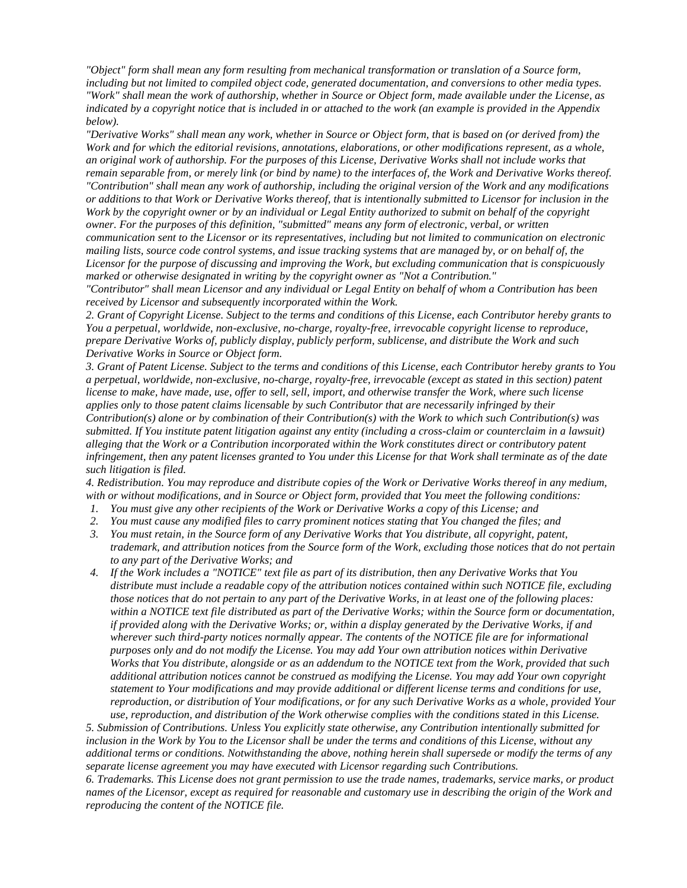*"Object" form shall mean any form resulting from mechanical transformation or translation of a Source form, including but not limited to compiled object code, generated documentation, and conversions to other media types. "Work" shall mean the work of authorship, whether in Source or Object form, made available under the License, as indicated by a copyright notice that is included in or attached to the work (an example is provided in the Appendix below).*

*"Derivative Works" shall mean any work, whether in Source or Object form, that is based on (or derived from) the Work and for which the editorial revisions, annotations, elaborations, or other modifications represent, as a whole, an original work of authorship. For the purposes of this License, Derivative Works shall not include works that remain separable from, or merely link (or bind by name) to the interfaces of, the Work and Derivative Works thereof.*

*"Contribution" shall mean any work of authorship, including the original version of the Work and any modifications or additions to that Work or Derivative Works thereof, that is intentionally submitted to Licensor for inclusion in the Work by the copyright owner or by an individual or Legal Entity authorized to submit on behalf of the copyright owner. For the purposes of this definition, "submitted" means any form of electronic, verbal, or written communication sent to the Licensor or its representatives, including but not limited to communication on electronic mailing lists, source code control systems, and issue tracking systems that are managed by, or on behalf of, the Licensor for the purpose of discussing and improving the Work, but excluding communication that is conspicuously marked or otherwise designated in writing by the copyright owner as "Not a Contribution."*

*"Contributor" shall mean Licensor and any individual or Legal Entity on behalf of whom a Contribution has been received by Licensor and subsequently incorporated within the Work.*

*2. Grant of Copyright License. Subject to the terms and conditions of this License, each Contributor hereby grants to You a perpetual, worldwide, non-exclusive, no-charge, royalty-free, irrevocable copyright license to reproduce, prepare Derivative Works of, publicly display, publicly perform, sublicense, and distribute the Work and such Derivative Works in Source or Object form.*

*3. Grant of Patent License. Subject to the terms and conditions of this License, each Contributor hereby grants to You a perpetual, worldwide, non-exclusive, no-charge, royalty-free, irrevocable (except as stated in this section) patent license to make, have made, use, offer to sell, sell, import, and otherwise transfer the Work, where such license applies only to those patent claims licensable by such Contributor that are necessarily infringed by their Contribution(s) alone or by combination of their Contribution(s) with the Work to which such Contribution(s) was submitted. If You institute patent litigation against any entity (including a cross-claim or counterclaim in a lawsuit) alleging that the Work or a Contribution incorporated within the Work constitutes direct or contributory patent infringement, then any patent licenses granted to You under this License for that Work shall terminate as of the date such litigation is filed.*

*4. Redistribution. You may reproduce and distribute copies of the Work or Derivative Works thereof in any medium, with or without modifications, and in Source or Object form, provided that You meet the following conditions:*

- *1. You must give any other recipients of the Work or Derivative Works a copy of this License; and*
- *2. You must cause any modified files to carry prominent notices stating that You changed the files; and*
- *3. You must retain, in the Source form of any Derivative Works that You distribute, all copyright, patent, trademark, and attribution notices from the Source form of the Work, excluding those notices that do not pertain to any part of the Derivative Works; and*
- *4. If the Work includes a "NOTICE" text file as part of its distribution, then any Derivative Works that You distribute must include a readable copy of the attribution notices contained within such NOTICE file, excluding those notices that do not pertain to any part of the Derivative Works, in at least one of the following places:*  within a NOTICE text file distributed as part of the Derivative Works; within the Source form or documentation, *if provided along with the Derivative Works; or, within a display generated by the Derivative Works, if and wherever such third-party notices normally appear. The contents of the NOTICE file are for informational purposes only and do not modify the License. You may add Your own attribution notices within Derivative Works that You distribute, alongside or as an addendum to the NOTICE text from the Work, provided that such additional attribution notices cannot be construed as modifying the License. You may add Your own copyright statement to Your modifications and may provide additional or different license terms and conditions for use, reproduction, or distribution of Your modifications, or for any such Derivative Works as a whole, provided Your use, reproduction, and distribution of the Work otherwise complies with the conditions stated in this License.*

*5. Submission of Contributions. Unless You explicitly state otherwise, any Contribution intentionally submitted for inclusion in the Work by You to the Licensor shall be under the terms and conditions of this License, without any additional terms or conditions. Notwithstanding the above, nothing herein shall supersede or modify the terms of any separate license agreement you may have executed with Licensor regarding such Contributions.*

*6. Trademarks. This License does not grant permission to use the trade names, trademarks, service marks, or product names of the Licensor, except as required for reasonable and customary use in describing the origin of the Work and reproducing the content of the NOTICE file.*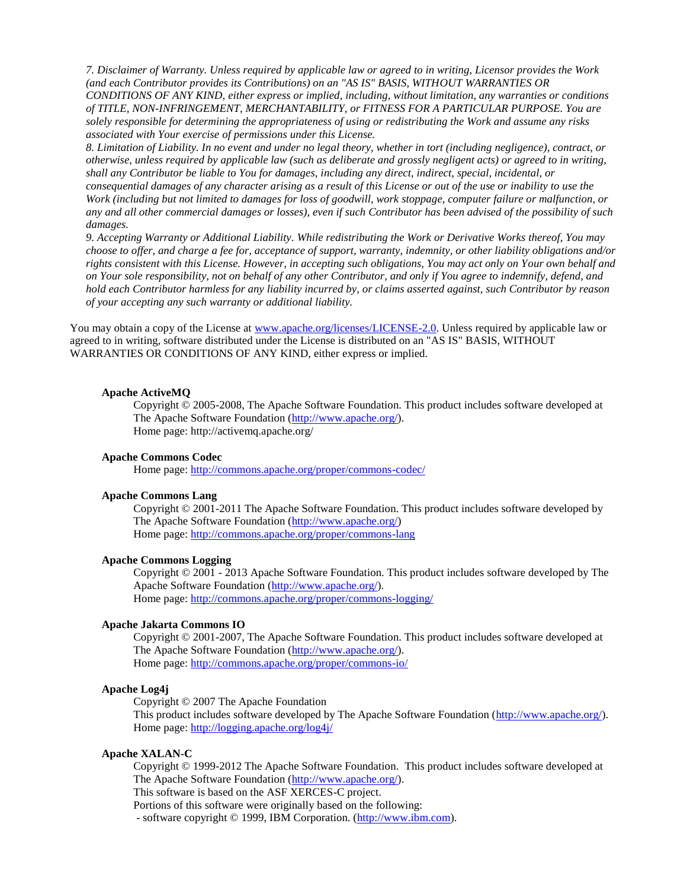*7. Disclaimer of Warranty. Unless required by applicable law or agreed to in writing, Licensor provides the Work (and each Contributor provides its Contributions) on an "AS IS" BASIS, WITHOUT WARRANTIES OR CONDITIONS OF ANY KIND, either express or implied, including, without limitation, any warranties or conditions of TITLE, NON-INFRINGEMENT, MERCHANTABILITY, or FITNESS FOR A PARTICULAR PURPOSE. You are solely responsible for determining the appropriateness of using or redistributing the Work and assume any risks associated with Your exercise of permissions under this License.*

*8. Limitation of Liability. In no event and under no legal theory, whether in tort (including negligence), contract, or otherwise, unless required by applicable law (such as deliberate and grossly negligent acts) or agreed to in writing, shall any Contributor be liable to You for damages, including any direct, indirect, special, incidental, or* 

*consequential damages of any character arising as a result of this License or out of the use or inability to use the Work (including but not limited to damages for loss of goodwill, work stoppage, computer failure or malfunction, or any and all other commercial damages or losses), even if such Contributor has been advised of the possibility of such damages.*

*9. Accepting Warranty or Additional Liability. While redistributing the Work or Derivative Works thereof, You may choose to offer, and charge a fee for, acceptance of support, warranty, indemnity, or other liability obligations and/or rights consistent with this License. However, in accepting such obligations, You may act only on Your own behalf and on Your sole responsibility, not on behalf of any other Contributor, and only if You agree to indemnify, defend, and hold each Contributor harmless for any liability incurred by, or claims asserted against, such Contributor by reason of your accepting any such warranty or additional liability.*

You may obtain a copy of the License at [www.apache.org/licenses/LICENSE-2.0.](http://www.apache.org/licenses/LICENSE-2.0) Unless required by applicable law or agreed to in writing, software distributed under the License is distributed on an "AS IS" BASIS, WITHOUT WARRANTIES OR CONDITIONS OF ANY KIND, either express or implied.

#### **Apache ActiveMQ**

Copyright © 2005-2008, The Apache Software Foundation. This product includes software developed at The Apache Software Foundation [\(http://www.apache.org/\)](http://www.apache.org/). Home page: http://activemq.apache.org/

#### **Apache Commons Codec**

Home page:<http://commons.apache.org/proper/commons-codec/>

### **Apache Commons Lang**

Copyright © 2001-2011 The Apache Software Foundation. This product includes software developed by The Apache Software Foundation [\(http://www.apache.org/\)](http://www.apache.org/) Home page:<http://commons.apache.org/proper/commons-lang>

## **Apache Commons Logging**

Copyright © 2001 - 2013 Apache Software Foundation. This product includes software developed by The Apache Software Foundation [\(http://www.apache.org/\)](http://www.apache.org/). Home page:<http://commons.apache.org/proper/commons-logging/>

### **Apache Jakarta Commons IO**

Copyright © 2001-2007, The Apache Software Foundation. This product includes software developed at The Apache Software Foundation [\(http://www.apache.org/\)](http://www.apache.org/). Home page:<http://commons.apache.org/proper/commons-io/>

### **Apache Log4j**

Copyright © 2007 The Apache Foundation This product includes software developed by The Apache Software Foundation [\(http://www.apache.org/\)](http://www.apache.org/). Home page:<http://logging.apache.org/log4j/>

#### **Apache XALAN-C**

Copyright © 1999-2012 The Apache Software Foundation. This product includes software developed at The Apache Software Foundation [\(http://www.apache.org/\)](http://www.apache.org/).

This software is based on the ASF XERCES-C project.

Portions of this software were originally based on the following:

- software copyright © 1999, IBM Corporation. [\(http://www.ibm.com\)](http://www.ibm.com/).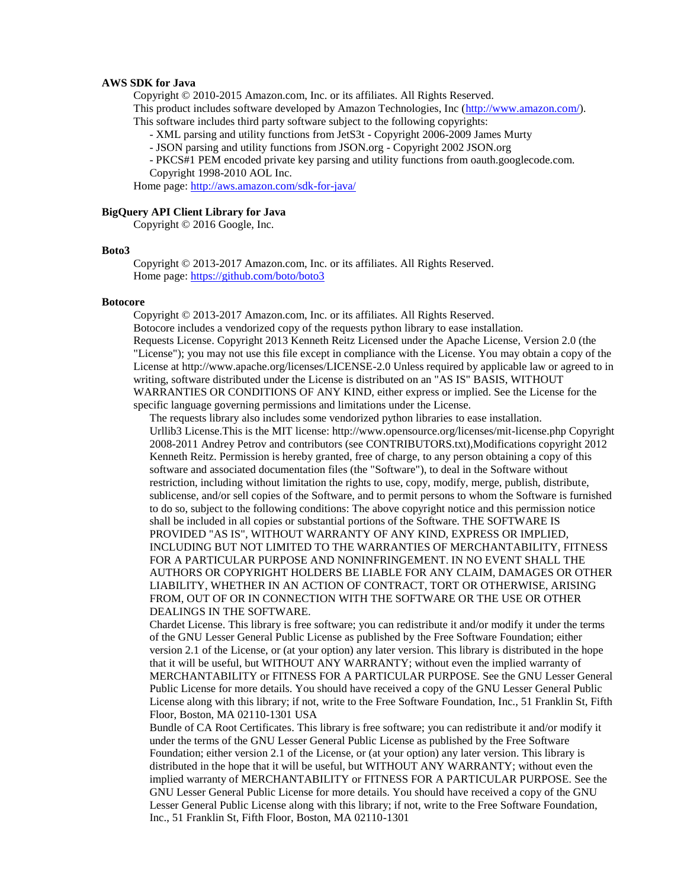#### **AWS SDK for Java**

Copyright © 2010-2015 Amazon.com, Inc. or its affiliates. All Rights Reserved.

This product includes software developed by Amazon Technologies, Inc [\(http://www.amazon.com/\)](http://www.amazon.com/).

This software includes third party software subject to the following copyrights:

- XML parsing and utility functions from JetS3t - Copyright 2006-2009 James Murty

- JSON parsing and utility functions from JSON.org - Copyright 2002 JSON.org

- PKCS#1 PEM encoded private key parsing and utility functions from oauth.googlecode.com. Copyright 1998-2010 AOL Inc.

Home page:<http://aws.amazon.com/sdk-for-java/>

#### **BigQuery API Client Library for Java**

Copyright © 2016 Google, Inc.

#### **Boto3**

Copyright © 2013-2017 Amazon.com, Inc. or its affiliates. All Rights Reserved. Home page:<https://github.com/boto/boto3>

#### **Botocore**

Copyright © 2013-2017 Amazon.com, Inc. or its affiliates. All Rights Reserved. Botocore includes a vendorized copy of the requests python library to ease installation. Requests License. Copyright 2013 Kenneth Reitz Licensed under the Apache License, Version 2.0 (the "License"); you may not use this file except in compliance with the License. You may obtain a copy of the License at http://www.apache.org/licenses/LICENSE-2.0 Unless required by applicable law or agreed to in writing, software distributed under the License is distributed on an "AS IS" BASIS, WITHOUT WARRANTIES OR CONDITIONS OF ANY KIND, either express or implied. See the License for the specific language governing permissions and limitations under the License.

The requests library also includes some vendorized python libraries to ease installation. Urllib3 License.This is the MIT license: http://www.opensource.org/licenses/mit-license.php Copyright 2008-2011 Andrey Petrov and contributors (see CONTRIBUTORS.txt),Modifications copyright 2012 Kenneth Reitz. Permission is hereby granted, free of charge, to any person obtaining a copy of this software and associated documentation files (the "Software"), to deal in the Software without restriction, including without limitation the rights to use, copy, modify, merge, publish, distribute, sublicense, and/or sell copies of the Software, and to permit persons to whom the Software is furnished to do so, subject to the following conditions: The above copyright notice and this permission notice shall be included in all copies or substantial portions of the Software. THE SOFTWARE IS PROVIDED "AS IS", WITHOUT WARRANTY OF ANY KIND, EXPRESS OR IMPLIED, INCLUDING BUT NOT LIMITED TO THE WARRANTIES OF MERCHANTABILITY, FITNESS FOR A PARTICULAR PURPOSE AND NONINFRINGEMENT. IN NO EVENT SHALL THE AUTHORS OR COPYRIGHT HOLDERS BE LIABLE FOR ANY CLAIM, DAMAGES OR OTHER LIABILITY, WHETHER IN AN ACTION OF CONTRACT, TORT OR OTHERWISE, ARISING FROM, OUT OF OR IN CONNECTION WITH THE SOFTWARE OR THE USE OR OTHER DEALINGS IN THE SOFTWARE.

Chardet License. This library is free software; you can redistribute it and/or modify it under the terms of the GNU Lesser General Public License as published by the Free Software Foundation; either version 2.1 of the License, or (at your option) any later version. This library is distributed in the hope that it will be useful, but WITHOUT ANY WARRANTY; without even the implied warranty of MERCHANTABILITY or FITNESS FOR A PARTICULAR PURPOSE. See the GNU Lesser General Public License for more details. You should have received a copy of the GNU Lesser General Public License along with this library; if not, write to the Free Software Foundation, Inc., 51 Franklin St, Fifth Floor, Boston, MA 02110-1301 USA

Bundle of CA Root Certificates. This library is free software; you can redistribute it and/or modify it under the terms of the GNU Lesser General Public License as published by the Free Software Foundation; either version 2.1 of the License, or (at your option) any later version. This library is distributed in the hope that it will be useful, but WITHOUT ANY WARRANTY; without even the implied warranty of MERCHANTABILITY or FITNESS FOR A PARTICULAR PURPOSE. See the GNU Lesser General Public License for more details. You should have received a copy of the GNU Lesser General Public License along with this library; if not, write to the Free Software Foundation, Inc., 51 Franklin St, Fifth Floor, Boston, MA 02110-1301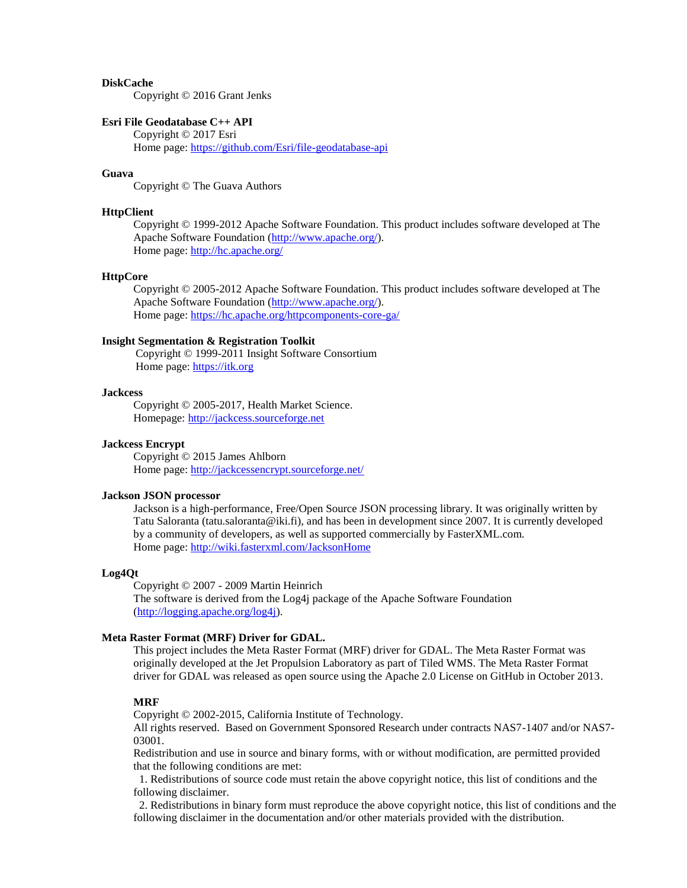### **DiskCache**

Copyright © 2016 Grant Jenks

### **Esri File Geodatabase C++ API**

Copyright © 2017 Esri Home page:<https://github.com/Esri/file-geodatabase-api>

### **Guava**

Copyright © The Guava Authors

#### **HttpClient**

Copyright © 1999-2012 Apache Software Foundation. This product includes software developed at The Apache Software Foundation [\(http://www.apache.org/\)](http://www.apache.org/). Home page:<http://hc.apache.org/>

### **HttpCore**

Copyright © 2005-2012 Apache Software Foundation. This product includes software developed at The Apache Software Foundation [\(http://www.apache.org/\)](http://www.apache.org/). Home page:<https://hc.apache.org/httpcomponents-core-ga/>

### **Insight Segmentation & Registration Toolkit**

Copyright © 1999-2011 Insight Software Consortium Home page: [https://itk.org](https://itk.org/)

#### **Jackcess**

Copyright © 2005-2017, Health Market Science. Homepage: [http://jackcess.sourceforge.net](http://jackcess.sourceforge.net/)

### **Jackcess Encrypt**

Copyright © 2015 James Ahlborn Home page:<http://jackcessencrypt.sourceforge.net/>

#### **Jackson JSON processor**

Jackson is a high-performance, Free/Open Source JSON processing library. It was originally written by Tatu Saloranta (tatu.saloranta@iki.fi), and has been in development since 2007. It is currently developed by a community of developers, as well as supported commercially by FasterXML.com. Home page:<http://wiki.fasterxml.com/JacksonHome>

#### **Log4Qt**

Copyright © 2007 - 2009 Martin Heinrich The software is derived from the Log4j package of the Apache Software Foundation [\(http://logging.apache.org/log4j\)](http://logging.apache.org/log4j).

#### **Meta Raster Format (MRF) Driver for GDAL.**

This project includes the Meta Raster Format (MRF) driver for GDAL. The Meta Raster Format was originally developed at the Jet Propulsion Laboratory as part of Tiled WMS. The Meta Raster Format driver for GDAL was released as open source using the Apache 2.0 License on GitHub in October 2013.

## **MRF**

Copyright © 2002-2015, California Institute of Technology.

All rights reserved. Based on Government Sponsored Research under contracts NAS7-1407 and/or NAS7- 03001.

Redistribution and use in source and binary forms, with or without modification, are permitted provided that the following conditions are met:

 1. Redistributions of source code must retain the above copyright notice, this list of conditions and the following disclaimer.

 2. Redistributions in binary form must reproduce the above copyright notice, this list of conditions and the following disclaimer in the documentation and/or other materials provided with the distribution.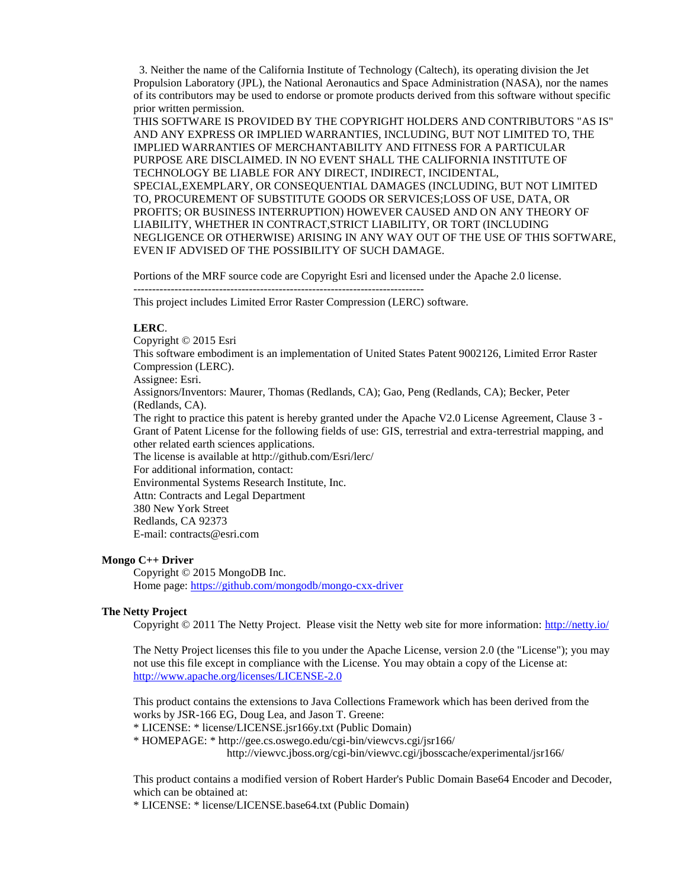3. Neither the name of the California Institute of Technology (Caltech), its operating division the Jet Propulsion Laboratory (JPL), the National Aeronautics and Space Administration (NASA), nor the names of its contributors may be used to endorse or promote products derived from this software without specific prior written permission.

THIS SOFTWARE IS PROVIDED BY THE COPYRIGHT HOLDERS AND CONTRIBUTORS "AS IS" AND ANY EXPRESS OR IMPLIED WARRANTIES, INCLUDING, BUT NOT LIMITED TO, THE IMPLIED WARRANTIES OF MERCHANTABILITY AND FITNESS FOR A PARTICULAR PURPOSE ARE DISCLAIMED. IN NO EVENT SHALL THE CALIFORNIA INSTITUTE OF TECHNOLOGY BE LIABLE FOR ANY DIRECT, INDIRECT, INCIDENTAL, SPECIAL,EXEMPLARY, OR CONSEQUENTIAL DAMAGES (INCLUDING, BUT NOT LIMITED TO, PROCUREMENT OF SUBSTITUTE GOODS OR SERVICES;LOSS OF USE, DATA, OR PROFITS; OR BUSINESS INTERRUPTION) HOWEVER CAUSED AND ON ANY THEORY OF LIABILITY, WHETHER IN CONTRACT,STRICT LIABILITY, OR TORT (INCLUDING NEGLIGENCE OR OTHERWISE) ARISING IN ANY WAY OUT OF THE USE OF THIS SOFTWARE, EVEN IF ADVISED OF THE POSSIBILITY OF SUCH DAMAGE.

Portions of the MRF source code are Copyright Esri and licensed under the Apache 2.0 license.

 $-$ 

This project includes Limited Error Raster Compression (LERC) software.

## **LERC**.

Copyright © 2015 Esri

This software embodiment is an implementation of United States Patent 9002126, Limited Error Raster Compression (LERC).

Assignee: Esri.

Assignors/Inventors: Maurer, Thomas (Redlands, CA); Gao, Peng (Redlands, CA); Becker, Peter (Redlands, CA).

The right to practice this patent is hereby granted under the Apache V2.0 License Agreement, Clause 3 - Grant of Patent License for the following fields of use: GIS, terrestrial and extra-terrestrial mapping, and other related earth sciences applications.

The license is available at http://github.com/Esri/lerc/

For additional information, contact:

Environmental Systems Research Institute, Inc.

Attn: Contracts and Legal Department

380 New York Street

Redlands, CA 92373

E-mail: contracts@esri.com

## **Mongo C++ Driver**

Copyright © 2015 MongoDB Inc. Home page:<https://github.com/mongodb/mongo-cxx-driver>

### **The Netty Project**

Copyright © 2011 The Netty Project. Please visit the Netty web site for more information:<http://netty.io/>

The Netty Project licenses this file to you under the Apache License, version 2.0 (the "License"); you may not use this file except in compliance with the License. You may obtain a copy of the License at: <http://www.apache.org/licenses/LICENSE-2.0>

This product contains the extensions to Java Collections Framework which has been derived from the works by JSR-166 EG, Doug Lea, and Jason T. Greene:

\* LICENSE: \* license/LICENSE.jsr166y.txt (Public Domain)

\* HOMEPAGE: \* http://gee.cs.oswego.edu/cgi-bin/viewcvs.cgi/jsr166/

http://viewvc.jboss.org/cgi-bin/viewvc.cgi/jbosscache/experimental/jsr166/

This product contains a modified version of Robert Harder's Public Domain Base64 Encoder and Decoder, which can be obtained at:

\* LICENSE: \* license/LICENSE.base64.txt (Public Domain)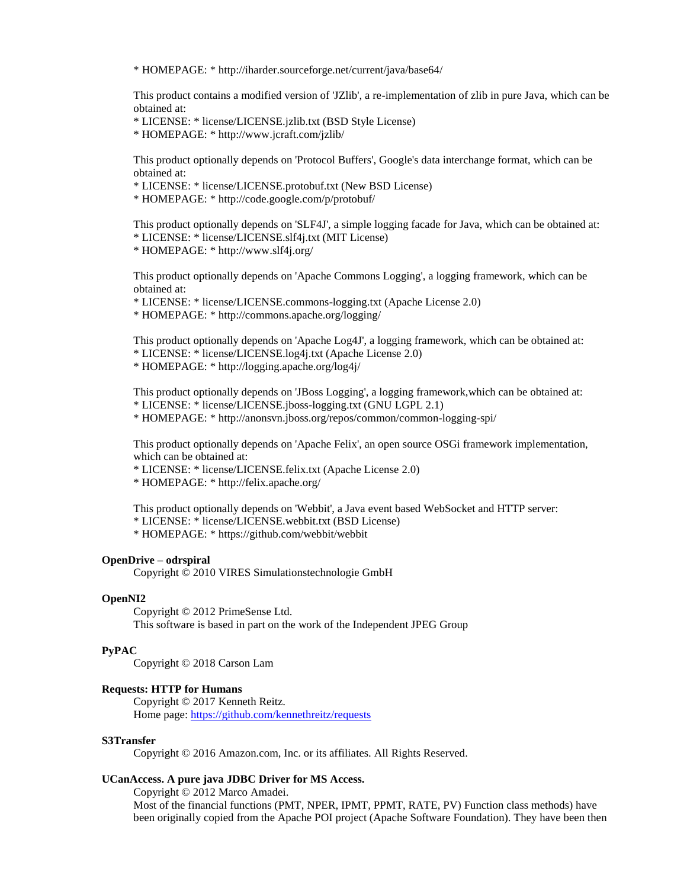\* HOMEPAGE: \* http://iharder.sourceforge.net/current/java/base64/

This product contains a modified version of 'JZlib', a re-implementation of zlib in pure Java, which can be obtained at:

\* LICENSE: \* license/LICENSE.jzlib.txt (BSD Style License)

\* HOMEPAGE: \* http://www.jcraft.com/jzlib/

This product optionally depends on 'Protocol Buffers', Google's data interchange format, which can be obtained at:

\* LICENSE: \* license/LICENSE.protobuf.txt (New BSD License)

\* HOMEPAGE: \* http://code.google.com/p/protobuf/

This product optionally depends on 'SLF4J', a simple logging facade for Java, which can be obtained at: \* LICENSE: \* license/LICENSE.slf4j.txt (MIT License)

\* HOMEPAGE: \* http://www.slf4j.org/

This product optionally depends on 'Apache Commons Logging', a logging framework, which can be obtained at:

\* LICENSE: \* license/LICENSE.commons-logging.txt (Apache License 2.0)

\* HOMEPAGE: \* http://commons.apache.org/logging/

This product optionally depends on 'Apache Log4J', a logging framework, which can be obtained at: \* LICENSE: \* license/LICENSE.log4j.txt (Apache License 2.0)

\* HOMEPAGE: \* http://logging.apache.org/log4j/

This product optionally depends on 'JBoss Logging', a logging framework,which can be obtained at: \* LICENSE: \* license/LICENSE.jboss-logging.txt (GNU LGPL 2.1)

\* HOMEPAGE: \* http://anonsvn.jboss.org/repos/common/common-logging-spi/

This product optionally depends on 'Apache Felix', an open source OSGi framework implementation, which can be obtained at:

\* LICENSE: \* license/LICENSE.felix.txt (Apache License 2.0)

\* HOMEPAGE: \* http://felix.apache.org/

This product optionally depends on 'Webbit', a Java event based WebSocket and HTTP server:

\* LICENSE: \* license/LICENSE.webbit.txt (BSD License)

\* HOMEPAGE: \* https://github.com/webbit/webbit

### **OpenDrive – odrspiral**

Copyright © 2010 VIRES Simulationstechnologie GmbH

## **OpenNI2**

Copyright © 2012 PrimeSense Ltd. This software is based in part on the work of the Independent JPEG Group

### **PyPAC**

Copyright © 2018 Carson Lam

### **Requests: HTTP for Humans**

Copyright © 2017 Kenneth Reitz. Home page:<https://github.com/kennethreitz/requests>

## **S3Transfer**

Copyright © 2016 Amazon.com, Inc. or its affiliates. All Rights Reserved.

### **UCanAccess. A pure java JDBC Driver for MS Access.**

Copyright © 2012 Marco Amadei. Most of the financial functions (PMT, NPER, IPMT, PPMT, RATE, PV) Function class methods) have been originally copied from the Apache POI project (Apache Software Foundation). They have been then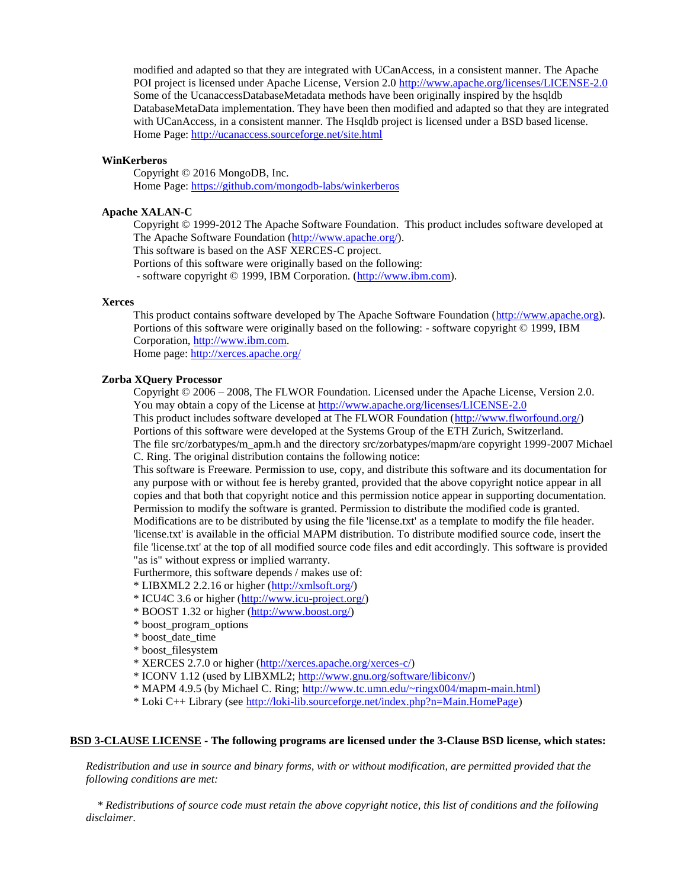modified and adapted so that they are integrated with UCanAccess, in a consistent manner. The Apache POI project is licensed under Apache License, Version 2.0<http://www.apache.org/licenses/LICENSE-2.0> Some of the UcanaccessDatabaseMetadata methods have been originally inspired by the hsqldb DatabaseMetaData implementation. They have been then modified and adapted so that they are integrated with UCanAccess, in a consistent manner. The Hsqldb project is licensed under a BSD based license. Home Page[: http://ucanaccess.sourceforge.net/site.html](http://ucanaccess.sourceforge.net/site.html)

### **WinKerberos**

Copyright © 2016 MongoDB, Inc. Home Page[: https://github.com/mongodb-labs/winkerberos](https://github.com/mongodb-labs/winkerberos)

## **Apache XALAN-C**

Copyright © 1999-2012 The Apache Software Foundation. This product includes software developed at The Apache Software Foundation [\(http://www.apache.org/\)](http://www.apache.org/).

This software is based on the ASF XERCES-C project.

Portions of this software were originally based on the following:

- software copyright © 1999, IBM Corporation. [\(http://www.ibm.com\)](http://www.ibm.com/).

#### **Xerces**

This product contains software developed by The Apache Software Foundation [\(http://www.apache.org\)](http://www.apache.org/). Portions of this software were originally based on the following: - software copyright © 1999, IBM Corporation, [http://www.ibm.com.](http://www.ibm.com/) Home page:<http://xerces.apache.org/>

#### **Zorba XQuery Processor**

Copyright © 2006 – 2008, The FLWOR Foundation. Licensed under the Apache License, Version 2.0. You may obtain a copy of the License a[t http://www.apache.org/licenses/LICENSE-2.0](http://www.apache.org/licenses/LICENSE-2.0)

This product includes software developed at The FLWOR Foundation [\(http://www.flworfound.org/\)](http://www.flworfound.org/)

Portions of this software were developed at the Systems Group of the ETH Zurich, Switzerland. The file src/zorbatypes/m\_apm.h and the directory src/zorbatypes/mapm/are copyright 1999-2007 Michael C. Ring. The original distribution contains the following notice:

This software is Freeware. Permission to use, copy, and distribute this software and its documentation for any purpose with or without fee is hereby granted, provided that the above copyright notice appear in all copies and that both that copyright notice and this permission notice appear in supporting documentation. Permission to modify the software is granted. Permission to distribute the modified code is granted. Modifications are to be distributed by using the file 'license.txt' as a template to modify the file header. 'license.txt' is available in the official MAPM distribution. To distribute modified source code, insert the file 'license.txt' at the top of all modified source code files and edit accordingly. This software is provided "as is" without express or implied warranty.

Furthermore, this software depends / makes use of:

\* LIBXML2 2.2.16 or higher [\(http://xmlsoft.org/\)](http://xmlsoft.org/)

- \* ICU4C 3.6 or higher [\(http://www.icu-project.org/\)](http://www.icu-project.org/)
- \* BOOST 1.32 or higher [\(http://www.boost.org/\)](http://www.boost.org/)
- \* boost\_program\_options
- \* boost\_date\_time
- \* boost\_filesystem
- \* XERCES 2.7.0 or higher [\(http://xerces.apache.org/xerces-c/\)](http://xerces.apache.org/xerces-c/)
- \* ICONV 1.12 (used by LIBXML2; [http://www.gnu.org/software/libiconv/\)](http://www.gnu.org/software/libiconv/)
- \* MAPM 4.9.5 (by Michael C. Ring; [http://www.tc.umn.edu/~ringx004/mapm-main.html\)](http://www.tc.umn.edu/~ringx004/mapm-main.html)
- \* Loki C++ Library (see [http://loki-lib.sourceforge.net/index.php?n=Main.HomePage\)](http://loki-lib.sourceforge.net/index.php?n=Main.HomePage)

## **BSD 3-CLAUSE LICENSE - The following programs are licensed under the 3-Clause BSD license, which states:**

*Redistribution and use in source and binary forms, with or without modification, are permitted provided that the following conditions are met:*

 *\* Redistributions of source code must retain the above copyright notice, this list of conditions and the following disclaimer.*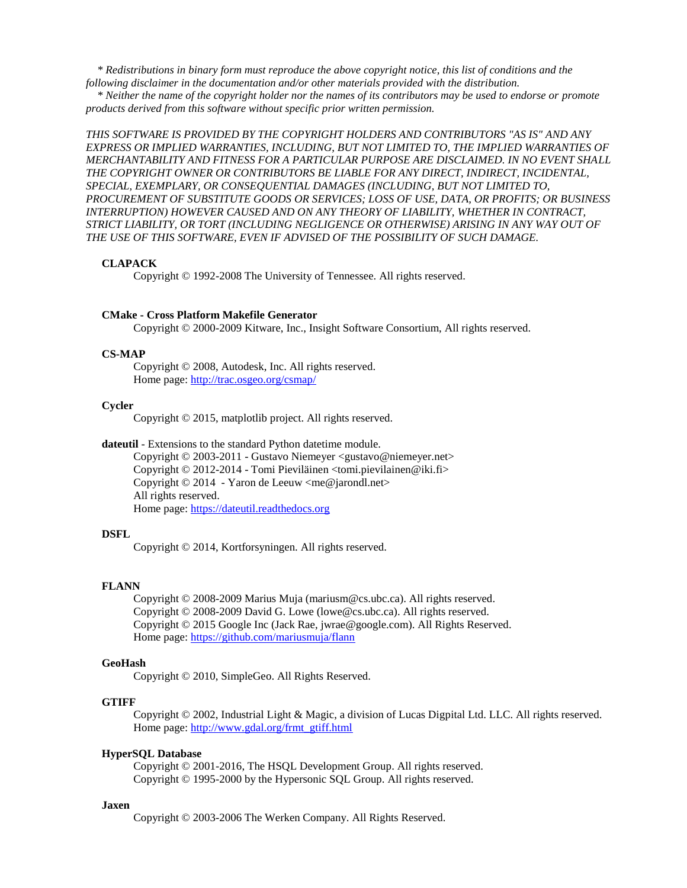*\* Redistributions in binary form must reproduce the above copyright notice, this list of conditions and the following disclaimer in the documentation and/or other materials provided with the distribution.*

 *\* Neither the name of the copyright holder nor the names of its contributors may be used to endorse or promote products derived from this software without specific prior written permission.*

*THIS SOFTWARE IS PROVIDED BY THE COPYRIGHT HOLDERS AND CONTRIBUTORS "AS IS" AND ANY EXPRESS OR IMPLIED WARRANTIES, INCLUDING, BUT NOT LIMITED TO, THE IMPLIED WARRANTIES OF MERCHANTABILITY AND FITNESS FOR A PARTICULAR PURPOSE ARE DISCLAIMED. IN NO EVENT SHALL THE COPYRIGHT OWNER OR CONTRIBUTORS BE LIABLE FOR ANY DIRECT, INDIRECT, INCIDENTAL, SPECIAL, EXEMPLARY, OR CONSEQUENTIAL DAMAGES (INCLUDING, BUT NOT LIMITED TO, PROCUREMENT OF SUBSTITUTE GOODS OR SERVICES; LOSS OF USE, DATA, OR PROFITS; OR BUSINESS INTERRUPTION) HOWEVER CAUSED AND ON ANY THEORY OF LIABILITY, WHETHER IN CONTRACT, STRICT LIABILITY, OR TORT (INCLUDING NEGLIGENCE OR OTHERWISE) ARISING IN ANY WAY OUT OF THE USE OF THIS SOFTWARE, EVEN IF ADVISED OF THE POSSIBILITY OF SUCH DAMAGE.*

#### **CLAPACK**

Copyright © 1992-2008 The University of Tennessee. All rights reserved.

### **CMake - Cross Platform Makefile Generator**

Copyright © 2000-2009 Kitware, Inc., Insight Software Consortium, All rights reserved.

### **CS-MAP**

Copyright © 2008, Autodesk, Inc. All rights reserved. Home page:<http://trac.osgeo.org/csmap/>

### **Cycler**

Copyright © 2015, matplotlib project. All rights reserved.

### **dateutil** - Extensions to the standard Python datetime module.

Copyright © 2003-2011 - Gustavo Niemeyer <gustavo@niemeyer.net> Copyright © 2012-2014 - Tomi Pieviläinen <tomi.pievilainen@iki.fi> Copyright  $\odot$  2014 - Yaron de Leeuw  $\langle$ me $\ddot{\varphi}$  jarondl.net $>$ All rights reserved. Home page: [https://dateutil.readthedocs.org](https://dateutil.readthedocs.org/)

### **DSFL**

Copyright © 2014, Kortforsyningen. All rights reserved.

#### **FLANN**

Copyright © 2008-2009 Marius Muja (mariusm@cs.ubc.ca). All rights reserved. Copyright © 2008-2009 David G. Lowe (lowe@cs.ubc.ca). All rights reserved. Copyright © 2015 Google Inc (Jack Rae, jwrae@google.com). All Rights Reserved. Home page:<https://github.com/mariusmuja/flann>

#### **GeoHash**

Copyright © 2010, SimpleGeo. All Rights Reserved.

### **GTIFF**

Copyright © 2002, Industrial Light & Magic, a division of Lucas Digpital Ltd. LLC. All rights reserved. Home page: [http://www.gdal.org/frmt\\_gtiff.html](http://www.gdal.org/frmt_gtiff.html)

#### **HyperSQL Database**

Copyright © 2001-2016, The HSQL Development Group. All rights reserved. Copyright © 1995-2000 by the Hypersonic SQL Group. All rights reserved.

### **Jaxen**

Copyright © 2003-2006 The Werken Company. All Rights Reserved.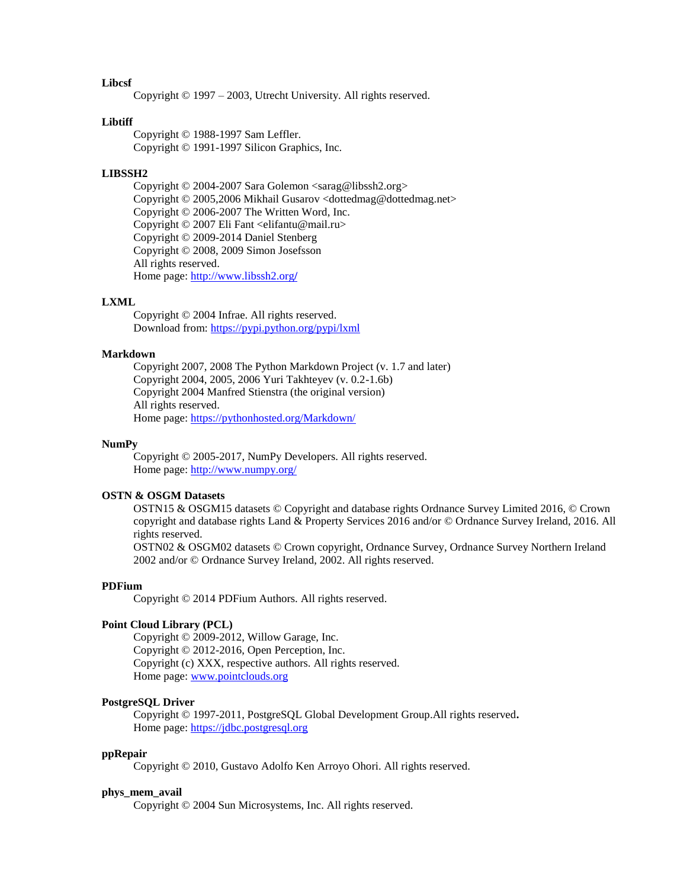## **Libcsf**

Copyright © 1997 – 2003, Utrecht University. All rights reserved.

### **Libtiff**

Copyright © 1988-1997 Sam Leffler. Copyright © 1991-1997 Silicon Graphics, Inc.

## **LIBSSH2**

Copyright © 2004-2007 Sara Golemon <sarag@libssh2.org> Copyright © 2005,2006 Mikhail Gusarov <dottedmag@dottedmag.net> Copyright © 2006-2007 The Written Word, Inc. Copyright © 2007 Eli Fant <elifantu@mail.ru> Copyright © 2009-2014 Daniel Stenberg Copyright © 2008, 2009 Simon Josefsson All rights reserved. Home page: [http://www.libssh2.org](http://www.libssh2.org/)**/**

### **LXML**

Copyright © 2004 Infrae. All rights reserved. Download from:<https://pypi.python.org/pypi/lxml>

#### **Markdown**

Copyright 2007, 2008 The Python Markdown Project (v. 1.7 and later) Copyright 2004, 2005, 2006 Yuri Takhteyev (v. 0.2-1.6b) Copyright 2004 Manfred Stienstra (the original version) All rights reserved. Home page:<https://pythonhosted.org/Markdown/>

### **NumPy**

Copyright © 2005-2017, NumPy Developers. All rights reserved. Home page:<http://www.numpy.org/>

### **OSTN & OSGM Datasets**

OSTN15 & OSGM15 datasets © Copyright and database rights Ordnance Survey Limited 2016, © Crown copyright and database rights Land & Property Services 2016 and/or © Ordnance Survey Ireland, 2016. All rights reserved.

OSTN02 & OSGM02 datasets © Crown copyright, Ordnance Survey, Ordnance Survey Northern Ireland 2002 and/or © Ordnance Survey Ireland, 2002. All rights reserved.

#### **PDFium**

Copyright © 2014 PDFium Authors. All rights reserved.

## **Point Cloud Library (PCL)**

Copyright © 2009-2012, Willow Garage, Inc. Copyright © 2012-2016, Open Perception, Inc. Copyright (c) XXX, respective authors. All rights reserved. Home page: [www.pointclouds.org](http://www.pointclouds.org/)

### **PostgreSQL Driver**

Copyright © 1997-2011, PostgreSQL Global Development Group.All rights reserved**.** Home page: [https://jdbc.postgresql.org](https://jdbc.postgresql.org/)

#### **ppRepair**

Copyright © 2010, Gustavo Adolfo Ken Arroyo Ohori. All rights reserved.

#### **phys\_mem\_avail**

Copyright © 2004 Sun Microsystems, Inc. All rights reserved.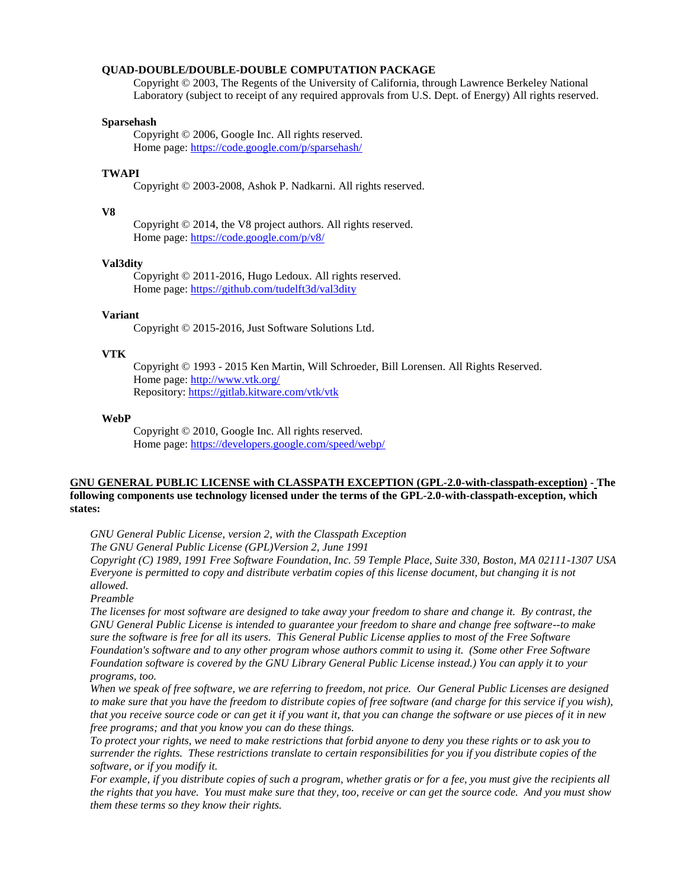#### **QUAD-DOUBLE/DOUBLE-DOUBLE COMPUTATION PACKAGE**

Copyright © 2003, The Regents of the University of California, through Lawrence Berkeley National Laboratory (subject to receipt of any required approvals from U.S. Dept. of Energy) All rights reserved.

### **Sparsehash**

Copyright © 2006, Google Inc. All rights reserved. Home page:<https://code.google.com/p/sparsehash/>

## **TWAPI**

Copyright © 2003-2008, Ashok P. Nadkarni. All rights reserved.

#### **V8**

Copyright © 2014, the V8 project authors. All rights reserved. Home page:<https://code.google.com/p/v8/>

#### **Val3dity**

Copyright © 2011-2016, Hugo Ledoux. All rights reserved. Home page:<https://github.com/tudelft3d/val3dity>

### **Variant**

Copyright © 2015-2016, Just Software Solutions Ltd.

#### **VTK**

Copyright © 1993 - 2015 Ken Martin, Will Schroeder, Bill Lorensen. All Rights Reserved. Home page:<http://www.vtk.org/> Repository:<https://gitlab.kitware.com/vtk/vtk>

#### **WebP**

Copyright © 2010, Google Inc. All rights reserved. Home page:<https://developers.google.com/speed/webp/>

### **GNU GENERAL PUBLIC LICENSE with CLASSPATH EXCEPTION (GPL-2.0-with-classpath-exception) - The following components use technology licensed under the terms of the GPL-2.0-with-classpath-exception, which states:**

*GNU General Public License, version 2, with the Classpath Exception*

*The GNU General Public License (GPL)Version 2, June 1991*

*Copyright (C) 1989, 1991 Free Software Foundation, Inc. 59 Temple Place, Suite 330, Boston, MA 02111-1307 USA Everyone is permitted to copy and distribute verbatim copies of this license document, but changing it is not allowed.*

*Preamble*

*The licenses for most software are designed to take away your freedom to share and change it. By contrast, the GNU General Public License is intended to guarantee your freedom to share and change free software--to make sure the software is free for all its users. This General Public License applies to most of the Free Software Foundation's software and to any other program whose authors commit to using it. (Some other Free Software Foundation software is covered by the GNU Library General Public License instead.) You can apply it to your programs, too.*

*When we speak of free software, we are referring to freedom, not price. Our General Public Licenses are designed to make sure that you have the freedom to distribute copies of free software (and charge for this service if you wish), that you receive source code or can get it if you want it, that you can change the software or use pieces of it in new free programs; and that you know you can do these things.*

*To protect your rights, we need to make restrictions that forbid anyone to deny you these rights or to ask you to surrender the rights. These restrictions translate to certain responsibilities for you if you distribute copies of the software, or if you modify it.*

*For example, if you distribute copies of such a program, whether gratis or for a fee, you must give the recipients all the rights that you have. You must make sure that they, too, receive or can get the source code. And you must show them these terms so they know their rights.*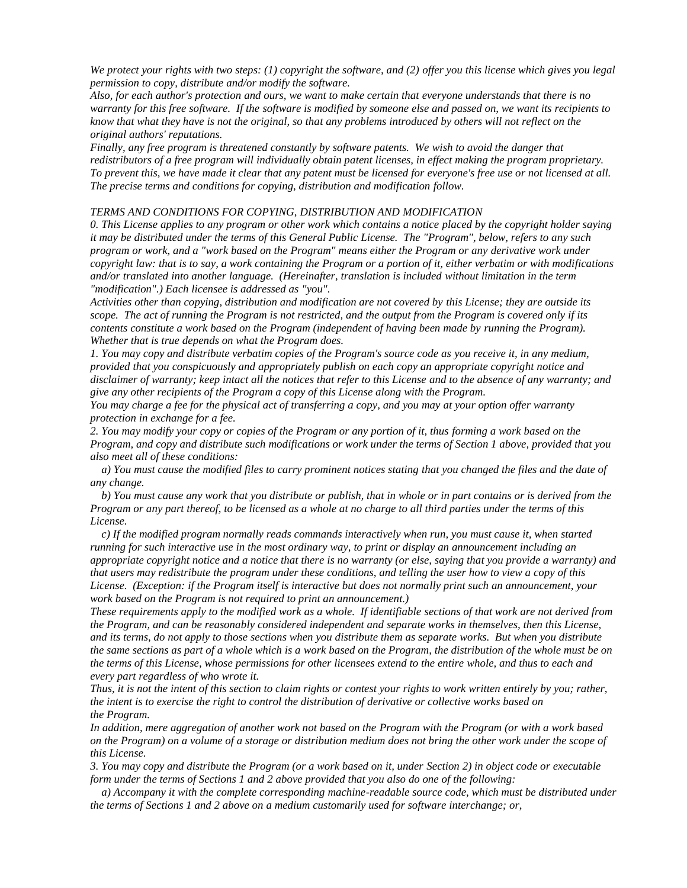*We protect your rights with two steps: (1) copyright the software, and (2) offer you this license which gives you legal permission to copy, distribute and/or modify the software.*

*Also, for each author's protection and ours, we want to make certain that everyone understands that there is no warranty for this free software. If the software is modified by someone else and passed on, we want its recipients to know that what they have is not the original, so that any problems introduced by others will not reflect on the original authors' reputations.*

*Finally, any free program is threatened constantly by software patents. We wish to avoid the danger that redistributors of a free program will individually obtain patent licenses, in effect making the program proprietary. To prevent this, we have made it clear that any patent must be licensed for everyone's free use or not licensed at all. The precise terms and conditions for copying, distribution and modification follow.*

### *TERMS AND CONDITIONS FOR COPYING, DISTRIBUTION AND MODIFICATION*

*0. This License applies to any program or other work which contains a notice placed by the copyright holder saying it may be distributed under the terms of this General Public License. The "Program", below, refers to any such program or work, and a "work based on the Program" means either the Program or any derivative work under copyright law: that is to say, a work containing the Program or a portion of it, either verbatim or with modifications and/or translated into another language. (Hereinafter, translation is included without limitation in the term "modification".) Each licensee is addressed as "you".*

*Activities other than copying, distribution and modification are not covered by this License; they are outside its scope. The act of running the Program is not restricted, and the output from the Program is covered only if its contents constitute a work based on the Program (independent of having been made by running the Program). Whether that is true depends on what the Program does.*

*1. You may copy and distribute verbatim copies of the Program's source code as you receive it, in any medium, provided that you conspicuously and appropriately publish on each copy an appropriate copyright notice and disclaimer of warranty; keep intact all the notices that refer to this License and to the absence of any warranty; and give any other recipients of the Program a copy of this License along with the Program.*

*You may charge a fee for the physical act of transferring a copy, and you may at your option offer warranty protection in exchange for a fee.*

*2. You may modify your copy or copies of the Program or any portion of it, thus forming a work based on the Program, and copy and distribute such modifications or work under the terms of Section 1 above, provided that you also meet all of these conditions:*

 *a) You must cause the modified files to carry prominent notices stating that you changed the files and the date of any change.*

 *b) You must cause any work that you distribute or publish, that in whole or in part contains or is derived from the Program or any part thereof, to be licensed as a whole at no charge to all third parties under the terms of this License.*

 *c) If the modified program normally reads commands interactively when run, you must cause it, when started running for such interactive use in the most ordinary way, to print or display an announcement including an appropriate copyright notice and a notice that there is no warranty (or else, saying that you provide a warranty) and that users may redistribute the program under these conditions, and telling the user how to view a copy of this License. (Exception: if the Program itself is interactive but does not normally print such an announcement, your work based on the Program is not required to print an announcement.)*

*These requirements apply to the modified work as a whole. If identifiable sections of that work are not derived from the Program, and can be reasonably considered independent and separate works in themselves, then this License, and its terms, do not apply to those sections when you distribute them as separate works. But when you distribute the same sections as part of a whole which is a work based on the Program, the distribution of the whole must be on the terms of this License, whose permissions for other licensees extend to the entire whole, and thus to each and every part regardless of who wrote it.*

*Thus, it is not the intent of this section to claim rights or contest your rights to work written entirely by you; rather, the intent is to exercise the right to control the distribution of derivative or collective works based on the Program.*

*In addition, mere aggregation of another work not based on the Program with the Program (or with a work based on the Program) on a volume of a storage or distribution medium does not bring the other work under the scope of this License.*

*3. You may copy and distribute the Program (or a work based on it, under Section 2) in object code or executable form under the terms of Sections 1 and 2 above provided that you also do one of the following:*

 *a) Accompany it with the complete corresponding machine-readable source code, which must be distributed under the terms of Sections 1 and 2 above on a medium customarily used for software interchange; or,*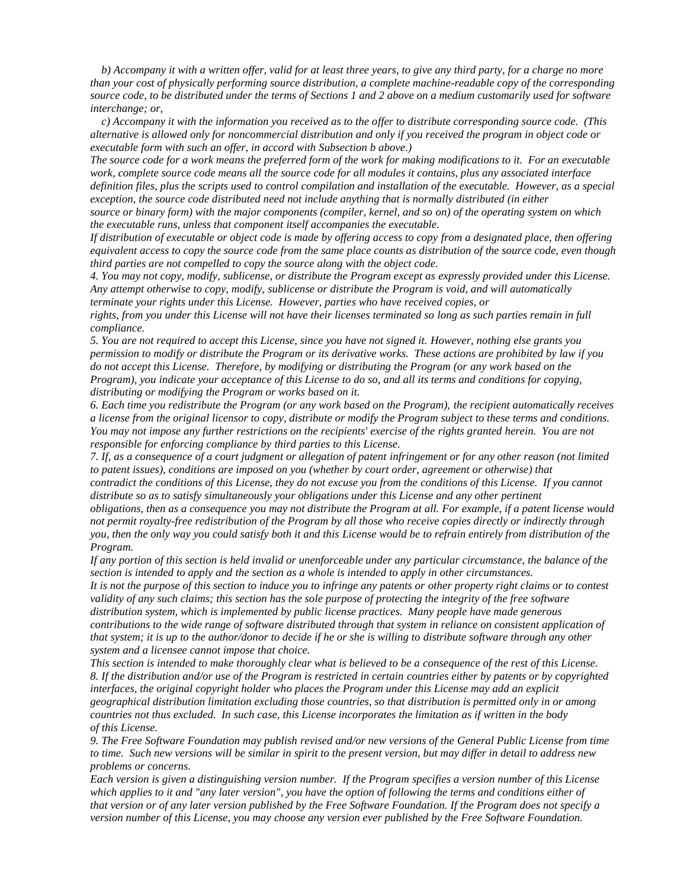*b) Accompany it with a written offer, valid for at least three years, to give any third party, for a charge no more than your cost of physically performing source distribution, a complete machine-readable copy of the corresponding source code, to be distributed under the terms of Sections 1 and 2 above on a medium customarily used for software interchange; or,*

 *c) Accompany it with the information you received as to the offer to distribute corresponding source code. (This alternative is allowed only for noncommercial distribution and only if you received the program in object code or executable form with such an offer, in accord with Subsection b above.)*

*The source code for a work means the preferred form of the work for making modifications to it. For an executable work, complete source code means all the source code for all modules it contains, plus any associated interface definition files, plus the scripts used to control compilation and installation of the executable. However, as a special exception, the source code distributed need not include anything that is normally distributed (in either*

*source or binary form) with the major components (compiler, kernel, and so on) of the operating system on which the executable runs, unless that component itself accompanies the executable.*

*If distribution of executable or object code is made by offering access to copy from a designated place, then offering equivalent access to copy the source code from the same place counts as distribution of the source code, even though third parties are not compelled to copy the source along with the object code.*

*4. You may not copy, modify, sublicense, or distribute the Program except as expressly provided under this License. Any attempt otherwise to copy, modify, sublicense or distribute the Program is void, and will automatically terminate your rights under this License. However, parties who have received copies, or*

*rights, from you under this License will not have their licenses terminated so long as such parties remain in full compliance.*

*5. You are not required to accept this License, since you have not signed it. However, nothing else grants you permission to modify or distribute the Program or its derivative works. These actions are prohibited by law if you do not accept this License. Therefore, by modifying or distributing the Program (or any work based on the Program), you indicate your acceptance of this License to do so, and all its terms and conditions for copying, distributing or modifying the Program or works based on it.*

*6. Each time you redistribute the Program (or any work based on the Program), the recipient automatically receives a license from the original licensor to copy, distribute or modify the Program subject to these terms and conditions. You may not impose any further restrictions on the recipients' exercise of the rights granted herein. You are not responsible for enforcing compliance by third parties to this License.*

*7. If, as a consequence of a court judgment or allegation of patent infringement or for any other reason (not limited to patent issues), conditions are imposed on you (whether by court order, agreement or otherwise) that contradict the conditions of this License, they do not excuse you from the conditions of this License. If you cannot distribute so as to satisfy simultaneously your obligations under this License and any other pertinent obligations, then as a consequence you may not distribute the Program at all. For example, if a patent license would* 

*not permit royalty-free redistribution of the Program by all those who receive copies directly or indirectly through you, then the only way you could satisfy both it and this License would be to refrain entirely from distribution of the Program.*

*If any portion of this section is held invalid or unenforceable under any particular circumstance, the balance of the section is intended to apply and the section as a whole is intended to apply in other circumstances.*

*It is not the purpose of this section to induce you to infringe any patents or other property right claims or to contest validity of any such claims; this section has the sole purpose of protecting the integrity of the free software distribution system, which is implemented by public license practices. Many people have made generous contributions to the wide range of software distributed through that system in reliance on consistent application of that system; it is up to the author/donor to decide if he or she is willing to distribute software through any other system and a licensee cannot impose that choice.*

*This section is intended to make thoroughly clear what is believed to be a consequence of the rest of this License. 8. If the distribution and/or use of the Program is restricted in certain countries either by patents or by copyrighted interfaces, the original copyright holder who places the Program under this License may add an explicit geographical distribution limitation excluding those countries, so that distribution is permitted only in or among countries not thus excluded. In such case, this License incorporates the limitation as if written in the body of this License.*

*9. The Free Software Foundation may publish revised and/or new versions of the General Public License from time to time. Such new versions will be similar in spirit to the present version, but may differ in detail to address new problems or concerns.*

*Each version is given a distinguishing version number. If the Program specifies a version number of this License which applies to it and "any later version", you have the option of following the terms and conditions either of that version or of any later version published by the Free Software Foundation. If the Program does not specify a version number of this License, you may choose any version ever published by the Free Software Foundation.*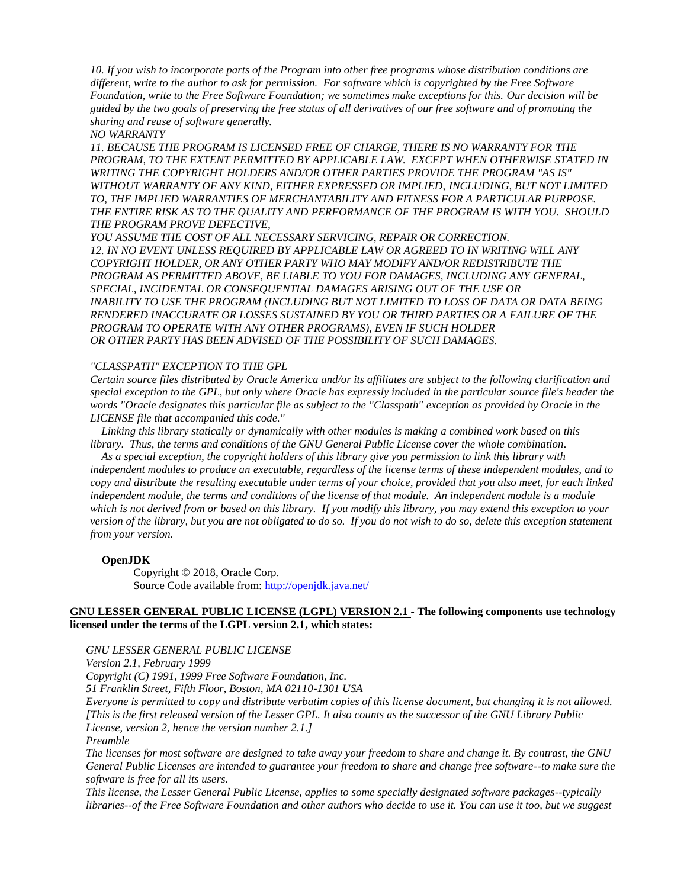*10. If you wish to incorporate parts of the Program into other free programs whose distribution conditions are different, write to the author to ask for permission. For software which is copyrighted by the Free Software Foundation, write to the Free Software Foundation; we sometimes make exceptions for this. Our decision will be guided by the two goals of preserving the free status of all derivatives of our free software and of promoting the sharing and reuse of software generally.*

*NO WARRANTY*

*11. BECAUSE THE PROGRAM IS LICENSED FREE OF CHARGE, THERE IS NO WARRANTY FOR THE PROGRAM, TO THE EXTENT PERMITTED BY APPLICABLE LAW. EXCEPT WHEN OTHERWISE STATED IN WRITING THE COPYRIGHT HOLDERS AND/OR OTHER PARTIES PROVIDE THE PROGRAM "AS IS" WITHOUT WARRANTY OF ANY KIND, EITHER EXPRESSED OR IMPLIED, INCLUDING, BUT NOT LIMITED TO, THE IMPLIED WARRANTIES OF MERCHANTABILITY AND FITNESS FOR A PARTICULAR PURPOSE. THE ENTIRE RISK AS TO THE QUALITY AND PERFORMANCE OF THE PROGRAM IS WITH YOU. SHOULD THE PROGRAM PROVE DEFECTIVE,*

*YOU ASSUME THE COST OF ALL NECESSARY SERVICING, REPAIR OR CORRECTION. 12. IN NO EVENT UNLESS REQUIRED BY APPLICABLE LAW OR AGREED TO IN WRITING WILL ANY COPYRIGHT HOLDER, OR ANY OTHER PARTY WHO MAY MODIFY AND/OR REDISTRIBUTE THE PROGRAM AS PERMITTED ABOVE, BE LIABLE TO YOU FOR DAMAGES, INCLUDING ANY GENERAL, SPECIAL, INCIDENTAL OR CONSEQUENTIAL DAMAGES ARISING OUT OF THE USE OR INABILITY TO USE THE PROGRAM (INCLUDING BUT NOT LIMITED TO LOSS OF DATA OR DATA BEING RENDERED INACCURATE OR LOSSES SUSTAINED BY YOU OR THIRD PARTIES OR A FAILURE OF THE PROGRAM TO OPERATE WITH ANY OTHER PROGRAMS), EVEN IF SUCH HOLDER OR OTHER PARTY HAS BEEN ADVISED OF THE POSSIBILITY OF SUCH DAMAGES.*

## *"CLASSPATH" EXCEPTION TO THE GPL*

*Certain source files distributed by Oracle America and/or its affiliates are subject to the following clarification and special exception to the GPL, but only where Oracle has expressly included in the particular source file's header the words "Oracle designates this particular file as subject to the "Classpath" exception as provided by Oracle in the LICENSE file that accompanied this code."*

 *Linking this library statically or dynamically with other modules is making a combined work based on this library. Thus, the terms and conditions of the GNU General Public License cover the whole combination.*

 *As a special exception, the copyright holders of this library give you permission to link this library with independent modules to produce an executable, regardless of the license terms of these independent modules, and to copy and distribute the resulting executable under terms of your choice, provided that you also meet, for each linked independent module, the terms and conditions of the license of that module. An independent module is a module which is not derived from or based on this library. If you modify this library, you may extend this exception to your version of the library, but you are not obligated to do so. If you do not wish to do so, delete this exception statement from your version.*

### **OpenJDK**

Copyright © 2018, Oracle Corp. Source Code available from: <http://openjdk.java.net/>

## **GNU LESSER GENERAL PUBLIC LICENSE (LGPL) VERSION 2.1 - The following components use technology licensed under the terms of the LGPL version 2.1, which states:**

*GNU LESSER GENERAL PUBLIC LICENSE*

*Version 2.1, February 1999*

*Copyright (C) 1991, 1999 Free Software Foundation, Inc.*

*51 Franklin Street, Fifth Floor, Boston, MA 02110-1301 USA*

*Everyone is permitted to copy and distribute verbatim copies of this license document, but changing it is not allowed. [This is the first released version of the Lesser GPL. It also counts as the successor of the GNU Library Public License, version 2, hence the version number 2.1.]*

*Preamble*

*The licenses for most software are designed to take away your freedom to share and change it. By contrast, the GNU General Public Licenses are intended to guarantee your freedom to share and change free software--to make sure the software is free for all its users.*

*This license, the Lesser General Public License, applies to some specially designated software packages--typically libraries--of the Free Software Foundation and other authors who decide to use it. You can use it too, but we suggest*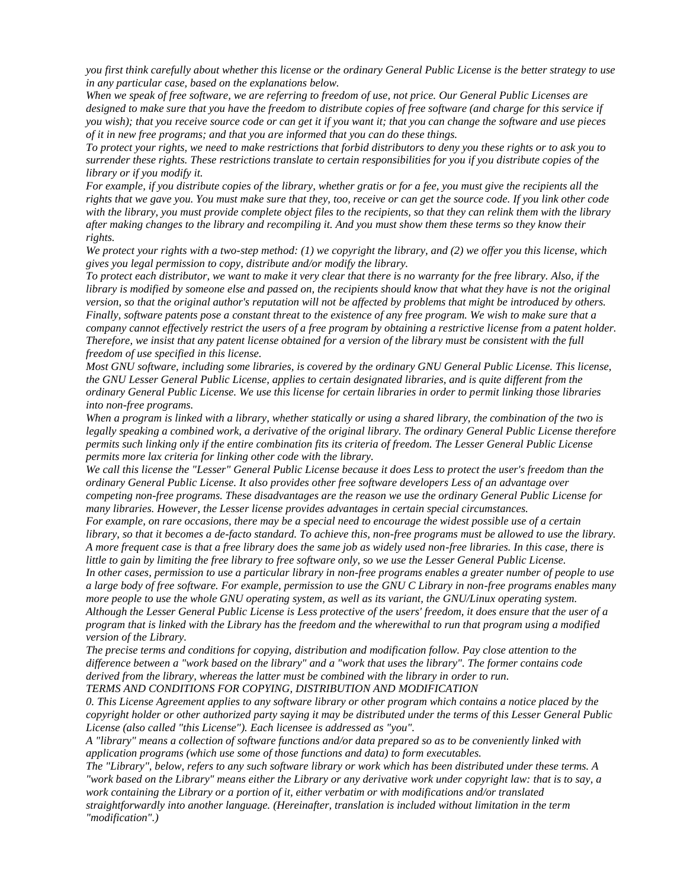*you first think carefully about whether this license or the ordinary General Public License is the better strategy to use in any particular case, based on the explanations below.*

*When we speak of free software, we are referring to freedom of use, not price. Our General Public Licenses are designed to make sure that you have the freedom to distribute copies of free software (and charge for this service if you wish); that you receive source code or can get it if you want it; that you can change the software and use pieces of it in new free programs; and that you are informed that you can do these things.*

*To protect your rights, we need to make restrictions that forbid distributors to deny you these rights or to ask you to surrender these rights. These restrictions translate to certain responsibilities for you if you distribute copies of the library or if you modify it.*

*For example, if you distribute copies of the library, whether gratis or for a fee, you must give the recipients all the rights that we gave you. You must make sure that they, too, receive or can get the source code. If you link other code with the library, you must provide complete object files to the recipients, so that they can relink them with the library after making changes to the library and recompiling it. And you must show them these terms so they know their rights.*

*We protect your rights with a two-step method: (1) we copyright the library, and (2) we offer you this license, which gives you legal permission to copy, distribute and/or modify the library.*

*To protect each distributor, we want to make it very clear that there is no warranty for the free library. Also, if the library is modified by someone else and passed on, the recipients should know that what they have is not the original version, so that the original author's reputation will not be affected by problems that might be introduced by others. Finally, software patents pose a constant threat to the existence of any free program. We wish to make sure that a company cannot effectively restrict the users of a free program by obtaining a restrictive license from a patent holder. Therefore, we insist that any patent license obtained for a version of the library must be consistent with the full freedom of use specified in this license.*

*Most GNU software, including some libraries, is covered by the ordinary GNU General Public License. This license, the GNU Lesser General Public License, applies to certain designated libraries, and is quite different from the ordinary General Public License. We use this license for certain libraries in order to permit linking those libraries into non-free programs.*

*When a program is linked with a library, whether statically or using a shared library, the combination of the two is legally speaking a combined work, a derivative of the original library. The ordinary General Public License therefore permits such linking only if the entire combination fits its criteria of freedom. The Lesser General Public License permits more lax criteria for linking other code with the library.*

*We call this license the "Lesser" General Public License because it does Less to protect the user's freedom than the ordinary General Public License. It also provides other free software developers Less of an advantage over competing non-free programs. These disadvantages are the reason we use the ordinary General Public License for many libraries. However, the Lesser license provides advantages in certain special circumstances.*

*For example, on rare occasions, there may be a special need to encourage the widest possible use of a certain library, so that it becomes a de-facto standard. To achieve this, non-free programs must be allowed to use the library. A more frequent case is that a free library does the same job as widely used non-free libraries. In this case, there is little to gain by limiting the free library to free software only, so we use the Lesser General Public License.*

*In other cases, permission to use a particular library in non-free programs enables a greater number of people to use a large body of free software. For example, permission to use the GNU C Library in non-free programs enables many more people to use the whole GNU operating system, as well as its variant, the GNU/Linux operating system. Although the Lesser General Public License is Less protective of the users' freedom, it does ensure that the user of a program that is linked with the Library has the freedom and the wherewithal to run that program using a modified version of the Library.*

*The precise terms and conditions for copying, distribution and modification follow. Pay close attention to the difference between a "work based on the library" and a "work that uses the library". The former contains code derived from the library, whereas the latter must be combined with the library in order to run.*

*TERMS AND CONDITIONS FOR COPYING, DISTRIBUTION AND MODIFICATION*

*0. This License Agreement applies to any software library or other program which contains a notice placed by the copyright holder or other authorized party saying it may be distributed under the terms of this Lesser General Public License (also called "this License"). Each licensee is addressed as "you".*

*A "library" means a collection of software functions and/or data prepared so as to be conveniently linked with application programs (which use some of those functions and data) to form executables.*

*The "Library", below, refers to any such software library or work which has been distributed under these terms. A "work based on the Library" means either the Library or any derivative work under copyright law: that is to say, a work containing the Library or a portion of it, either verbatim or with modifications and/or translated straightforwardly into another language. (Hereinafter, translation is included without limitation in the term "modification".)*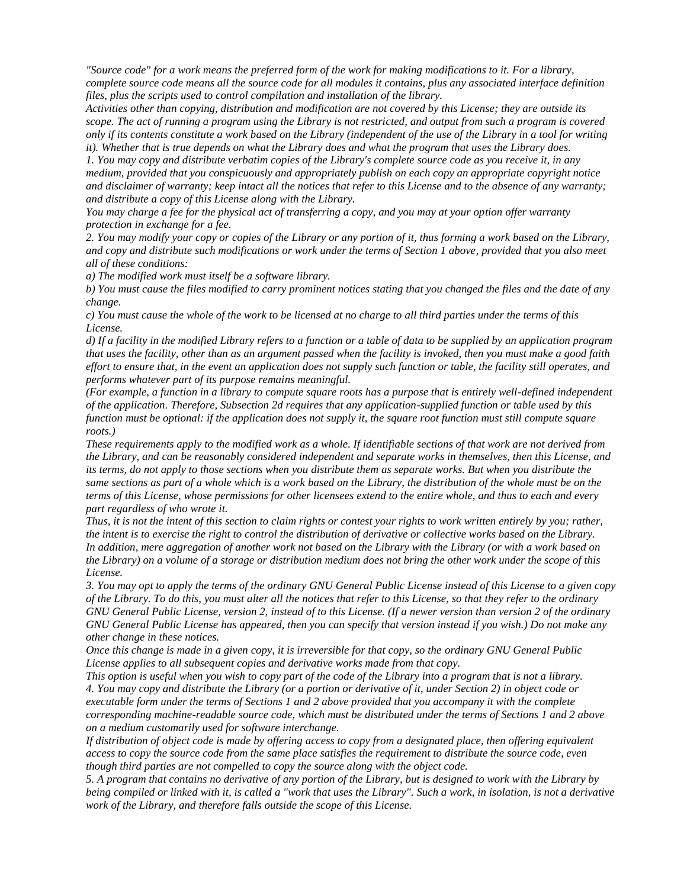*"Source code" for a work means the preferred form of the work for making modifications to it. For a library, complete source code means all the source code for all modules it contains, plus any associated interface definition files, plus the scripts used to control compilation and installation of the library.*

*Activities other than copying, distribution and modification are not covered by this License; they are outside its scope. The act of running a program using the Library is not restricted, and output from such a program is covered only if its contents constitute a work based on the Library (independent of the use of the Library in a tool for writing it). Whether that is true depends on what the Library does and what the program that uses the Library does.*

*1. You may copy and distribute verbatim copies of the Library's complete source code as you receive it, in any medium, provided that you conspicuously and appropriately publish on each copy an appropriate copyright notice and disclaimer of warranty; keep intact all the notices that refer to this License and to the absence of any warranty; and distribute a copy of this License along with the Library.*

*You may charge a fee for the physical act of transferring a copy, and you may at your option offer warranty protection in exchange for a fee.*

*2. You may modify your copy or copies of the Library or any portion of it, thus forming a work based on the Library, and copy and distribute such modifications or work under the terms of Section 1 above, provided that you also meet all of these conditions:*

*a) The modified work must itself be a software library.*

*b) You must cause the files modified to carry prominent notices stating that you changed the files and the date of any change.*

*c) You must cause the whole of the work to be licensed at no charge to all third parties under the terms of this License.*

*d) If a facility in the modified Library refers to a function or a table of data to be supplied by an application program that uses the facility, other than as an argument passed when the facility is invoked, then you must make a good faith effort to ensure that, in the event an application does not supply such function or table, the facility still operates, and performs whatever part of its purpose remains meaningful.*

*(For example, a function in a library to compute square roots has a purpose that is entirely well-defined independent of the application. Therefore, Subsection 2d requires that any application-supplied function or table used by this function must be optional: if the application does not supply it, the square root function must still compute square roots.)*

*These requirements apply to the modified work as a whole. If identifiable sections of that work are not derived from the Library, and can be reasonably considered independent and separate works in themselves, then this License, and its terms, do not apply to those sections when you distribute them as separate works. But when you distribute the same sections as part of a whole which is a work based on the Library, the distribution of the whole must be on the terms of this License, whose permissions for other licensees extend to the entire whole, and thus to each and every part regardless of who wrote it.*

*Thus, it is not the intent of this section to claim rights or contest your rights to work written entirely by you; rather, the intent is to exercise the right to control the distribution of derivative or collective works based on the Library. In addition, mere aggregation of another work not based on the Library with the Library (or with a work based on the Library) on a volume of a storage or distribution medium does not bring the other work under the scope of this License.*

*3. You may opt to apply the terms of the ordinary GNU General Public License instead of this License to a given copy of the Library. To do this, you must alter all the notices that refer to this License, so that they refer to the ordinary GNU General Public License, version 2, instead of to this License. (If a newer version than version 2 of the ordinary GNU General Public License has appeared, then you can specify that version instead if you wish.) Do not make any other change in these notices.*

*Once this change is made in a given copy, it is irreversible for that copy, so the ordinary GNU General Public License applies to all subsequent copies and derivative works made from that copy.*

*This option is useful when you wish to copy part of the code of the Library into a program that is not a library. 4. You may copy and distribute the Library (or a portion or derivative of it, under Section 2) in object code or executable form under the terms of Sections 1 and 2 above provided that you accompany it with the complete corresponding machine-readable source code, which must be distributed under the terms of Sections 1 and 2 above on a medium customarily used for software interchange.*

*If distribution of object code is made by offering access to copy from a designated place, then offering equivalent access to copy the source code from the same place satisfies the requirement to distribute the source code, even though third parties are not compelled to copy the source along with the object code.*

*5. A program that contains no derivative of any portion of the Library, but is designed to work with the Library by being compiled or linked with it, is called a "work that uses the Library". Such a work, in isolation, is not a derivative work of the Library, and therefore falls outside the scope of this License.*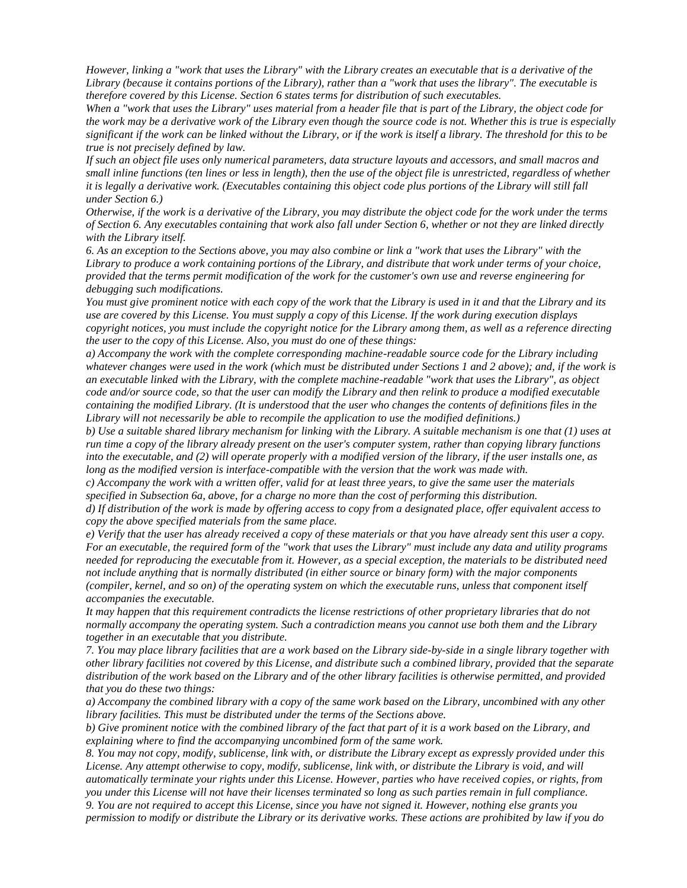*However, linking a "work that uses the Library" with the Library creates an executable that is a derivative of the Library (because it contains portions of the Library), rather than a "work that uses the library". The executable is therefore covered by this License. Section 6 states terms for distribution of such executables.*

*When a "work that uses the Library" uses material from a header file that is part of the Library, the object code for the work may be a derivative work of the Library even though the source code is not. Whether this is true is especially significant if the work can be linked without the Library, or if the work is itself a library. The threshold for this to be true is not precisely defined by law.*

*If such an object file uses only numerical parameters, data structure layouts and accessors, and small macros and small inline functions (ten lines or less in length), then the use of the object file is unrestricted, regardless of whether it is legally a derivative work. (Executables containing this object code plus portions of the Library will still fall under Section 6.)*

*Otherwise, if the work is a derivative of the Library, you may distribute the object code for the work under the terms of Section 6. Any executables containing that work also fall under Section 6, whether or not they are linked directly with the Library itself.*

*6. As an exception to the Sections above, you may also combine or link a "work that uses the Library" with the Library to produce a work containing portions of the Library, and distribute that work under terms of your choice, provided that the terms permit modification of the work for the customer's own use and reverse engineering for debugging such modifications.*

*You must give prominent notice with each copy of the work that the Library is used in it and that the Library and its use are covered by this License. You must supply a copy of this License. If the work during execution displays copyright notices, you must include the copyright notice for the Library among them, as well as a reference directing the user to the copy of this License. Also, you must do one of these things:*

*a) Accompany the work with the complete corresponding machine-readable source code for the Library including whatever changes were used in the work (which must be distributed under Sections 1 and 2 above); and, if the work is an executable linked with the Library, with the complete machine-readable "work that uses the Library", as object code and/or source code, so that the user can modify the Library and then relink to produce a modified executable containing the modified Library. (It is understood that the user who changes the contents of definitions files in the Library will not necessarily be able to recompile the application to use the modified definitions.)*

*b) Use a suitable shared library mechanism for linking with the Library. A suitable mechanism is one that (1) uses at run time a copy of the library already present on the user's computer system, rather than copying library functions into the executable, and (2) will operate properly with a modified version of the library, if the user installs one, as long as the modified version is interface-compatible with the version that the work was made with.*

*c) Accompany the work with a written offer, valid for at least three years, to give the same user the materials specified in Subsection 6a, above, for a charge no more than the cost of performing this distribution.*

*d) If distribution of the work is made by offering access to copy from a designated place, offer equivalent access to copy the above specified materials from the same place.*

*e) Verify that the user has already received a copy of these materials or that you have already sent this user a copy. For an executable, the required form of the "work that uses the Library" must include any data and utility programs needed for reproducing the executable from it. However, as a special exception, the materials to be distributed need not include anything that is normally distributed (in either source or binary form) with the major components (compiler, kernel, and so on) of the operating system on which the executable runs, unless that component itself accompanies the executable.*

*It may happen that this requirement contradicts the license restrictions of other proprietary libraries that do not normally accompany the operating system. Such a contradiction means you cannot use both them and the Library together in an executable that you distribute.*

*7. You may place library facilities that are a work based on the Library side-by-side in a single library together with other library facilities not covered by this License, and distribute such a combined library, provided that the separate distribution of the work based on the Library and of the other library facilities is otherwise permitted, and provided that you do these two things:*

*a) Accompany the combined library with a copy of the same work based on the Library, uncombined with any other library facilities. This must be distributed under the terms of the Sections above.*

*b) Give prominent notice with the combined library of the fact that part of it is a work based on the Library, and explaining where to find the accompanying uncombined form of the same work.*

*8. You may not copy, modify, sublicense, link with, or distribute the Library except as expressly provided under this License. Any attempt otherwise to copy, modify, sublicense, link with, or distribute the Library is void, and will automatically terminate your rights under this License. However, parties who have received copies, or rights, from you under this License will not have their licenses terminated so long as such parties remain in full compliance.*

*9. You are not required to accept this License, since you have not signed it. However, nothing else grants you permission to modify or distribute the Library or its derivative works. These actions are prohibited by law if you do*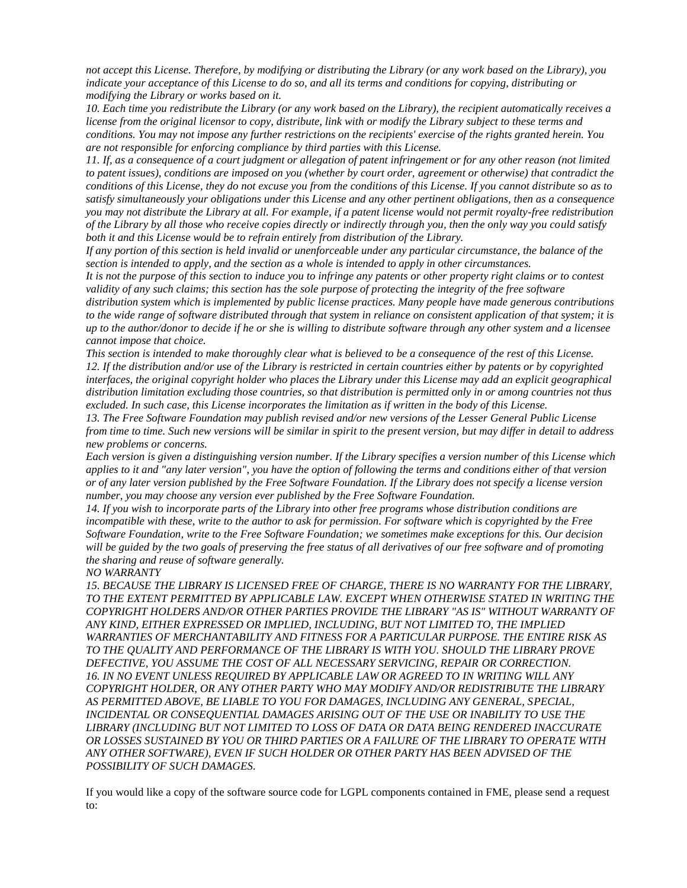*not accept this License. Therefore, by modifying or distributing the Library (or any work based on the Library), you indicate your acceptance of this License to do so, and all its terms and conditions for copying, distributing or modifying the Library or works based on it.*

*10. Each time you redistribute the Library (or any work based on the Library), the recipient automatically receives a license from the original licensor to copy, distribute, link with or modify the Library subject to these terms and conditions. You may not impose any further restrictions on the recipients' exercise of the rights granted herein. You are not responsible for enforcing compliance by third parties with this License.*

*11. If, as a consequence of a court judgment or allegation of patent infringement or for any other reason (not limited to patent issues), conditions are imposed on you (whether by court order, agreement or otherwise) that contradict the conditions of this License, they do not excuse you from the conditions of this License. If you cannot distribute so as to satisfy simultaneously your obligations under this License and any other pertinent obligations, then as a consequence you may not distribute the Library at all. For example, if a patent license would not permit royalty-free redistribution of the Library by all those who receive copies directly or indirectly through you, then the only way you could satisfy both it and this License would be to refrain entirely from distribution of the Library.*

*If any portion of this section is held invalid or unenforceable under any particular circumstance, the balance of the section is intended to apply, and the section as a whole is intended to apply in other circumstances.*

*It is not the purpose of this section to induce you to infringe any patents or other property right claims or to contest validity of any such claims; this section has the sole purpose of protecting the integrity of the free software* 

*distribution system which is implemented by public license practices. Many people have made generous contributions to the wide range of software distributed through that system in reliance on consistent application of that system; it is up to the author/donor to decide if he or she is willing to distribute software through any other system and a licensee cannot impose that choice.*

*This section is intended to make thoroughly clear what is believed to be a consequence of the rest of this License. 12. If the distribution and/or use of the Library is restricted in certain countries either by patents or by copyrighted interfaces, the original copyright holder who places the Library under this License may add an explicit geographical distribution limitation excluding those countries, so that distribution is permitted only in or among countries not thus excluded. In such case, this License incorporates the limitation as if written in the body of this License.*

*13. The Free Software Foundation may publish revised and/or new versions of the Lesser General Public License from time to time. Such new versions will be similar in spirit to the present version, but may differ in detail to address new problems or concerns.*

*Each version is given a distinguishing version number. If the Library specifies a version number of this License which applies to it and "any later version", you have the option of following the terms and conditions either of that version or of any later version published by the Free Software Foundation. If the Library does not specify a license version number, you may choose any version ever published by the Free Software Foundation.*

*14. If you wish to incorporate parts of the Library into other free programs whose distribution conditions are incompatible with these, write to the author to ask for permission. For software which is copyrighted by the Free Software Foundation, write to the Free Software Foundation; we sometimes make exceptions for this. Our decision will be guided by the two goals of preserving the free status of all derivatives of our free software and of promoting the sharing and reuse of software generally.*

*NO WARRANTY*

*15. BECAUSE THE LIBRARY IS LICENSED FREE OF CHARGE, THERE IS NO WARRANTY FOR THE LIBRARY, TO THE EXTENT PERMITTED BY APPLICABLE LAW. EXCEPT WHEN OTHERWISE STATED IN WRITING THE COPYRIGHT HOLDERS AND/OR OTHER PARTIES PROVIDE THE LIBRARY "AS IS" WITHOUT WARRANTY OF ANY KIND, EITHER EXPRESSED OR IMPLIED, INCLUDING, BUT NOT LIMITED TO, THE IMPLIED WARRANTIES OF MERCHANTABILITY AND FITNESS FOR A PARTICULAR PURPOSE. THE ENTIRE RISK AS TO THE QUALITY AND PERFORMANCE OF THE LIBRARY IS WITH YOU. SHOULD THE LIBRARY PROVE DEFECTIVE, YOU ASSUME THE COST OF ALL NECESSARY SERVICING, REPAIR OR CORRECTION. 16. IN NO EVENT UNLESS REQUIRED BY APPLICABLE LAW OR AGREED TO IN WRITING WILL ANY COPYRIGHT HOLDER, OR ANY OTHER PARTY WHO MAY MODIFY AND/OR REDISTRIBUTE THE LIBRARY AS PERMITTED ABOVE, BE LIABLE TO YOU FOR DAMAGES, INCLUDING ANY GENERAL, SPECIAL, INCIDENTAL OR CONSEQUENTIAL DAMAGES ARISING OUT OF THE USE OR INABILITY TO USE THE LIBRARY (INCLUDING BUT NOT LIMITED TO LOSS OF DATA OR DATA BEING RENDERED INACCURATE OR LOSSES SUSTAINED BY YOU OR THIRD PARTIES OR A FAILURE OF THE LIBRARY TO OPERATE WITH ANY OTHER SOFTWARE), EVEN IF SUCH HOLDER OR OTHER PARTY HAS BEEN ADVISED OF THE POSSIBILITY OF SUCH DAMAGES.*

If you would like a copy of the software source code for LGPL components contained in FME, please send a request to: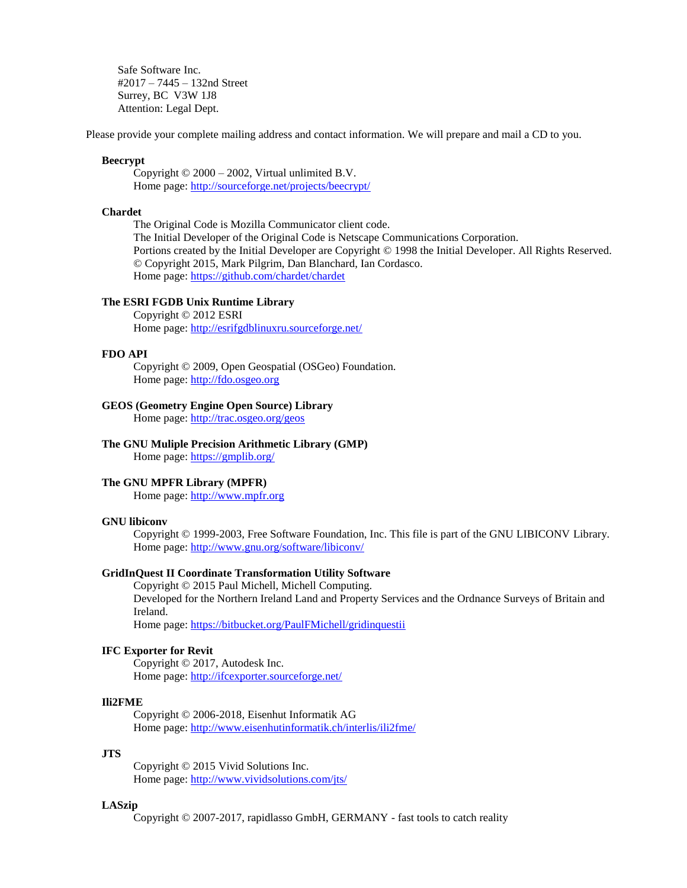Safe Software Inc. #2017 – 7445 – 132nd Street Surrey, BC V3W 1J8 Attention: Legal Dept.

Please provide your complete mailing address and contact information. We will prepare and mail a CD to you.

## **Beecrypt**

Copyright © 2000 – 2002, Virtual unlimited B.V. Home page:<http://sourceforge.net/projects/beecrypt/>

#### **Chardet**

The Original Code is Mozilla Communicator client code. The Initial Developer of the Original Code is Netscape Communications Corporation. Portions created by the Initial Developer are Copyright © 1998 the Initial Developer. All Rights Reserved. © Copyright 2015, Mark Pilgrim, Dan Blanchard, Ian Cordasco. Home page:<https://github.com/chardet/chardet>

# **The ESRI FGDB Unix Runtime Library**

Copyright © 2012 ESRI Home page:<http://esrifgdblinuxru.sourceforge.net/>

## **FDO API**

Copyright © 2009, Open Geospatial (OSGeo) Foundation. Home page: [http://fdo.osgeo.org](http://fdo.osgeo.org/)

## **GEOS (Geometry Engine Open Source) Library**

Home page:<http://trac.osgeo.org/geos>

# **The GNU Muliple Precision Arithmetic Library (GMP)**

Home page:<https://gmplib.org/>

### **The GNU MPFR Library (MPFR)**

Home page: [http://www.mpfr.org](http://www.mpfr.org/)

### **GNU libiconv**

Copyright © 1999-2003, Free Software Foundation, Inc. This file is part of the GNU LIBICONV Library. Home page:<http://www.gnu.org/software/libiconv/>

## **GridInQuest II Coordinate Transformation Utility Software**

Copyright © 2015 Paul Michell, Michell Computing. Developed for the Northern Ireland Land and Property Services and the Ordnance Surveys of Britain and Ireland.

Home page:<https://bitbucket.org/PaulFMichell/gridinquestii>

### **IFC Exporter for Revit**

Copyright © 2017, Autodesk Inc. Home page:<http://ifcexporter.sourceforge.net/>

### **Ili2FME**

Copyright © 2006-2018, Eisenhut Informatik AG Home page:<http://www.eisenhutinformatik.ch/interlis/ili2fme/>

### **JTS**

Copyright © 2015 Vivid Solutions Inc. Home page:<http://www.vividsolutions.com/jts/>

### **LASzip**

Copyright © 2007-2017, rapidlasso GmbH, GERMANY - fast tools to catch reality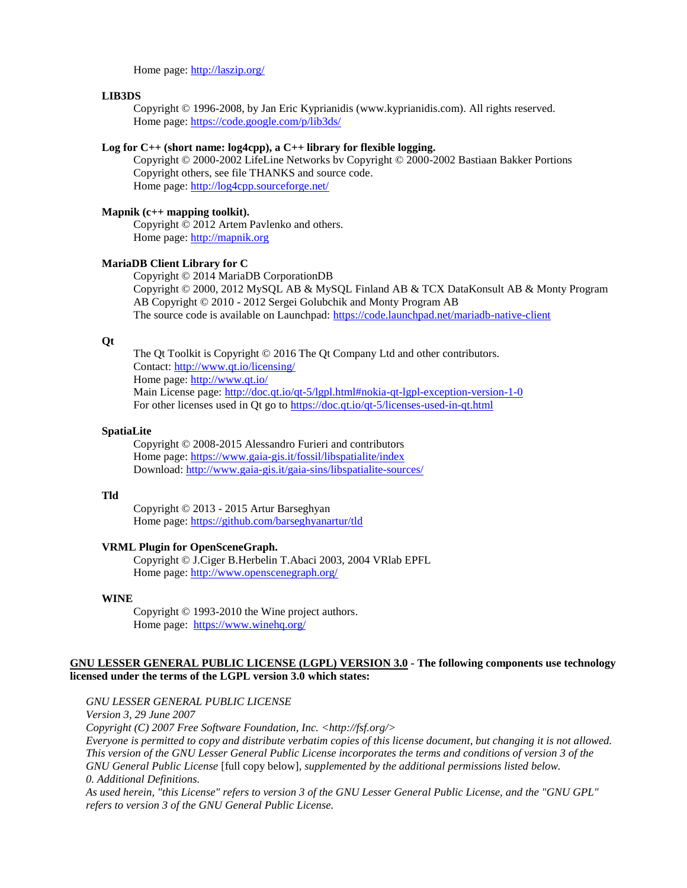Home page:<http://laszip.org/>

### **LIB3DS**

Copyright © 1996-2008, by Jan Eric Kyprianidis (www.kyprianidis.com). All rights reserved. Home page:<https://code.google.com/p/lib3ds/>

## **Log for C++ (short name: log4cpp), a C++ library for flexible logging.**

Copyright © 2000-2002 LifeLine Networks bv Copyright © 2000-2002 Bastiaan Bakker Portions Copyright others, see file THANKS and source code. Home page:<http://log4cpp.sourceforge.net/>

### **Mapnik (c++ mapping toolkit).**

Copyright © 2012 Artem Pavlenko and others. Home page: [http://mapnik.org](http://mapnik.org/)

### **MariaDB Client Library for C**

Copyright © 2014 MariaDB CorporationDB Copyright © 2000, 2012 MySQL AB & MySQL Finland AB & TCX DataKonsult AB & Monty Program AB Copyright © 2010 - 2012 Sergei Golubchik and Monty Program AB The source code is available on Launchpad:<https://code.launchpad.net/mariadb-native-client>

### **Qt**

The Qt Toolkit is Copyright © 2016 The Qt Company Ltd and other contributors. Contact:<http://www.qt.io/licensing/> Home page:<http://www.qt.io/> Main License page:<http://doc.qt.io/qt-5/lgpl.html#nokia-qt-lgpl-exception-version-1-0> For other licenses used in Qt go to<https://doc.qt.io/qt-5/licenses-used-in-qt.html>

#### **SpatiaLite**

Copyright © 2008-2015 Alessandro Furieri and contributors Home page:<https://www.gaia-gis.it/fossil/libspatialite/index> Download:<http://www.gaia-gis.it/gaia-sins/libspatialite-sources/>

### **Tld**

Copyright © 2013 - 2015 Artur Barseghyan Home page:<https://github.com/barseghyanartur/tld>

#### **VRML Plugin for OpenSceneGraph.**

Copyright © J.Ciger B.Herbelin T.Abaci 2003, 2004 VRlab EPFL Home page:<http://www.openscenegraph.org/>

### **WINE**

Copyright © 1993-2010 the Wine project authors. Home page: <https://www.winehq.org/>

## **GNU LESSER GENERAL PUBLIC LICENSE (LGPL) VERSION 3.0 - The following components use technology licensed under the terms of the LGPL version 3.0 which states:**

*GNU LESSER GENERAL PUBLIC LICENSE Version 3, 29 June 2007 Copyright (C) 2007 Free Software Foundation, Inc. <http://fsf.org/> Everyone is permitted to copy and distribute verbatim copies of this license document, but changing it is not allowed. This version of the GNU Lesser General Public License incorporates the terms and conditions of version 3 of the GNU General Public License* [full copy below], *supplemented by the additional permissions listed below. 0. Additional Definitions. As used herein, "this License" refers to version 3 of the GNU Lesser General Public License, and the "GNU GPL" refers to version 3 of the GNU General Public License.*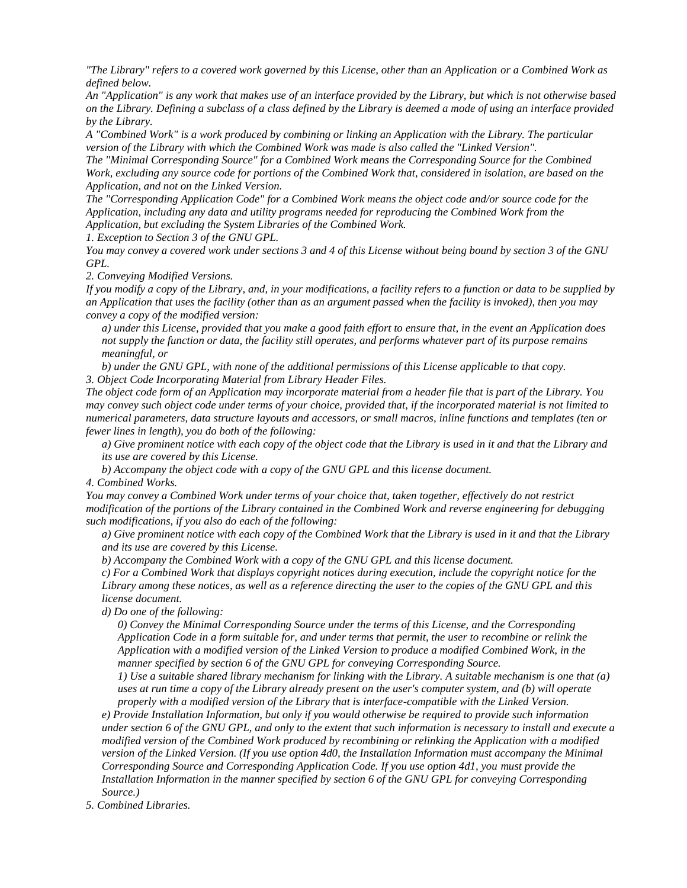*"The Library" refers to a covered work governed by this License, other than an Application or a Combined Work as defined below.*

*An "Application" is any work that makes use of an interface provided by the Library, but which is not otherwise based on the Library. Defining a subclass of a class defined by the Library is deemed a mode of using an interface provided by the Library.*

*A "Combined Work" is a work produced by combining or linking an Application with the Library. The particular version of the Library with which the Combined Work was made is also called the "Linked Version".*

*The "Minimal Corresponding Source" for a Combined Work means the Corresponding Source for the Combined Work, excluding any source code for portions of the Combined Work that, considered in isolation, are based on the Application, and not on the Linked Version.*

*The "Corresponding Application Code" for a Combined Work means the object code and/or source code for the Application, including any data and utility programs needed for reproducing the Combined Work from the Application, but excluding the System Libraries of the Combined Work.*

*1. Exception to Section 3 of the GNU GPL.* 

*You may convey a covered work under sections 3 and 4 of this License without being bound by section 3 of the GNU GPL.*

*2. Conveying Modified Versions.* 

*If you modify a copy of the Library, and, in your modifications, a facility refers to a function or data to be supplied by an Application that uses the facility (other than as an argument passed when the facility is invoked), then you may convey a copy of the modified version:*

*a) under this License, provided that you make a good faith effort to ensure that, in the event an Application does not supply the function or data, the facility still operates, and performs whatever part of its purpose remains meaningful, or*

*b) under the GNU GPL, with none of the additional permissions of this License applicable to that copy. 3. Object Code Incorporating Material from Library Header Files.* 

*The object code form of an Application may incorporate material from a header file that is part of the Library. You may convey such object code under terms of your choice, provided that, if the incorporated material is not limited to numerical parameters, data structure layouts and accessors, or small macros, inline functions and templates (ten or fewer lines in length), you do both of the following:*

*a) Give prominent notice with each copy of the object code that the Library is used in it and that the Library and its use are covered by this License.*

*b) Accompany the object code with a copy of the GNU GPL and this license document.*

*4. Combined Works.* 

*You may convey a Combined Work under terms of your choice that, taken together, effectively do not restrict modification of the portions of the Library contained in the Combined Work and reverse engineering for debugging such modifications, if you also do each of the following:*

*a) Give prominent notice with each copy of the Combined Work that the Library is used in it and that the Library and its use are covered by this License.*

*b) Accompany the Combined Work with a copy of the GNU GPL and this license document.*

*c) For a Combined Work that displays copyright notices during execution, include the copyright notice for the Library among these notices, as well as a reference directing the user to the copies of the GNU GPL and this license document.*

*d) Do one of the following:*

*0) Convey the Minimal Corresponding Source under the terms of this License, and the Corresponding Application Code in a form suitable for, and under terms that permit, the user to recombine or relink the Application with a modified version of the Linked Version to produce a modified Combined Work, in the manner specified by section 6 of the GNU GPL for conveying Corresponding Source.*

*1) Use a suitable shared library mechanism for linking with the Library. A suitable mechanism is one that (a) uses at run time a copy of the Library already present on the user's computer system, and (b) will operate properly with a modified version of the Library that is interface-compatible with the Linked Version.*

*e) Provide Installation Information, but only if you would otherwise be required to provide such information under section 6 of the GNU GPL, and only to the extent that such information is necessary to install and execute a modified version of the Combined Work produced by recombining or relinking the Application with a modified version of the Linked Version. (If you use option 4d0, the Installation Information must accompany the Minimal Corresponding Source and Corresponding Application Code. If you use option 4d1, you must provide the Installation Information in the manner specified by section 6 of the GNU GPL for conveying Corresponding Source.)*

*5. Combined Libraries.*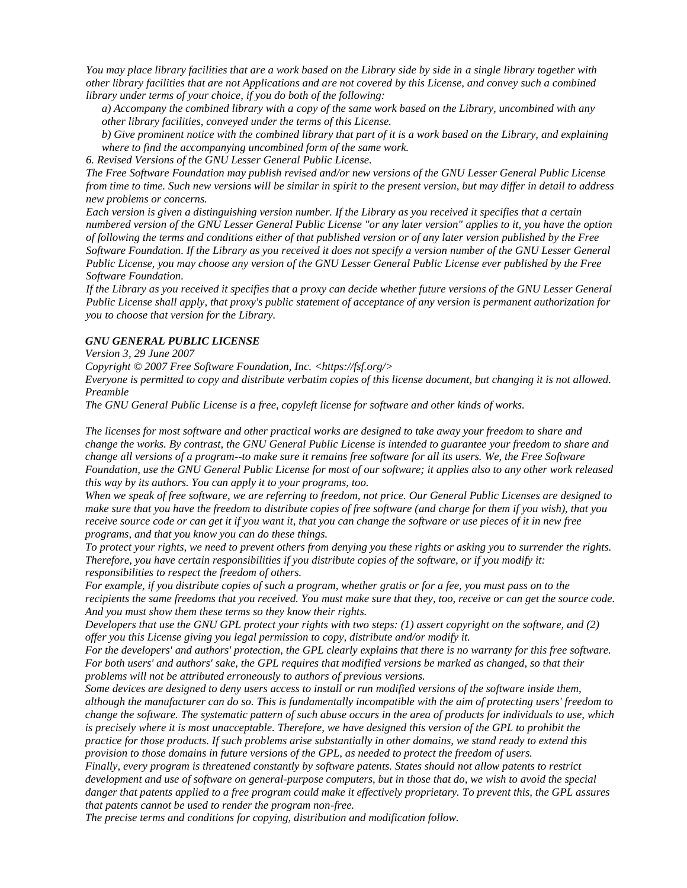*You may place library facilities that are a work based on the Library side by side in a single library together with other library facilities that are not Applications and are not covered by this License, and convey such a combined library under terms of your choice, if you do both of the following:*

*a) Accompany the combined library with a copy of the same work based on the Library, uncombined with any other library facilities, conveyed under the terms of this License.*

*b) Give prominent notice with the combined library that part of it is a work based on the Library, and explaining where to find the accompanying uncombined form of the same work.*

*6. Revised Versions of the GNU Lesser General Public License.* 

*The Free Software Foundation may publish revised and/or new versions of the GNU Lesser General Public License from time to time. Such new versions will be similar in spirit to the present version, but may differ in detail to address new problems or concerns.*

*Each version is given a distinguishing version number. If the Library as you received it specifies that a certain numbered version of the GNU Lesser General Public License "or any later version" applies to it, you have the option of following the terms and conditions either of that published version or of any later version published by the Free Software Foundation. If the Library as you received it does not specify a version number of the GNU Lesser General Public License, you may choose any version of the GNU Lesser General Public License ever published by the Free Software Foundation.*

*If the Library as you received it specifies that a proxy can decide whether future versions of the GNU Lesser General Public License shall apply, that proxy's public statement of acceptance of any version is permanent authorization for you to choose that version for the Library.*

## *GNU GENERAL PUBLIC LICENSE*

*Version 3, 29 June 2007*

*Copyright © 2007 Free Software Foundation, Inc. <https://fsf.org/>*

*Everyone is permitted to copy and distribute verbatim copies of this license document, but changing it is not allowed. Preamble*

*The GNU General Public License is a free, copyleft license for software and other kinds of works.*

*The licenses for most software and other practical works are designed to take away your freedom to share and change the works. By contrast, the GNU General Public License is intended to guarantee your freedom to share and change all versions of a program--to make sure it remains free software for all its users. We, the Free Software Foundation, use the GNU General Public License for most of our software; it applies also to any other work released this way by its authors. You can apply it to your programs, too.*

*When we speak of free software, we are referring to freedom, not price. Our General Public Licenses are designed to make sure that you have the freedom to distribute copies of free software (and charge for them if you wish), that you receive source code or can get it if you want it, that you can change the software or use pieces of it in new free programs, and that you know you can do these things.*

*To protect your rights, we need to prevent others from denying you these rights or asking you to surrender the rights. Therefore, you have certain responsibilities if you distribute copies of the software, or if you modify it: responsibilities to respect the freedom of others.*

*For example, if you distribute copies of such a program, whether gratis or for a fee, you must pass on to the recipients the same freedoms that you received. You must make sure that they, too, receive or can get the source code. And you must show them these terms so they know their rights.*

*Developers that use the GNU GPL protect your rights with two steps: (1) assert copyright on the software, and (2) offer you this License giving you legal permission to copy, distribute and/or modify it.*

*For the developers' and authors' protection, the GPL clearly explains that there is no warranty for this free software. For both users' and authors' sake, the GPL requires that modified versions be marked as changed, so that their problems will not be attributed erroneously to authors of previous versions.*

*Some devices are designed to deny users access to install or run modified versions of the software inside them, although the manufacturer can do so. This is fundamentally incompatible with the aim of protecting users' freedom to change the software. The systematic pattern of such abuse occurs in the area of products for individuals to use, which is precisely where it is most unacceptable. Therefore, we have designed this version of the GPL to prohibit the practice for those products. If such problems arise substantially in other domains, we stand ready to extend this provision to those domains in future versions of the GPL, as needed to protect the freedom of users.*

*Finally, every program is threatened constantly by software patents. States should not allow patents to restrict development and use of software on general-purpose computers, but in those that do, we wish to avoid the special danger that patents applied to a free program could make it effectively proprietary. To prevent this, the GPL assures that patents cannot be used to render the program non-free.*

*The precise terms and conditions for copying, distribution and modification follow.*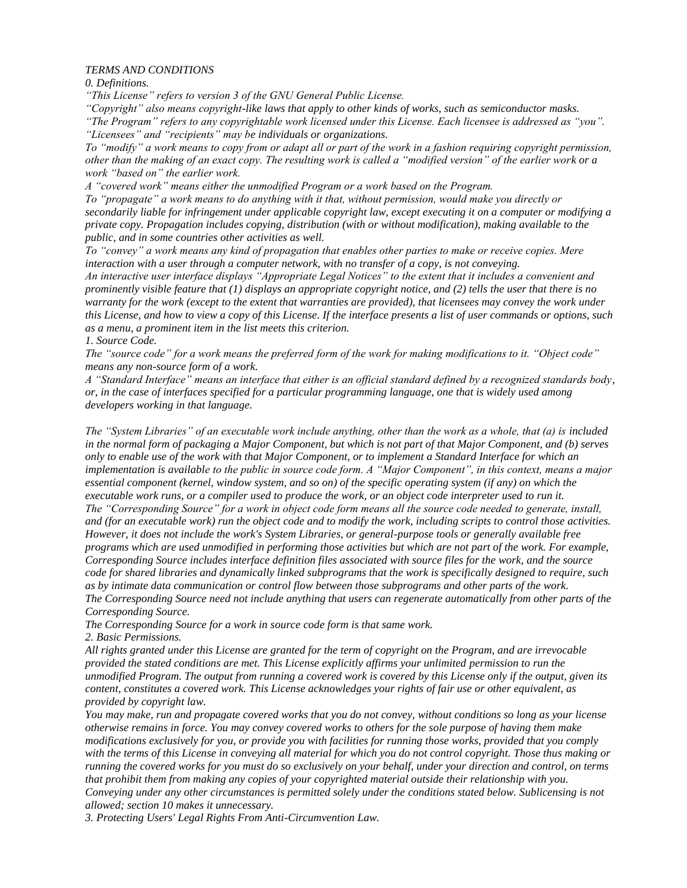### *TERMS AND CONDITIONS*

*0. Definitions.*

*"This License" refers to version 3 of the GNU General Public License.*

*"Copyright" also means copyright-like laws that apply to other kinds of works, such as semiconductor masks. "The Program" refers to any copyrightable work licensed under this License. Each licensee is addressed as "you". "Licensees" and "recipients" may be individuals or organizations.*

*To "modify" a work means to copy from or adapt all or part of the work in a fashion requiring copyright permission, other than the making of an exact copy. The resulting work is called a "modified version" of the earlier work or a work "based on" the earlier work.*

*A "covered work" means either the unmodified Program or a work based on the Program.*

*To "propagate" a work means to do anything with it that, without permission, would make you directly or secondarily liable for infringement under applicable copyright law, except executing it on a computer or modifying a private copy. Propagation includes copying, distribution (with or without modification), making available to the public, and in some countries other activities as well.*

*To "convey" a work means any kind of propagation that enables other parties to make or receive copies. Mere interaction with a user through a computer network, with no transfer of a copy, is not conveying.*

*An interactive user interface displays "Appropriate Legal Notices" to the extent that it includes a convenient and prominently visible feature that (1) displays an appropriate copyright notice, and (2) tells the user that there is no warranty for the work (except to the extent that warranties are provided), that licensees may convey the work under this License, and how to view a copy of this License. If the interface presents a list of user commands or options, such as a menu, a prominent item in the list meets this criterion.*

*1. Source Code.*

*The "source code" for a work means the preferred form of the work for making modifications to it. "Object code" means any non-source form of a work.*

*A "Standard Interface" means an interface that either is an official standard defined by a recognized standards body, or, in the case of interfaces specified for a particular programming language, one that is widely used among developers working in that language.*

*The "System Libraries" of an executable work include anything, other than the work as a whole, that (a) is included in the normal form of packaging a Major Component, but which is not part of that Major Component, and (b) serves only to enable use of the work with that Major Component, or to implement a Standard Interface for which an implementation is available to the public in source code form. A "Major Component", in this context, means a major essential component (kernel, window system, and so on) of the specific operating system (if any) on which the executable work runs, or a compiler used to produce the work, or an object code interpreter used to run it. The "Corresponding Source" for a work in object code form means all the source code needed to generate, install, and (for an executable work) run the object code and to modify the work, including scripts to control those activities. However, it does not include the work's System Libraries, or general-purpose tools or generally available free programs which are used unmodified in performing those activities but which are not part of the work. For example, Corresponding Source includes interface definition files associated with source files for the work, and the source code for shared libraries and dynamically linked subprograms that the work is specifically designed to require, such as by intimate data communication or control flow between those subprograms and other parts of the work. The Corresponding Source need not include anything that users can regenerate automatically from other parts of the Corresponding Source.*

*The Corresponding Source for a work in source code form is that same work.*

*2. Basic Permissions.*

*All rights granted under this License are granted for the term of copyright on the Program, and are irrevocable provided the stated conditions are met. This License explicitly affirms your unlimited permission to run the unmodified Program. The output from running a covered work is covered by this License only if the output, given its content, constitutes a covered work. This License acknowledges your rights of fair use or other equivalent, as provided by copyright law.*

*You may make, run and propagate covered works that you do not convey, without conditions so long as your license otherwise remains in force. You may convey covered works to others for the sole purpose of having them make modifications exclusively for you, or provide you with facilities for running those works, provided that you comply with the terms of this License in conveying all material for which you do not control copyright. Those thus making or running the covered works for you must do so exclusively on your behalf, under your direction and control, on terms that prohibit them from making any copies of your copyrighted material outside their relationship with you. Conveying under any other circumstances is permitted solely under the conditions stated below. Sublicensing is not allowed; section 10 makes it unnecessary.*

*3. Protecting Users' Legal Rights From Anti-Circumvention Law.*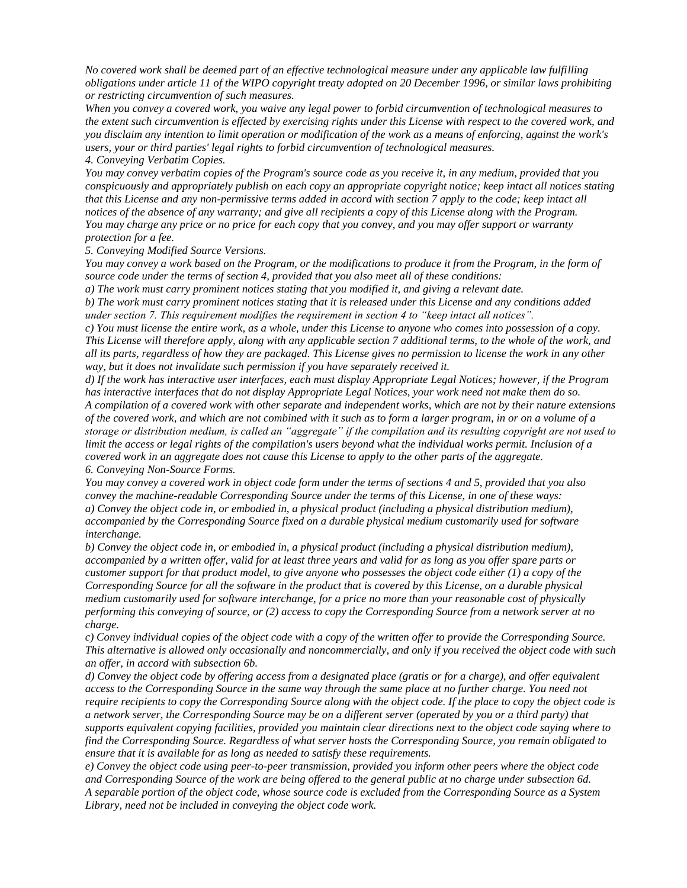*No covered work shall be deemed part of an effective technological measure under any applicable law fulfilling obligations under article 11 of the WIPO copyright treaty adopted on 20 December 1996, or similar laws prohibiting or restricting circumvention of such measures.*

*When you convey a covered work, you waive any legal power to forbid circumvention of technological measures to the extent such circumvention is effected by exercising rights under this License with respect to the covered work, and you disclaim any intention to limit operation or modification of the work as a means of enforcing, against the work's users, your or third parties' legal rights to forbid circumvention of technological measures. 4. Conveying Verbatim Copies.*

*You may convey verbatim copies of the Program's source code as you receive it, in any medium, provided that you conspicuously and appropriately publish on each copy an appropriate copyright notice; keep intact all notices stating that this License and any non-permissive terms added in accord with section 7 apply to the code; keep intact all notices of the absence of any warranty; and give all recipients a copy of this License along with the Program. You may charge any price or no price for each copy that you convey, and you may offer support or warranty protection for a fee.*

*5. Conveying Modified Source Versions.*

*You may convey a work based on the Program, or the modifications to produce it from the Program, in the form of source code under the terms of section 4, provided that you also meet all of these conditions:*

*a) The work must carry prominent notices stating that you modified it, and giving a relevant date.*

*b) The work must carry prominent notices stating that it is released under this License and any conditions added under section 7. This requirement modifies the requirement in section 4 to "keep intact all notices".*

*c) You must license the entire work, as a whole, under this License to anyone who comes into possession of a copy. This License will therefore apply, along with any applicable section 7 additional terms, to the whole of the work, and all its parts, regardless of how they are packaged. This License gives no permission to license the work in any other way, but it does not invalidate such permission if you have separately received it.*

*d) If the work has interactive user interfaces, each must display Appropriate Legal Notices; however, if the Program has interactive interfaces that do not display Appropriate Legal Notices, your work need not make them do so. A compilation of a covered work with other separate and independent works, which are not by their nature extensions of the covered work, and which are not combined with it such as to form a larger program, in or on a volume of a storage or distribution medium, is called an "aggregate" if the compilation and its resulting copyright are not used to limit the access or legal rights of the compilation's users beyond what the individual works permit. Inclusion of a covered work in an aggregate does not cause this License to apply to the other parts of the aggregate. 6. Conveying Non-Source Forms.*

*You may convey a covered work in object code form under the terms of sections 4 and 5, provided that you also convey the machine-readable Corresponding Source under the terms of this License, in one of these ways: a) Convey the object code in, or embodied in, a physical product (including a physical distribution medium), accompanied by the Corresponding Source fixed on a durable physical medium customarily used for software interchange.*

*b) Convey the object code in, or embodied in, a physical product (including a physical distribution medium), accompanied by a written offer, valid for at least three years and valid for as long as you offer spare parts or customer support for that product model, to give anyone who possesses the object code either (1) a copy of the Corresponding Source for all the software in the product that is covered by this License, on a durable physical medium customarily used for software interchange, for a price no more than your reasonable cost of physically performing this conveying of source, or (2) access to copy the Corresponding Source from a network server at no charge.*

*c) Convey individual copies of the object code with a copy of the written offer to provide the Corresponding Source. This alternative is allowed only occasionally and noncommercially, and only if you received the object code with such an offer, in accord with subsection 6b.*

*d) Convey the object code by offering access from a designated place (gratis or for a charge), and offer equivalent access to the Corresponding Source in the same way through the same place at no further charge. You need not require recipients to copy the Corresponding Source along with the object code. If the place to copy the object code is a network server, the Corresponding Source may be on a different server (operated by you or a third party) that supports equivalent copying facilities, provided you maintain clear directions next to the object code saying where to find the Corresponding Source. Regardless of what server hosts the Corresponding Source, you remain obligated to ensure that it is available for as long as needed to satisfy these requirements.*

*e) Convey the object code using peer-to-peer transmission, provided you inform other peers where the object code and Corresponding Source of the work are being offered to the general public at no charge under subsection 6d. A separable portion of the object code, whose source code is excluded from the Corresponding Source as a System Library, need not be included in conveying the object code work.*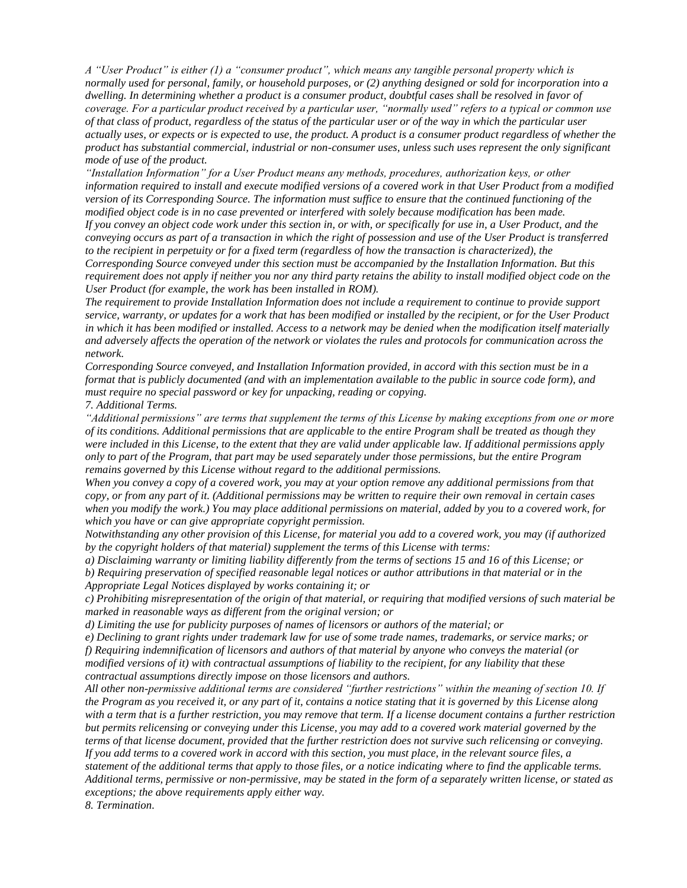*A "User Product" is either (1) a "consumer product", which means any tangible personal property which is normally used for personal, family, or household purposes, or (2) anything designed or sold for incorporation into a dwelling. In determining whether a product is a consumer product, doubtful cases shall be resolved in favor of coverage. For a particular product received by a particular user, "normally used" refers to a typical or common use of that class of product, regardless of the status of the particular user or of the way in which the particular user actually uses, or expects or is expected to use, the product. A product is a consumer product regardless of whether the product has substantial commercial, industrial or non-consumer uses, unless such uses represent the only significant mode of use of the product.*

*"Installation Information" for a User Product means any methods, procedures, authorization keys, or other information required to install and execute modified versions of a covered work in that User Product from a modified version of its Corresponding Source. The information must suffice to ensure that the continued functioning of the modified object code is in no case prevented or interfered with solely because modification has been made. If you convey an object code work under this section in, or with, or specifically for use in, a User Product, and the conveying occurs as part of a transaction in which the right of possession and use of the User Product is transferred to the recipient in perpetuity or for a fixed term (regardless of how the transaction is characterized), the Corresponding Source conveyed under this section must be accompanied by the Installation Information. But this requirement does not apply if neither you nor any third party retains the ability to install modified object code on the User Product (for example, the work has been installed in ROM).*

*The requirement to provide Installation Information does not include a requirement to continue to provide support service, warranty, or updates for a work that has been modified or installed by the recipient, or for the User Product in which it has been modified or installed. Access to a network may be denied when the modification itself materially and adversely affects the operation of the network or violates the rules and protocols for communication across the network.*

*Corresponding Source conveyed, and Installation Information provided, in accord with this section must be in a format that is publicly documented (and with an implementation available to the public in source code form), and must require no special password or key for unpacking, reading or copying.*

*7. Additional Terms.*

*"Additional permissions" are terms that supplement the terms of this License by making exceptions from one or more of its conditions. Additional permissions that are applicable to the entire Program shall be treated as though they were included in this License, to the extent that they are valid under applicable law. If additional permissions apply only to part of the Program, that part may be used separately under those permissions, but the entire Program remains governed by this License without regard to the additional permissions.*

*When you convey a copy of a covered work, you may at your option remove any additional permissions from that copy, or from any part of it. (Additional permissions may be written to require their own removal in certain cases when you modify the work.) You may place additional permissions on material, added by you to a covered work, for which you have or can give appropriate copyright permission.*

*Notwithstanding any other provision of this License, for material you add to a covered work, you may (if authorized by the copyright holders of that material) supplement the terms of this License with terms:*

*a) Disclaiming warranty or limiting liability differently from the terms of sections 15 and 16 of this License; or b) Requiring preservation of specified reasonable legal notices or author attributions in that material or in the Appropriate Legal Notices displayed by works containing it; or*

*c) Prohibiting misrepresentation of the origin of that material, or requiring that modified versions of such material be marked in reasonable ways as different from the original version; or*

*d) Limiting the use for publicity purposes of names of licensors or authors of the material; or*

*e) Declining to grant rights under trademark law for use of some trade names, trademarks, or service marks; or f) Requiring indemnification of licensors and authors of that material by anyone who conveys the material (or modified versions of it) with contractual assumptions of liability to the recipient, for any liability that these contractual assumptions directly impose on those licensors and authors.*

*All other non-permissive additional terms are considered "further restrictions" within the meaning of section 10. If the Program as you received it, or any part of it, contains a notice stating that it is governed by this License along with a term that is a further restriction, you may remove that term. If a license document contains a further restriction but permits relicensing or conveying under this License, you may add to a covered work material governed by the terms of that license document, provided that the further restriction does not survive such relicensing or conveying. If you add terms to a covered work in accord with this section, you must place, in the relevant source files, a statement of the additional terms that apply to those files, or a notice indicating where to find the applicable terms. Additional terms, permissive or non-permissive, may be stated in the form of a separately written license, or stated as exceptions; the above requirements apply either way.*

*8. Termination.*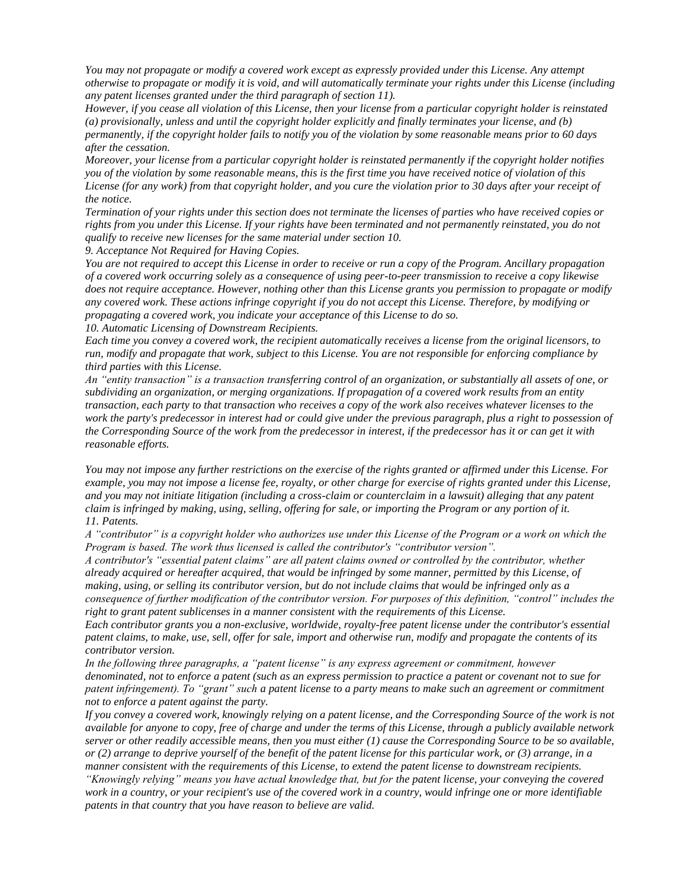*You may not propagate or modify a covered work except as expressly provided under this License. Any attempt otherwise to propagate or modify it is void, and will automatically terminate your rights under this License (including any patent licenses granted under the third paragraph of section 11).*

*However, if you cease all violation of this License, then your license from a particular copyright holder is reinstated (a) provisionally, unless and until the copyright holder explicitly and finally terminates your license, and (b) permanently, if the copyright holder fails to notify you of the violation by some reasonable means prior to 60 days after the cessation.*

*Moreover, your license from a particular copyright holder is reinstated permanently if the copyright holder notifies you of the violation by some reasonable means, this is the first time you have received notice of violation of this License (for any work) from that copyright holder, and you cure the violation prior to 30 days after your receipt of the notice.*

*Termination of your rights under this section does not terminate the licenses of parties who have received copies or rights from you under this License. If your rights have been terminated and not permanently reinstated, you do not qualify to receive new licenses for the same material under section 10.*

*9. Acceptance Not Required for Having Copies.*

*You are not required to accept this License in order to receive or run a copy of the Program. Ancillary propagation of a covered work occurring solely as a consequence of using peer-to-peer transmission to receive a copy likewise does not require acceptance. However, nothing other than this License grants you permission to propagate or modify any covered work. These actions infringe copyright if you do not accept this License. Therefore, by modifying or propagating a covered work, you indicate your acceptance of this License to do so.*

*10. Automatic Licensing of Downstream Recipients.*

*Each time you convey a covered work, the recipient automatically receives a license from the original licensors, to run, modify and propagate that work, subject to this License. You are not responsible for enforcing compliance by third parties with this License.*

*An "entity transaction" is a transaction transferring control of an organization, or substantially all assets of one, or subdividing an organization, or merging organizations. If propagation of a covered work results from an entity transaction, each party to that transaction who receives a copy of the work also receives whatever licenses to the work the party's predecessor in interest had or could give under the previous paragraph, plus a right to possession of the Corresponding Source of the work from the predecessor in interest, if the predecessor has it or can get it with reasonable efforts.*

*You may not impose any further restrictions on the exercise of the rights granted or affirmed under this License. For example, you may not impose a license fee, royalty, or other charge for exercise of rights granted under this License, and you may not initiate litigation (including a cross-claim or counterclaim in a lawsuit) alleging that any patent claim is infringed by making, using, selling, offering for sale, or importing the Program or any portion of it. 11. Patents.*

*A "contributor" is a copyright holder who authorizes use under this License of the Program or a work on which the Program is based. The work thus licensed is called the contributor's "contributor version".*

*A contributor's "essential patent claims" are all patent claims owned or controlled by the contributor, whether already acquired or hereafter acquired, that would be infringed by some manner, permitted by this License, of making, using, or selling its contributor version, but do not include claims that would be infringed only as a consequence of further modification of the contributor version. For purposes of this definition, "control" includes the right to grant patent sublicenses in a manner consistent with the requirements of this License.*

*Each contributor grants you a non-exclusive, worldwide, royalty-free patent license under the contributor's essential patent claims, to make, use, sell, offer for sale, import and otherwise run, modify and propagate the contents of its contributor version.*

*In the following three paragraphs, a "patent license" is any express agreement or commitment, however denominated, not to enforce a patent (such as an express permission to practice a patent or covenant not to sue for patent infringement). To "grant" such a patent license to a party means to make such an agreement or commitment not to enforce a patent against the party.*

*If you convey a covered work, knowingly relying on a patent license, and the Corresponding Source of the work is not available for anyone to copy, free of charge and under the terms of this License, through a publicly available network server or other readily accessible means, then you must either (1) cause the Corresponding Source to be so available, or (2) arrange to deprive yourself of the benefit of the patent license for this particular work, or (3) arrange, in a manner consistent with the requirements of this License, to extend the patent license to downstream recipients.* 

*"Knowingly relying" means you have actual knowledge that, but for the patent license, your conveying the covered work in a country, or your recipient's use of the covered work in a country, would infringe one or more identifiable patents in that country that you have reason to believe are valid.*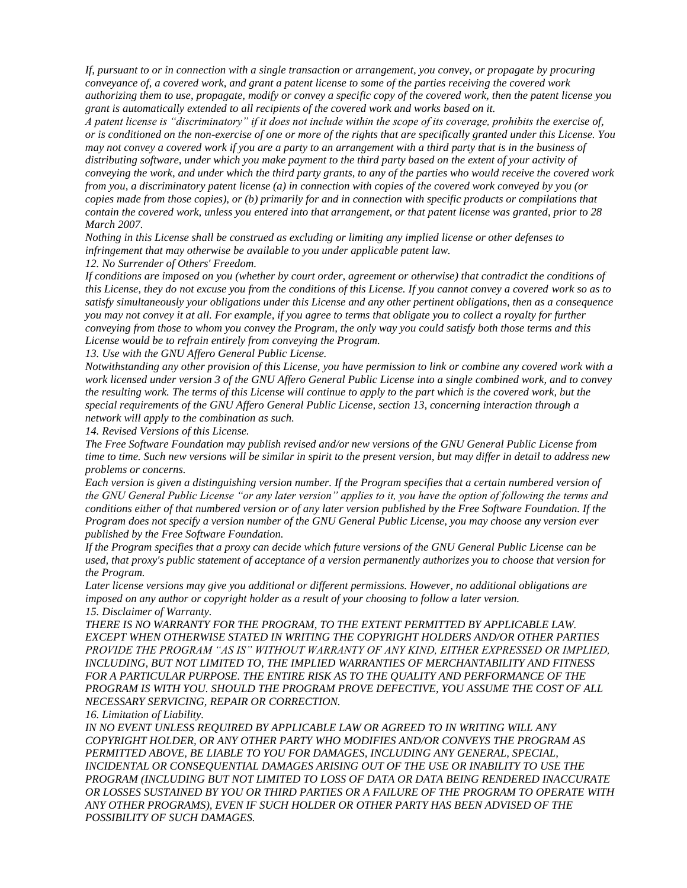*If, pursuant to or in connection with a single transaction or arrangement, you convey, or propagate by procuring conveyance of, a covered work, and grant a patent license to some of the parties receiving the covered work authorizing them to use, propagate, modify or convey a specific copy of the covered work, then the patent license you grant is automatically extended to all recipients of the covered work and works based on it.*

*A patent license is "discriminatory" if it does not include within the scope of its coverage, prohibits the exercise of, or is conditioned on the non-exercise of one or more of the rights that are specifically granted under this License. You may not convey a covered work if you are a party to an arrangement with a third party that is in the business of distributing software, under which you make payment to the third party based on the extent of your activity of conveying the work, and under which the third party grants, to any of the parties who would receive the covered work from you, a discriminatory patent license (a) in connection with copies of the covered work conveyed by you (or copies made from those copies), or (b) primarily for and in connection with specific products or compilations that contain the covered work, unless you entered into that arrangement, or that patent license was granted, prior to 28 March 2007.*

*Nothing in this License shall be construed as excluding or limiting any implied license or other defenses to infringement that may otherwise be available to you under applicable patent law.*

*12. No Surrender of Others' Freedom.*

*If conditions are imposed on you (whether by court order, agreement or otherwise) that contradict the conditions of this License, they do not excuse you from the conditions of this License. If you cannot convey a covered work so as to satisfy simultaneously your obligations under this License and any other pertinent obligations, then as a consequence you may not convey it at all. For example, if you agree to terms that obligate you to collect a royalty for further conveying from those to whom you convey the Program, the only way you could satisfy both those terms and this License would be to refrain entirely from conveying the Program.*

*13. Use with the GNU Affero General Public License.*

*Notwithstanding any other provision of this License, you have permission to link or combine any covered work with a work licensed under version 3 of the GNU Affero General Public License into a single combined work, and to convey the resulting work. The terms of this License will continue to apply to the part which is the covered work, but the special requirements of the GNU Affero General Public License, section 13, concerning interaction through a network will apply to the combination as such.*

*14. Revised Versions of this License.*

*The Free Software Foundation may publish revised and/or new versions of the GNU General Public License from time to time. Such new versions will be similar in spirit to the present version, but may differ in detail to address new problems or concerns.*

*Each version is given a distinguishing version number. If the Program specifies that a certain numbered version of the GNU General Public License "or any later version" applies to it, you have the option of following the terms and conditions either of that numbered version or of any later version published by the Free Software Foundation. If the Program does not specify a version number of the GNU General Public License, you may choose any version ever published by the Free Software Foundation.*

*If the Program specifies that a proxy can decide which future versions of the GNU General Public License can be used, that proxy's public statement of acceptance of a version permanently authorizes you to choose that version for the Program.*

*Later license versions may give you additional or different permissions. However, no additional obligations are imposed on any author or copyright holder as a result of your choosing to follow a later version. 15. Disclaimer of Warranty.*

*THERE IS NO WARRANTY FOR THE PROGRAM, TO THE EXTENT PERMITTED BY APPLICABLE LAW. EXCEPT WHEN OTHERWISE STATED IN WRITING THE COPYRIGHT HOLDERS AND/OR OTHER PARTIES PROVIDE THE PROGRAM "AS IS" WITHOUT WARRANTY OF ANY KIND, EITHER EXPRESSED OR IMPLIED, INCLUDING, BUT NOT LIMITED TO, THE IMPLIED WARRANTIES OF MERCHANTABILITY AND FITNESS FOR A PARTICULAR PURPOSE. THE ENTIRE RISK AS TO THE QUALITY AND PERFORMANCE OF THE PROGRAM IS WITH YOU. SHOULD THE PROGRAM PROVE DEFECTIVE, YOU ASSUME THE COST OF ALL NECESSARY SERVICING, REPAIR OR CORRECTION.*

*16. Limitation of Liability.*

*IN NO EVENT UNLESS REQUIRED BY APPLICABLE LAW OR AGREED TO IN WRITING WILL ANY COPYRIGHT HOLDER, OR ANY OTHER PARTY WHO MODIFIES AND/OR CONVEYS THE PROGRAM AS PERMITTED ABOVE, BE LIABLE TO YOU FOR DAMAGES, INCLUDING ANY GENERAL, SPECIAL, INCIDENTAL OR CONSEQUENTIAL DAMAGES ARISING OUT OF THE USE OR INABILITY TO USE THE PROGRAM (INCLUDING BUT NOT LIMITED TO LOSS OF DATA OR DATA BEING RENDERED INACCURATE OR LOSSES SUSTAINED BY YOU OR THIRD PARTIES OR A FAILURE OF THE PROGRAM TO OPERATE WITH ANY OTHER PROGRAMS), EVEN IF SUCH HOLDER OR OTHER PARTY HAS BEEN ADVISED OF THE POSSIBILITY OF SUCH DAMAGES.*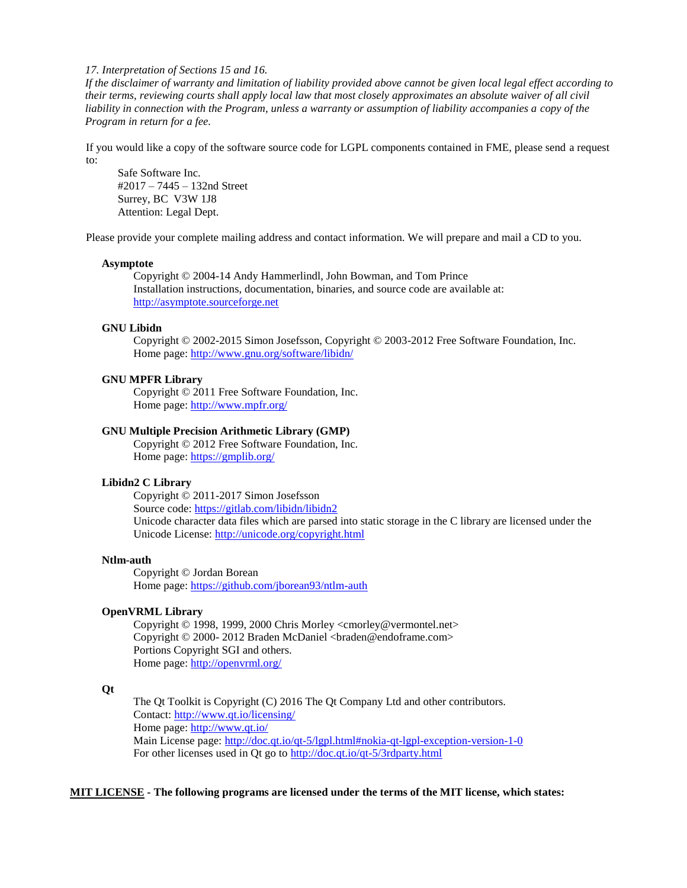*17. Interpretation of Sections 15 and 16.*

*If the disclaimer of warranty and limitation of liability provided above cannot be given local legal effect according to their terms, reviewing courts shall apply local law that most closely approximates an absolute waiver of all civil liability in connection with the Program, unless a warranty or assumption of liability accompanies a copy of the Program in return for a fee.*

If you would like a copy of the software source code for LGPL components contained in FME, please send a request to:

Safe Software Inc. #2017 – 7445 – 132nd Street Surrey, BC V3W 1J8 Attention: Legal Dept.

Please provide your complete mailing address and contact information. We will prepare and mail a CD to you.

#### **Asymptote**

Copyright © 2004-14 Andy Hammerlindl, John Bowman, and Tom Prince Installation instructions, documentation, binaries, and source code are available at: [http://asymptote.sourceforge.net](http://asymptote.sourceforge.net/)

#### **GNU Libidn**

Copyright © 2002-2015 Simon Josefsson, Copyright © 2003-2012 Free Software Foundation, Inc. Home page:<http://www.gnu.org/software/libidn/>

#### **GNU MPFR Library**

Copyright © 2011 Free Software Foundation, Inc. Home page:<http://www.mpfr.org/>

### **GNU Multiple Precision Arithmetic Library (GMP)**

Copyright © 2012 Free Software Foundation, Inc. Home page:<https://gmplib.org/>

### **Libidn2 C Library**

Copyright © 2011-2017 Simon Josefsson Source code:<https://gitlab.com/libidn/libidn2> Unicode character data files which are parsed into static storage in the C library are licensed under the Unicode License:<http://unicode.org/copyright.html>

## **Ntlm-auth**

Copyright © Jordan Borean Home page:<https://github.com/jborean93/ntlm-auth>

#### **OpenVRML Library**

Copyright © 1998, 1999, 2000 Chris Morley <cmorley@vermontel.net> Copyright © 2000- 2012 Braden McDaniel <braden@endoframe.com> Portions Copyright SGI and others. Home page:<http://openvrml.org/>

### **Qt**

The Qt Toolkit is Copyright (C) 2016 The Qt Company Ltd and other contributors. Contact:<http://www.qt.io/licensing/> Home page:<http://www.qt.io/> Main License page:<http://doc.qt.io/qt-5/lgpl.html#nokia-qt-lgpl-exception-version-1-0> For other licenses used in Qt go to<http://doc.qt.io/qt-5/3rdparty.html>

## **MIT LICENSE - The following programs are licensed under the terms of the MIT license, which states:**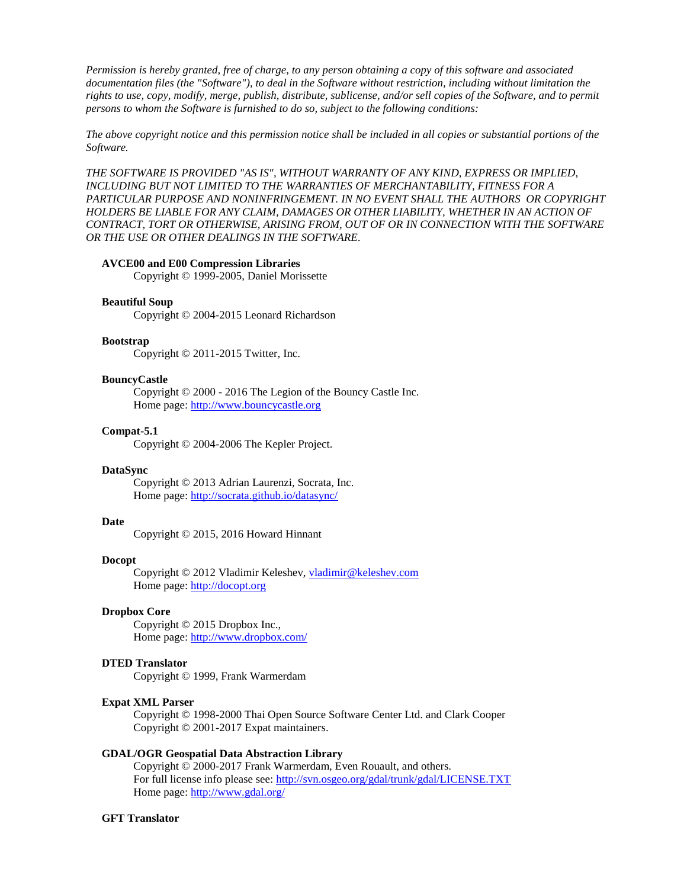*Permission is hereby granted, free of charge, to any person obtaining a copy of this software and associated documentation files (the "Software"), to deal in the Software without restriction, including without limitation the rights to use, copy, modify, merge, publish, distribute, sublicense, and/or sell copies of the Software, and to permit persons to whom the Software is furnished to do so, subject to the following conditions:*

*The above copyright notice and this permission notice shall be included in all copies or substantial portions of the Software.*

*THE SOFTWARE IS PROVIDED "AS IS", WITHOUT WARRANTY OF ANY KIND, EXPRESS OR IMPLIED, INCLUDING BUT NOT LIMITED TO THE WARRANTIES OF MERCHANTABILITY, FITNESS FOR A PARTICULAR PURPOSE AND NONINFRINGEMENT. IN NO EVENT SHALL THE AUTHORS OR COPYRIGHT HOLDERS BE LIABLE FOR ANY CLAIM, DAMAGES OR OTHER LIABILITY, WHETHER IN AN ACTION OF CONTRACT, TORT OR OTHERWISE, ARISING FROM, OUT OF OR IN CONNECTION WITH THE SOFTWARE OR THE USE OR OTHER DEALINGS IN THE SOFTWARE.*

### **AVCE00 and E00 Compression Libraries**

Copyright © 1999-2005, Daniel Morissette

### **Beautiful Soup**

Copyright © 2004-2015 Leonard Richardson

### **Bootstrap**

Copyright © 2011-2015 Twitter, Inc.

#### **BouncyCastle**

Copyright © 2000 - 2016 The Legion of the Bouncy Castle Inc. Home page: [http://www.bouncycastle.org](http://www.bouncycastle.org/)

#### **Compat-5.1**

Copyright © 2004-2006 The Kepler Project.

### **DataSync**

Copyright © 2013 Adrian Laurenzi, Socrata, Inc. Home page:<http://socrata.github.io/datasync/>

#### **Date**

Copyright © 2015, 2016 Howard Hinnant

### **Docopt**

Copyright © 2012 Vladimir Keleshev, [vladimir@keleshev.com](mailto:vladimir@keleshev.com) Home page: [http://docopt.org](http://docopt.org/)

#### **Dropbox Core**

Copyright © 2015 Dropbox Inc., Home page: <http://www.dropbox.com/>

### **DTED Translator**

Copyright © 1999, Frank Warmerdam

#### **Expat XML Parser**

Copyright © 1998-2000 Thai Open Source Software Center Ltd. and Clark Cooper Copyright © 2001-2017 Expat maintainers.

#### **GDAL/OGR Geospatial Data Abstraction Library**

Copyright © 2000-2017 Frank Warmerdam, Even Rouault, and others. For full license info please see:<http://svn.osgeo.org/gdal/trunk/gdal/LICENSE.TXT> Home page:<http://www.gdal.org/>

#### **GFT Translator**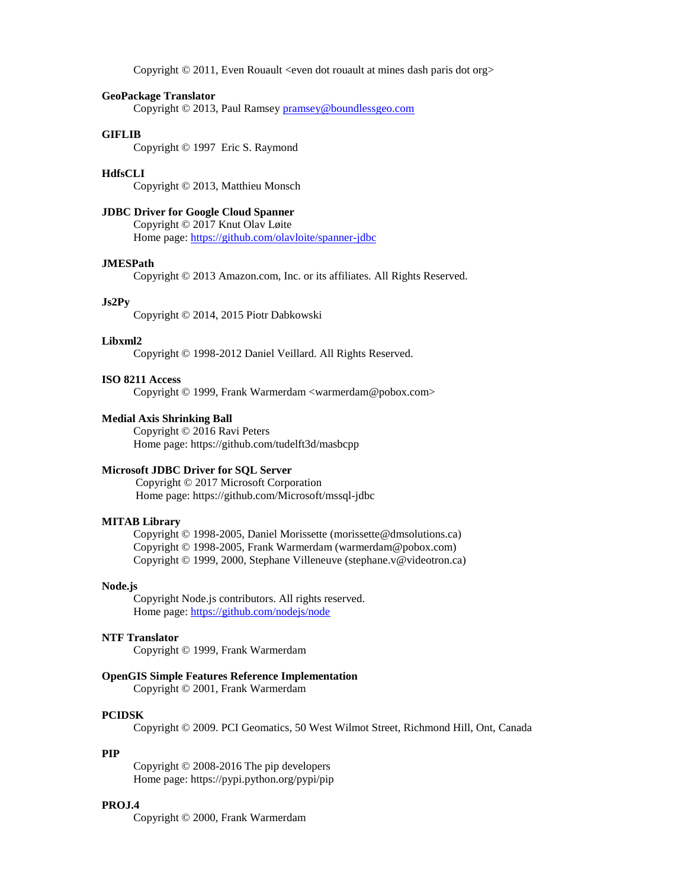Copyright © 2011, Even Rouault <even dot rouault at mines dash paris dot org>

#### **GeoPackage Translator**

Copyright © 2013, Paul Ramsey [pramsey@boundlessgeo.com](mailto:pramsey@boundlessgeo.com)

### **GIFLIB**

Copyright © 1997 Eric S. Raymond

## **HdfsCLI**

Copyright © 2013, Matthieu Monsch

### **JDBC Driver for Google Cloud Spanner**

Copyright © 2017 Knut Olav Løite Home page:<https://github.com/olavloite/spanner-jdbc>

#### **JMESPath**

Copyright © 2013 Amazon.com, Inc. or its affiliates. All Rights Reserved.

## **Js2Py**

Copyright © 2014, 2015 Piotr Dabkowski

### **Libxml2**

Copyright © 1998-2012 Daniel Veillard. All Rights Reserved.

### **ISO 8211 Access**

Copyright © 1999, Frank Warmerdam <warmerdam@pobox.com>

### **Medial Axis Shrinking Ball**

Copyright © 2016 Ravi Peters Home page: https://github.com/tudelft3d/masbcpp

### **Microsoft JDBC Driver for SQL Server**

Copyright © 2017 Microsoft Corporation Home page: https://github.com/Microsoft/mssql-jdbc

#### **MITAB Library**

Copyright © 1998-2005, Daniel Morissette (morissette@dmsolutions.ca) Copyright © 1998-2005, Frank Warmerdam (warmerdam@pobox.com) Copyright © 1999, 2000, Stephane Villeneuve (stephane.v@videotron.ca)

#### **Node.js**

Copyright Node.js contributors. All rights reserved. Home page:<https://github.com/nodejs/node>

#### **NTF Translator**

Copyright © 1999, Frank Warmerdam

### **OpenGIS Simple Features Reference Implementation**

Copyright © 2001, Frank Warmerdam

## **PCIDSK**

Copyright © 2009. PCI Geomatics, 50 West Wilmot Street, Richmond Hill, Ont, Canada

## **PIP**

Copyright © 2008-2016 The pip developers Home page: https://pypi.python.org/pypi/pip

### **PROJ.4**

Copyright © 2000, Frank Warmerdam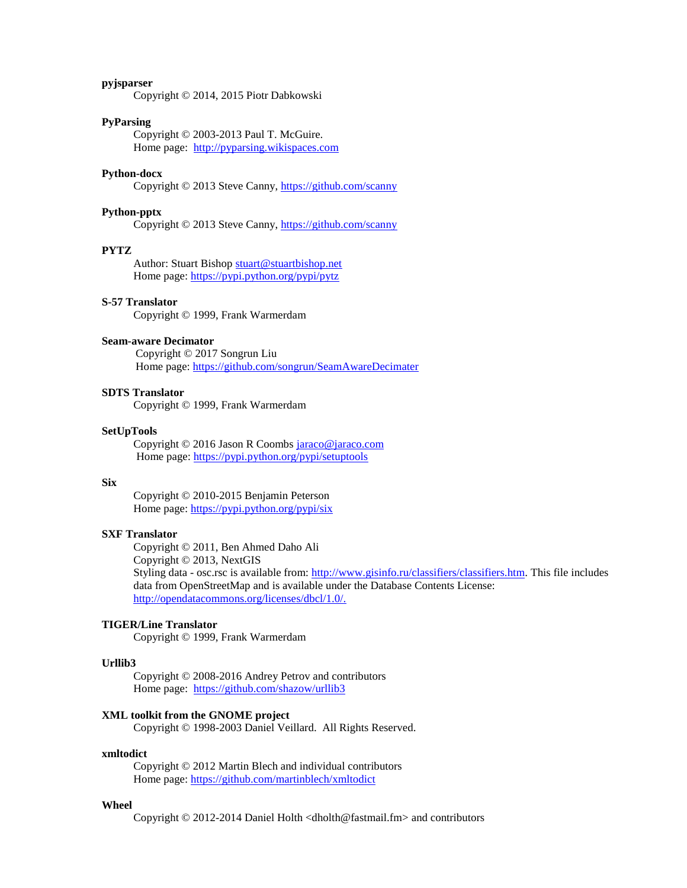## **pyjsparser**

Copyright © 2014, 2015 Piotr Dabkowski

### **PyParsing**

Copyright © 2003-2013 Paul T. McGuire. Home page: [http://pyparsing.wikispaces.com](http://pyparsing.wikispaces.com/)

### **Python-docx**

Copyright © 2013 Steve Canny,<https://github.com/scanny>

#### **Python-pptx**

Copyright © 2013 Steve Canny,<https://github.com/scanny>

#### **PYTZ**

Author: Stuart Bishop [stuart@stuartbishop.net](mailto:stuart@stuartbishop.net) Home page:<https://pypi.python.org/pypi/pytz>

## **S-57 Translator**

Copyright © 1999, Frank Warmerdam

### **Seam-aware Decimator**

Copyright © 2017 Songrun Liu Home page:<https://github.com/songrun/SeamAwareDecimater>

### **SDTS Translator**

Copyright © 1999, Frank Warmerdam

#### **SetUpTools**

Copyright © 2016 Jason R Coombs [jaraco@jaraco.com](mailto:jaraco@jaraco.com) Home page[: https://pypi.python.org/pypi/setuptools](https://pypi.python.org/pypi/setuptools)

#### **Six**

Copyright © 2010-2015 Benjamin Peterson Home page:<https://pypi.python.org/pypi/six>

#### **SXF Translator**

Copyright © 2011, Ben Ahmed Daho Ali Copyright © 2013, NextGIS Styling data - osc.rsc is available from: [http://www.gisinfo.ru/classifiers/classifiers.htm.](http://www.gisinfo.ru/classifiers/classifiers.htm) This file includes data from OpenStreetMap and is available under the Database Contents License: [http://opendatacommons.org/licenses/dbcl/1.0/.](http://opendatacommons.org/licenses/dbcl/1.0/)

### **TIGER/Line Translator**

Copyright © 1999, Frank Warmerdam

### **Urllib3**

Copyright © 2008-2016 Andrey Petrov and contributors Home page: <https://github.com/shazow/urllib3>

## **XML toolkit from the GNOME project**

Copyright © 1998-2003 Daniel Veillard. All Rights Reserved.

#### **xmltodict**

Copyright © 2012 Martin Blech and individual contributors Home page: <https://github.com/martinblech/xmltodict>

#### **Wheel**

Copyright © 2012-2014 Daniel Holth <dholth@fastmail.fm> and contributors